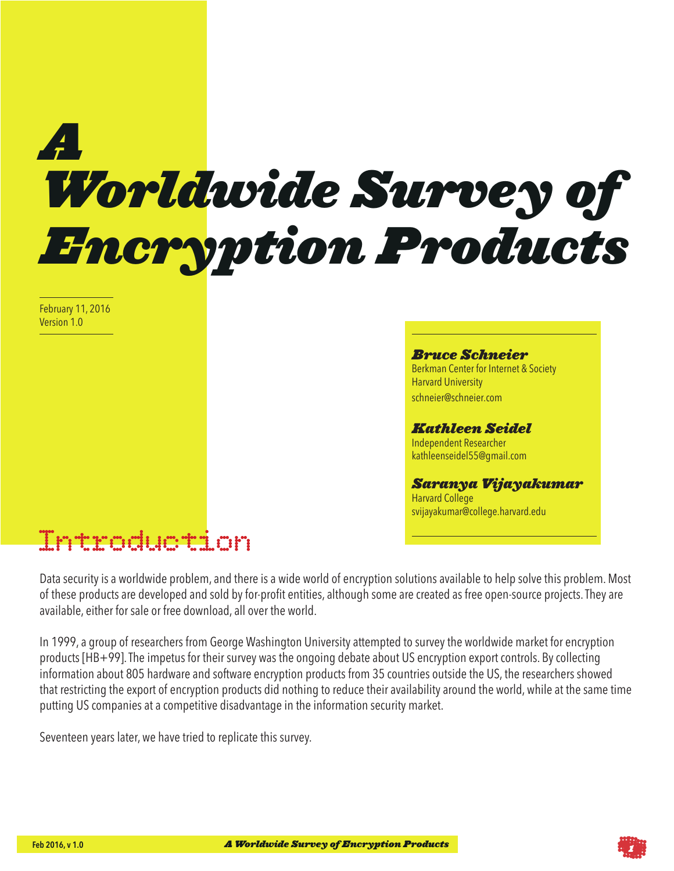# *A Worldwide Survey of Encryption Products*

February 11, 2016 Version 1.0

*Bruce Schneier*

Berkman Center for Internet & Society Harvard University schneier@schneier.com

#### *Kathleen Seidel*

Independent Researcher kathleenseidel55@gmail.com

*Saranya Vijayakumar* Harvard College svijayakumar@college.harvard.edu

> **••••• • • •***1*

### **Introduction**

Data security is a worldwide problem, and there is a wide world of encryption solutions available to help solve this problem. Most of these products are developed and sold by for-profit entities, although some are created as free open-source projects. They are available, either for sale or free download, all over the world.

In 1999, a group of researchers from George Washington University attempted to survey the worldwide market for encryption products [HB+99]. The impetus for their survey was the ongoing debate about US encryption export controls. By collecting information about 805 hardware and software encryption products from 35 countries outside the US, the researchers showed that restricting the export of encryption products did nothing to reduce their availability around the world, while at the same time putting US companies at a competitive disadvantage in the information security market.

Seventeen years later, we have tried to replicate this survey.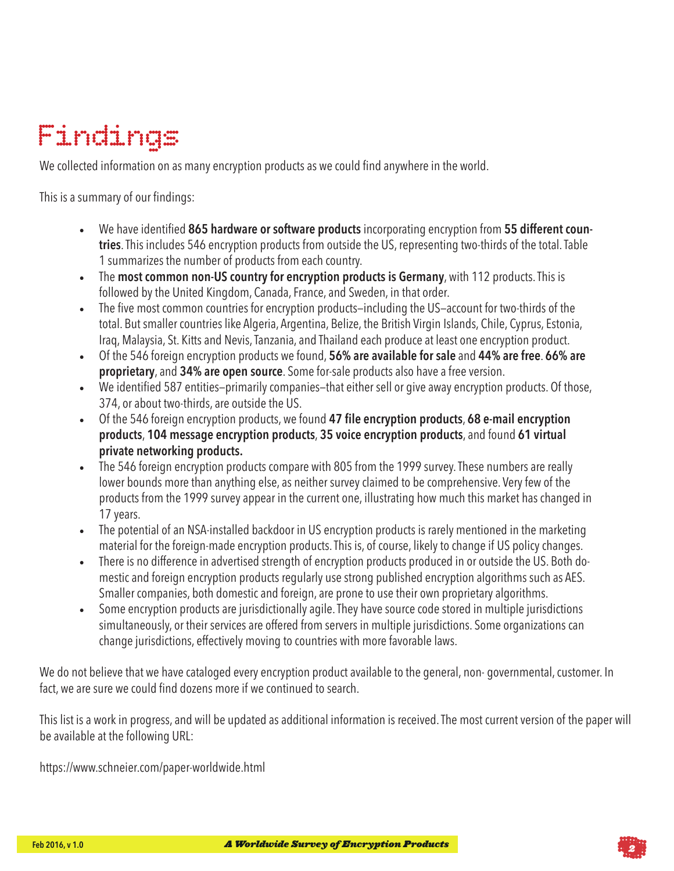### **Findings**

We collected information on as many encryption products as we could find anywhere in the world.

This is a summary of our findings:

- We have identified **865 hardware or software products** incorporating encryption from **55 different countries**. This includes 546 encryption products from outside the US, representing two-thirds of the total. Table 1 summarizes the number of products from each country.
- The **most common non-US country for encryption products is Germany**, with 112 products. This is followed by the United Kingdom, Canada, France, and Sweden, in that order.
- The five most common countries for encryption products—including the US—account for two-thirds of the total. But smaller countries like Algeria, Argentina, Belize, the British Virgin Islands, Chile, Cyprus, Estonia, Iraq, Malaysia, St. Kitts and Nevis, Tanzania, and Thailand each produce at least one encryption product.
- Of the 546 foreign encryption products we found, **56% are available for sale** and **44% are free**. **66% are proprietary**, and **34% are open source**. Some for-sale products also have a free version.
- We identified 587 entities-primarily companies-that either sell or give away encryption products. Of those, 374, or about two-thirds, are outside the US.
- Of the 546 foreign encryption products, we found **47 file encryption products**, **68 e-mail encryption products**, **104 message encryption products**, **35 voice encryption products**, and found **61 virtual private networking products.**
- The 546 foreign encryption products compare with 805 from the 1999 survey. These numbers are really lower bounds more than anything else, as neither survey claimed to be comprehensive. Very few of the products from the 1999 survey appear in the current one, illustrating how much this market has changed in 17 years.
- The potential of an NSA-installed backdoor in US encryption products is rarely mentioned in the marketing material for the foreign-made encryption products. This is, of course, likely to change if US policy changes.
- There is no difference in advertised strength of encryption products produced in or outside the US. Both domestic and foreign encryption products regularly use strong published encryption algorithms such as AES. Smaller companies, both domestic and foreign, are prone to use their own proprietary algorithms.
- Some encryption products are jurisdictionally agile. They have source code stored in multiple jurisdictions simultaneously, or their services are offered from servers in multiple jurisdictions. Some organizations can change jurisdictions, effectively moving to countries with more favorable laws.

We do not believe that we have cataloged every encryption product available to the general, non- governmental, customer. In fact, we are sure we could find dozens more if we continued to search.

This list is a work in progress, and will be updated as additional information is received. The most current version of the paper will be available at the following URL:

https://www.schneier.com/paper-worldwide.html

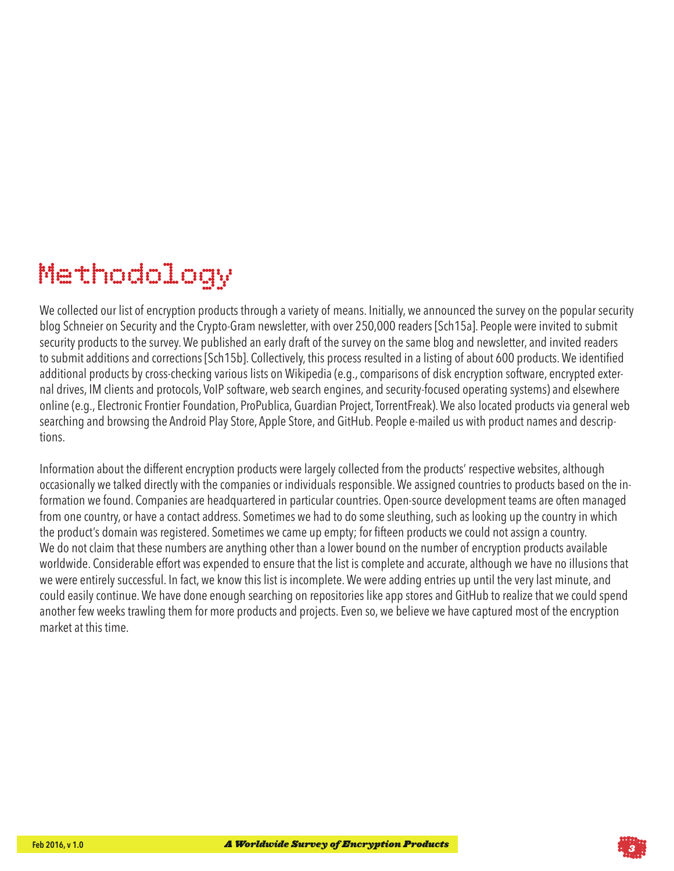### **Methodology**

We collected our list of encryption products through a variety of means. Initially, we announced the survey on the popular security blog Schneier on Security and the Crypto-Gram newsletter, with over 250,000 readers [Sch15a]. People were invited to submit security products to the survey. We published an early draft of the survey on the same blog and newsletter, and invited readers to submit additions and corrections [Sch15b]. Collectively, this process resulted in a listing of about 600 products. We identified additional products by cross-checking various lists on Wikipedia (e.g., comparisons of disk encryption software, encrypted external drives, IM clients and protocols, VoIP software, web search engines, and security-focused operating systems) and elsewhere online (e.g., Electronic Frontier Foundation, ProPublica, Guardian Project, TorrentFreak). We also located products via general web searching and browsing the Android Play Store, Apple Store, and GitHub. People e-mailed us with product names and descriptions.

Information about the different encryption products were largely collected from the products' respective websites, although occasionally we talked directly with the companies or individuals responsible. We assigned countries to products based on the information we found. Companies are headquartered in particular countries. Open-source development teams are often managed from one country, or have a contact address. Sometimes we had to do some sleuthing, such as looking up the country in which the product's domain was registered. Sometimes we came up empty; for fifteen products we could not assign a country. We do not claim that these numbers are anything other than a lower bound on the number of encryption products available worldwide. Considerable effort was expended to ensure that the list is complete and accurate, although we have no illusions that we were entirely successful. In fact, we know this list is incomplete. We were adding entries up until the very last minute, and could easily continue. We have done enough searching on repositories like app stores and GitHub to realize that we could spend another few weeks trawling them for more products and projects. Even so, we believe we have captured most of the encryption market at this time.

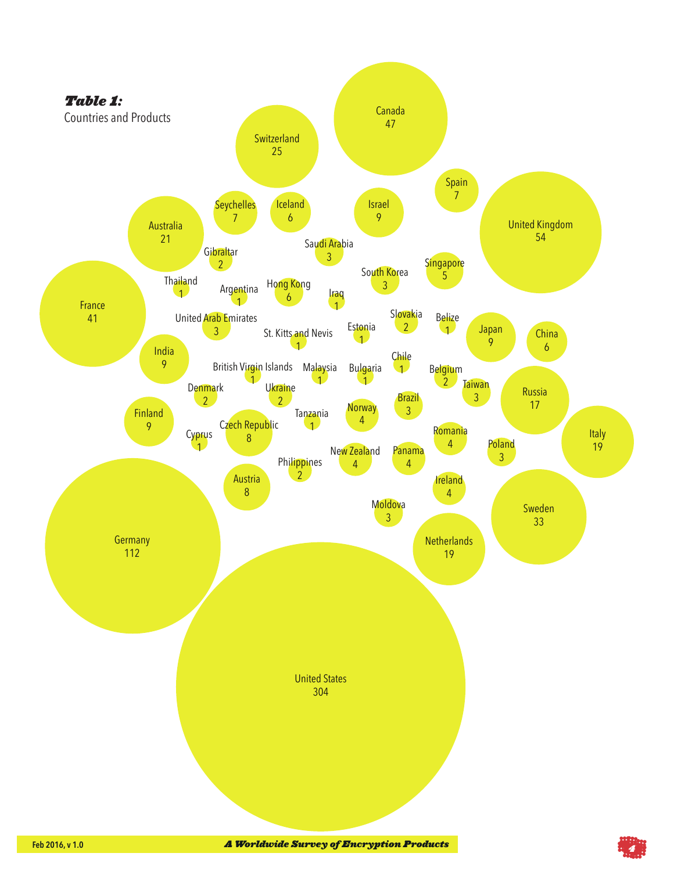

Feb 2016, v 1.0 *A Worldwide Survey of Encryption Products* 

**• •**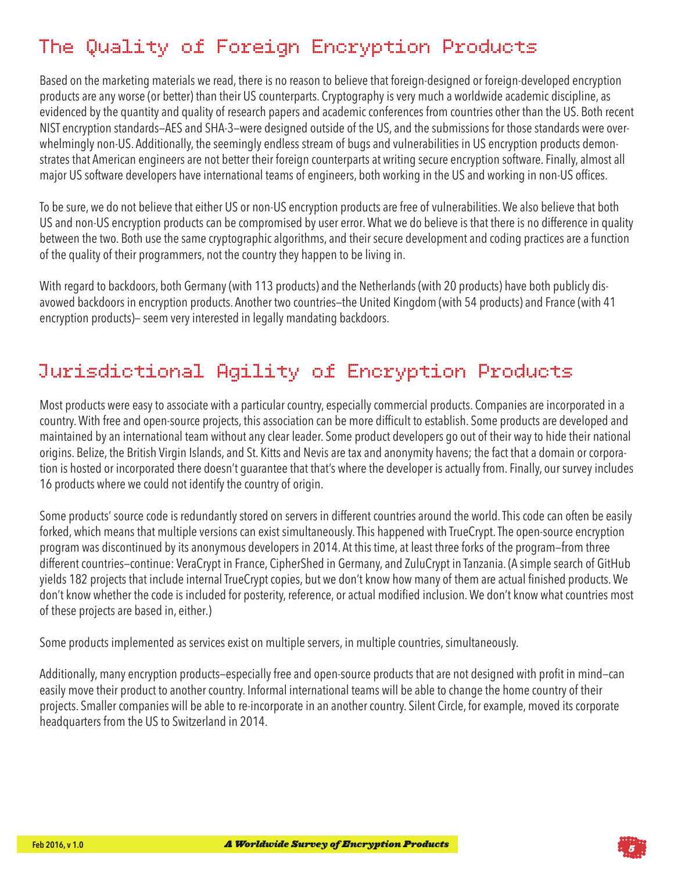### **The Quality of Foreign Encryption Products**

Based on the marketing materials we read, there is no reason to believe that foreign-designed or foreign-developed encryption products are any worse (or better) than their US counterparts. Cryptography is very much a worldwide academic discipline, as evidenced by the quantity and quality of research papers and academic conferences from countries other than the US. Both recent NIST encryption standards—AES and SHA-3—were designed outside of the US, and the submissions for those standards were overwhelmingly non-US. Additionally, the seemingly endless stream of bugs and vulnerabilities in US encryption products demonstrates that American engineers are not better their foreign counterparts at writing secure encryption software. Finally, almost all major US software developers have international teams of engineers, both working in the US and working in non-US offices.

To be sure, we do not believe that either US or non-US encryption products are free of vulnerabilities. We also believe that both US and non-US encryption products can be compromised by user error. What we do believe is that there is no difference in quality between the two. Both use the same cryptographic algorithms, and their secure development and coding practices are a function of the quality of their programmers, not the country they happen to be living in.

With regard to backdoors, both Germany (with 113 products) and the Netherlands (with 20 products) have both publicly disavowed backdoors in encryption products. Another two countries—the United Kingdom (with 54 products) and France (with 41 encryption products)— seem very interested in legally mandating backdoors.

#### **Jurisdictional Agility of Encryption Products**

Most products were easy to associate with a particular country, especially commercial products. Companies are incorporated in a country. With free and open-source projects, this association can be more difficult to establish. Some products are developed and maintained by an international team without any clear leader. Some product developers go out of their way to hide their national origins. Belize, the British Virgin Islands, and St. Kitts and Nevis are tax and anonymity havens; the fact that a domain or corporation is hosted or incorporated there doesn't guarantee that that's where the developer is actually from. Finally, our survey includes 16 products where we could not identify the country of origin.

Some products' source code is redundantly stored on servers in different countries around the world. This code can often be easily forked, which means that multiple versions can exist simultaneously. This happened with TrueCrypt. The open-source encryption program was discontinued by its anonymous developers in 2014. At this time, at least three forks of the program—from three different countries—continue: VeraCrypt in France, CipherShed in Germany, and ZuluCrypt in Tanzania. (A simple search of GitHub yields 182 projects that include internal TrueCrypt copies, but we don't know how many of them are actual finished products. We don't know whether the code is included for posterity, reference, or actual modified inclusion. We don't know what countries most of these projects are based in, either.)

Some products implemented as services exist on multiple servers, in multiple countries, simultaneously.

Additionally, many encryption products—especially free and open-source products that are not designed with profit in mind—can easily move their product to another country. Informal international teams will be able to change the home country of their projects. Smaller companies will be able to re-incorporate in an another country. Silent Circle, for example, moved its corporate headquarters from the US to Switzerland in 2014.

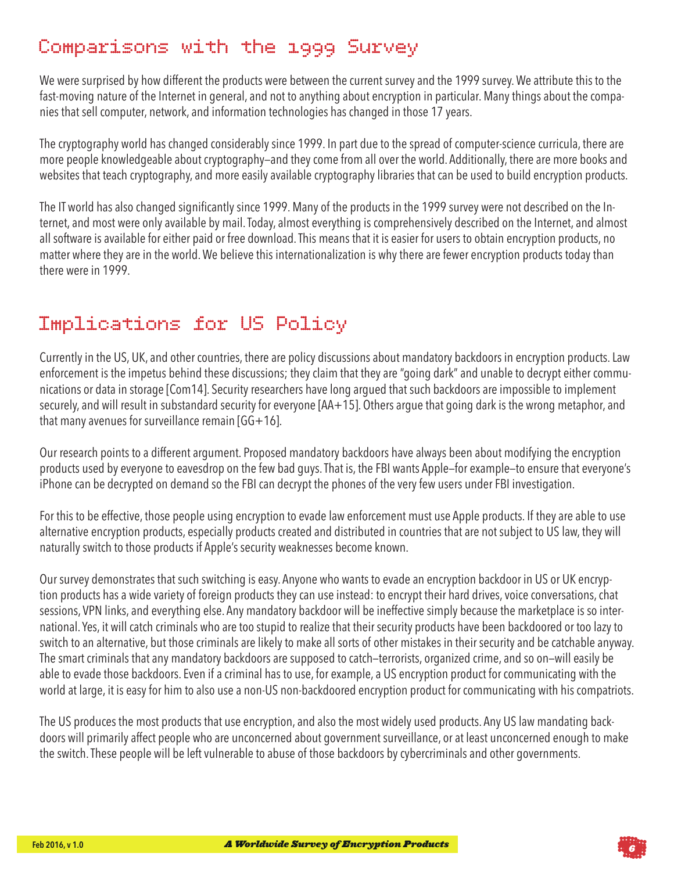#### **Comparisons with the 1999 Survey**

We were surprised by how different the products were between the current survey and the 1999 survey. We attribute this to the fast-moving nature of the Internet in general, and not to anything about encryption in particular. Many things about the companies that sell computer, network, and information technologies has changed in those 17 years.

The cryptography world has changed considerably since 1999. In part due to the spread of computer-science curricula, there are more people knowledgeable about cryptography—and they come from all over the world. Additionally, there are more books and websites that teach cryptography, and more easily available cryptography libraries that can be used to build encryption products.

The IT world has also changed significantly since 1999. Many of the products in the 1999 survey were not described on the Internet, and most were only available by mail. Today, almost everything is comprehensively described on the Internet, and almost all software is available for either paid or free download. This means that it is easier for users to obtain encryption products, no matter where they are in the world. We believe this internationalization is why there are fewer encryption products today than there were in 1999.

#### **Implications for US Policy**

Currently in the US, UK, and other countries, there are policy discussions about mandatory backdoors in encryption products. Law enforcement is the impetus behind these discussions; they claim that they are "going dark" and unable to decrypt either communications or data in storage [Com14]. Security researchers have long argued that such backdoors are impossible to implement securely, and will result in substandard security for everyone [AA+15]. Others argue that going dark is the wrong metaphor, and that many avenues for surveillance remain [GG+16].

Our research points to a different argument. Proposed mandatory backdoors have always been about modifying the encryption products used by everyone to eavesdrop on the few bad guys. That is, the FBI wants Apple—for example—to ensure that everyone's iPhone can be decrypted on demand so the FBI can decrypt the phones of the very few users under FBI investigation.

For this to be effective, those people using encryption to evade law enforcement must use Apple products. If they are able to use alternative encryption products, especially products created and distributed in countries that are not subject to US law, they will naturally switch to those products if Apple's security weaknesses become known.

Our survey demonstrates that such switching is easy. Anyone who wants to evade an encryption backdoor in US or UK encryption products has a wide variety of foreign products they can use instead: to encrypt their hard drives, voice conversations, chat sessions, VPN links, and everything else. Any mandatory backdoor will be ineffective simply because the marketplace is so international. Yes, it will catch criminals who are too stupid to realize that their security products have been backdoored or too lazy to switch to an alternative, but those criminals are likely to make all sorts of other mistakes in their security and be catchable anyway. The smart criminals that any mandatory backdoors are supposed to catch—terrorists, organized crime, and so on—will easily be able to evade those backdoors. Even if a criminal has to use, for example, a US encryption product for communicating with the world at large, it is easy for him to also use a non-US non-backdoored encryption product for communicating with his compatriots.

The US produces the most products that use encryption, and also the most widely used products. Any US law mandating backdoors will primarily affect people who are unconcerned about government surveillance, or at least unconcerned enough to make the switch. These people will be left vulnerable to abuse of those backdoors by cybercriminals and other governments.

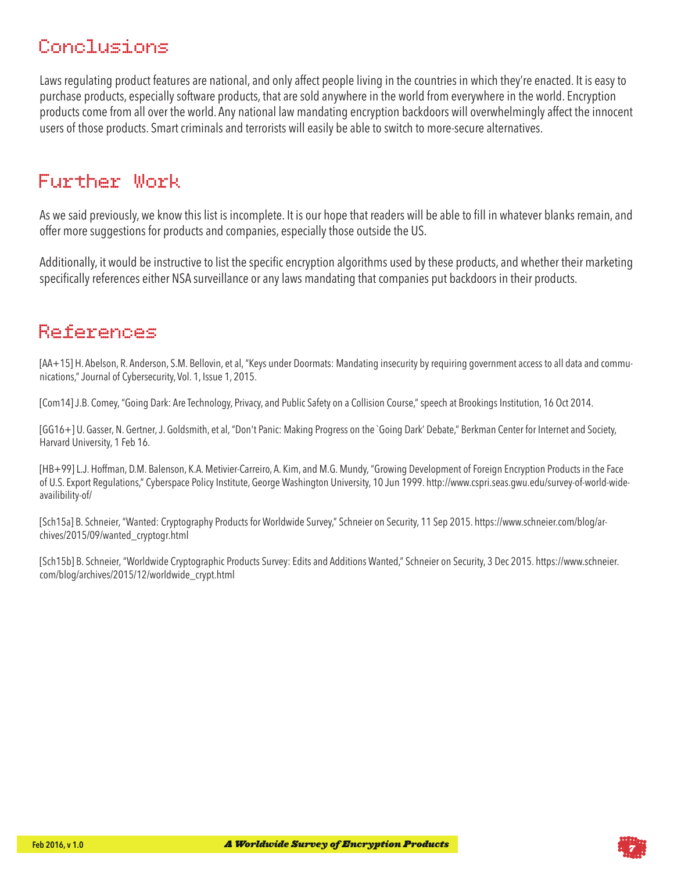#### **Conclusions**

Laws regulating product features are national, and only affect people living in the countries in which they're enacted. It is easy to purchase products, especially software products, that are sold anywhere in the world from everywhere in the world. Encryption products come from all over the world. Any national law mandating encryption backdoors will overwhelmingly affect the innocent users of those products. Smart criminals and terrorists will easily be able to switch to more-secure alternatives.

#### **Further Work**

As we said previously, we know this list is incomplete. It is our hope that readers will be able to fill in whatever blanks remain, and offer more suggestions for products and companies, especially those outside the US.

Additionally, it would be instructive to list the specific encryption algorithms used by these products, and whether their marketing specifically references either NSA surveillance or any laws mandating that companies put backdoors in their products.

#### **References**

[AA+15] H. Abelson, R. Anderson, S.M. Bellovin, et al, "Keys under Doormats: Mandating insecurity by requiring government access to all data and communications," Journal of Cybersecurity, Vol. 1, Issue 1, 2015.

[Com14] J.B. Comey, "Going Dark: Are Technology, Privacy, and Public Safety on a Collision Course," speech at Brookings Institution, 16 Oct 2014.

[GG16+] U. Gasser, N. Gertner, J. Goldsmith, et al, "Don't Panic: Making Progress on the `Going Dark' Debate," Berkman Center for Internet and Society, Harvard University, 1 Feb 16.

[HB+99] L.J. Hoffman, D.M. Balenson, K.A. Metivier-Carreiro, A. Kim, and M.G. Mundy, "Growing Development of Foreign Encryption Products in the Face of U.S. Export Regulations," Cyberspace Policy Institute, George Washington University, 10 Jun 1999. http://www.cspri.seas.gwu.edu/survey-of-world-wideavailibility-of/

[Sch15a] B. Schneier, "Wanted: Cryptography Products for Worldwide Survey," Schneier on Security, 11 Sep 2015. https://www.schneier.com/blog/archives/2015/09/wanted\_cryptogr.html

[Sch15b] B. Schneier, "Worldwide Cryptographic Products Survey: Edits and Additions Wanted," Schneier on Security, 3 Dec 2015. https://www.schneier. com/blog/archives/2015/12/worldwide\_crypt.html

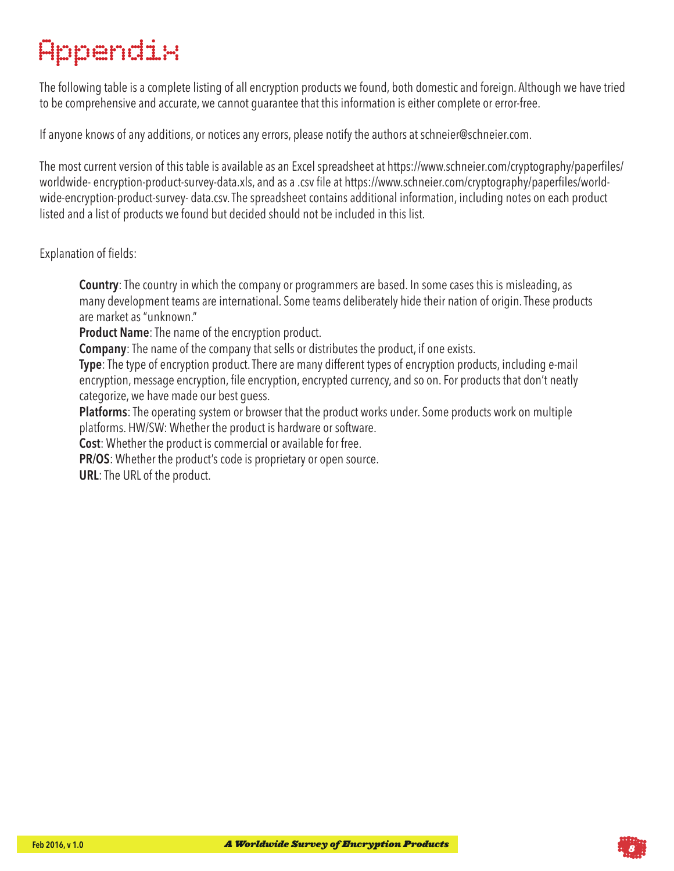## **Appendix**

The following table is a complete listing of all encryption products we found, both domestic and foreign. Although we have tried to be comprehensive and accurate, we cannot guarantee that this information is either complete or error-free.

If anyone knows of any additions, or notices any errors, please notify the authors at schneier@schneier.com.

The most current version of this table is available as an Excel spreadsheet at https://www.schneier.com/cryptography/paperfiles/ worldwide- encryption-product-survey-data.xls, and as a .csv file at https://www.schneier.com/cryptography/paperfiles/worldwide-encryption-product-survey- data.csv. The spreadsheet contains additional information, including notes on each product listed and a list of products we found but decided should not be included in this list.

Explanation of fields:

**Country**: The country in which the company or programmers are based. In some cases this is misleading, as many development teams are international. Some teams deliberately hide their nation of origin. These products are market as "unknown."

**Product Name**: The name of the encryption product.

**Company**: The name of the company that sells or distributes the product, if one exists.

**Type**: The type of encryption product. There are many different types of encryption products, including e-mail encryption, message encryption, file encryption, encrypted currency, and so on. For products that don't neatly categorize, we have made our best guess.

**Platforms**: The operating system or browser that the product works under. Some products work on multiple platforms. HW/SW: Whether the product is hardware or software.

**Cost**: Whether the product is commercial or available for free.

**PR/OS**: Whether the product's code is proprietary or open source.

**URL**: The URL of the product.

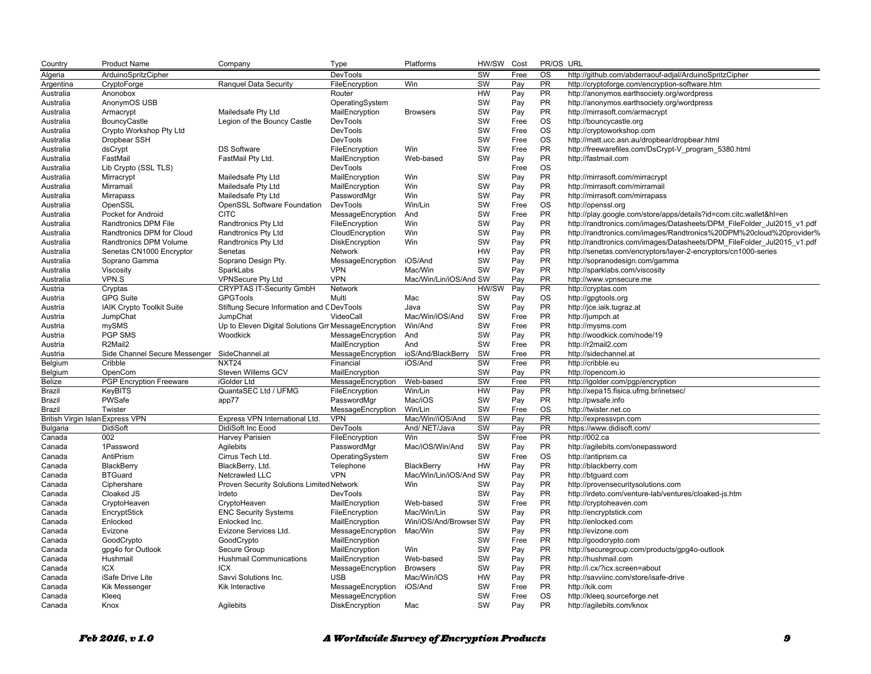| Country                          | <b>Product Name</b>                          | Company                                              | Type              | Platforms              | HW/SW Cost |      | PR/OS URL              |                                                                        |
|----------------------------------|----------------------------------------------|------------------------------------------------------|-------------------|------------------------|------------|------|------------------------|------------------------------------------------------------------------|
| Algeria                          | ArduinoSpritzCipher                          |                                                      | DevTools          |                        | SW         | Free | $\overline{\text{os}}$ | http://github.com/abderraouf-adjal/ArduinoSpritzCipher                 |
| Argentina                        | CryptoForge                                  | Ranguel Data Security                                | FileEncryption    | Win                    | SW         | Pay  | <b>PR</b>              | http://cryptoforge.com/encryption-software.htm                         |
| Australia                        | Anonobox                                     |                                                      | Router            |                        | HW         | Pay  | <b>PR</b>              | http://anonymos.earthsociety.org/wordpress                             |
| Australia                        | AnonymOS USB                                 |                                                      | OperatingSystem   |                        | SW         | Pay  | <b>PR</b>              | http://anonymos.earthsociety.org/wordpress                             |
| Australia                        | Armacrypt                                    | Mailedsafe Pty Ltd                                   | MailEncryption    | <b>Browsers</b>        | <b>SW</b>  | Pay  | <b>PR</b>              | http://mirrasoft.com/armacrypt                                         |
| Australia                        | BouncyCastle                                 | Legion of the Bouncy Castle                          | DevTools          |                        | SW         | Free | <b>OS</b>              | http://bouncycastle.org                                                |
| Australia                        | Crypto Workshop Pty Ltd                      |                                                      | DevTools          |                        | SW         | Free | <b>OS</b>              | http://cryptoworkshop.com                                              |
| Australia                        | Dropbear SSH                                 |                                                      | <b>DevTools</b>   |                        | <b>SW</b>  | Free | <b>OS</b>              | http://matt.ucc.asn.au/dropbear/dropbear.html                          |
| Australia                        | dsCrypt                                      | <b>DS Software</b>                                   | FileEncryption    | Win                    | SW         | Free | <b>PR</b>              | http://freewarefiles.com/DsCrypt-V program 5380.html                   |
| Australia                        | FastMail                                     | FastMail Pty Ltd.                                    | MailEncryption    | Web-based              | SW         | Pay  | PR                     | http://fastmail.com                                                    |
| Australia                        | Lib Crypto (SSL TLS)                         |                                                      | DevTools          |                        |            | Free | <b>OS</b>              |                                                                        |
| Australia                        | Mirracrypt                                   | Mailedsafe Pty Ltd                                   | MailEncryption    | Win                    | SW         | Pay  | <b>PR</b>              | http://mirrasoft.com/mirracrypt                                        |
| Australia                        | Mirramail                                    | Mailedsafe Pty Ltd                                   | MailEncryption    | Win                    | SW         | Pay  | <b>PR</b>              | http://mirrasoft.com/mirramail                                         |
| Australia                        | Mirrapass                                    | Mailedsafe Pty Ltd                                   | PasswordMqr       | Win                    | SW         | Pay  | <b>PR</b>              | http://mirrasoft.com/mirrapass                                         |
| Australia                        | OpenSSL                                      | OpenSSL Software Foundation                          | DevTools          | Win/Lin                | SW         | Free | <b>OS</b>              | http://openssl.org                                                     |
| Australia                        | Pocket for Android                           | <b>CITC</b>                                          | MessageEncryption | And                    | SW         | Free | <b>PR</b>              | http://play.google.com/store/apps/details?id=com.citc.wallet&hl=en     |
| Australia                        | Randtronics DPM File                         | Randtronics Pty Ltd                                  | FileEncryption    | Win                    | SW         | Pay  | <b>PR</b>              | http://randtronics.com/images/Datasheets/DPM FileFolder Jul2015 v1.pdf |
| Australia                        | Randtronics DPM for Cloud                    | Randtronics Pty Ltd                                  | CloudEncryption   | Win                    | SW         | Pay  | PR                     | http://randtronics.com/images/Randtronics%20DPM%20cloud%20provider%    |
| Australia                        | Randtronics DPM Volume                       | Randtronics Pty Ltd                                  | DiskEncryption    | Win                    | SW         | Pay  | PR                     | http://randtronics.com/images/Datasheets/DPM FileFolder Jul2015 v1.pdf |
| Australia                        | Senetas CN1000 Encryptor                     | Senetas                                              | <b>Network</b>    |                        | <b>HW</b>  | Pay  | <b>PR</b>              | http://senetas.com/encryptors/layer-2-encryptors/cn1000-series         |
| Australia                        | Soprano Gamma                                | Soprano Design Pty.                                  | MessageEncryption | iOS/And                | SW         | Pay  | PR                     | http://sopranodesign.com/gamma                                         |
| Australia                        | Viscosity                                    | SparkLabs                                            | <b>VPN</b>        | Mac/Win                | SW         | Pay  | <b>PR</b>              | http://sparklabs.com/viscosity                                         |
| Australia                        | VPN.S                                        | <b>VPNSecure Pty Ltd</b>                             | <b>VPN</b>        | Mac/Win/Lin/iOS/And SW |            | Pay  | PR                     | http://www.vpnsecure.me                                                |
| Austria                          | Cryptas                                      | <b>CRYPTAS IT-Security GmbH</b>                      | Network           |                        | HW/SW      | Pay  | <b>PR</b>              | http://cryptas.com                                                     |
| Austria                          | <b>GPG Suite</b>                             | <b>GPGTools</b>                                      | Multi             | Mac                    | <b>SW</b>  | Pay  | <b>OS</b>              | http://gpgtools.org                                                    |
| Austria                          | IAIK Crypto Toolkit Suite                    | Stiftung Secure Information and CDevTools            |                   | Java                   | <b>SW</b>  | Pay  | <b>PR</b>              | http://jce.iaik.tugraz.at                                              |
| Austria                          | JumpChat                                     | JumpChat                                             | VideoCall         | Mac/Win/iOS/And        | SW         | Free | PR                     | http://jumpch.at                                                       |
| Austria                          | mySMS                                        | Up to Eleven Digital Solutions Gn Message Encryption |                   | Win/And                | SW         | Free | <b>PR</b>              | http://mysms.com                                                       |
| Austria                          | PGP SMS                                      | Woodkick                                             | MessageEncryption | And                    | SW         | Pay  | PR                     | http://woodkick.com/node/19                                            |
| Austria                          | R2Mail2                                      |                                                      | MailEncryption    | And                    | SW         | Free | PR                     | http://r2mail2.com                                                     |
| Austria                          | Side Channel Secure Messenger SideChannel.at |                                                      | MessageEncryption | ioS/And/BlackBerry     | <b>SW</b>  | Free | PR                     | http://sidechannel.at                                                  |
| Belgium                          | Cribble                                      | <b>NXT24</b>                                         | Financial         | iOS/And                | SW         | Free | PR                     | http://cribble.eu                                                      |
| Belgium                          | OpenCom                                      | Steven Willems GCV                                   | MailEncryption    |                        | SW         | Pay  | <b>PR</b>              | http://opencom.io                                                      |
| <b>Belize</b>                    | PGP Encryption Freeware                      | iGolder Ltd                                          | MessageEncryption | Web-based              | SW         | Free | PR                     | http://igolder.com/pgp/encryption                                      |
| <b>Brazil</b>                    | KeyBITS                                      | QuantaSEC Ltd / UFMG                                 | FileEncryption    | Win/Lin                | <b>HW</b>  | Pay  | <b>PR</b>              | http://xepa15.fisica.ufmg.br/inetsec/                                  |
| Brazil                           | PWSafe                                       | app77                                                | PasswordMgr       | Mac/iOS                | SW         | Pay  | PR                     | http://pwsafe.info                                                     |
| Brazil                           | Twister                                      |                                                      | MessageEncryption | Win/Lin                | <b>SW</b>  | Free | <b>OS</b>              | http://twister.net.co                                                  |
| British Virgin Islan Express VPN |                                              | Express VPN International Ltd.                       | <b>VPN</b>        | Mac/Win//iOS/And       | <b>SW</b>  | Pay  | PR                     | http://expressvpn.com                                                  |
| <b>Bulgaria</b>                  | <b>DidiSoft</b>                              | DidiSoft Inc Eood                                    | DevTools          | And/.NET/Java          | SW         | Pay  | PR                     | https://www.didisoft.com/                                              |
| Canada                           | 002                                          | Harvey Parisien                                      | FileEncryption    | Win                    | SW         | Free | <b>PR</b>              | http://002.ca                                                          |
| Canada                           | 1Password                                    | Agilebits                                            | PasswordMgr       | Mac/iOS/Win/And        | SW         | Pay  | <b>PR</b>              | http://agilebits.com/onepassword                                       |
| Canada                           | AntiPrism                                    | Cirrus Tech Ltd.                                     | OperatingSystem   |                        | SW         | Free | <b>OS</b>              | http://antiprism.ca                                                    |
| Canada                           | BlackBerry                                   | BlackBerry, Ltd.                                     | Telephone         | BlackBerry             | <b>HW</b>  | Pay  | <b>PR</b>              | http://blackberry.com                                                  |
| Canada                           | <b>BTGuard</b>                               | Netcrawled LLC                                       | <b>VPN</b>        | Mac/Win/Lin/iOS/And SW |            | Pay  | PR                     | http://btguard.com                                                     |
| Canada                           | Ciphershare                                  | Proven Security Solutions Limited Network            |                   | Win                    | SW         | Pay  | PR                     | http://provensecuritysolutions.com                                     |
| Canada                           | Cloaked JS                                   | Irdeto                                               | <b>DevTools</b>   |                        | SW         | Pay  | <b>PR</b>              | http://irdeto.com/venture-lab/ventures/cloaked-js.htm                  |
| Canada                           | CryptoHeaven                                 | CryptoHeaven                                         | MailEncryption    | Web-based              | SW         | Free | <b>PR</b>              | http://cryptoheaven.com                                                |
| Canada                           | EncryptStick                                 | <b>ENC Security Systems</b>                          | FileEncryption    | Mac/Win/Lin            | SW         | Pay  | <b>PR</b>              | http://encryptstick.com                                                |
| Canada                           | Enlocked                                     | Enlocked Inc.                                        | MailEncryption    | Win/iOS/And/Browser SW |            | Pay  | <b>PR</b>              | http://enlocked.com                                                    |
| Canada                           | Evizone                                      | Evizone Services Ltd.                                | MessageEncryption | Mac/Win                | SW         | Pay  | <b>PR</b>              | http://evizone.com                                                     |
| Canada                           | GoodCrypto                                   | GoodCrypto                                           | MailEncryption    |                        | SW         | Free | <b>PR</b>              | http://goodcrypto.com                                                  |
| Canada                           | qpq4o for Outlook                            | Secure Group                                         | MailEncryption    | Win                    | SW         | Pay  | <b>PR</b>              | http://securegroup.com/products/gpg4o-outlook                          |
| Canada                           | Hushmail                                     | <b>Hushmail Communications</b>                       | MailEncryption    | Web-based              | SW         | Pay  | <b>PR</b>              | http://hushmail.com                                                    |
| Canada                           | <b>ICX</b>                                   | <b>ICX</b>                                           | MessageEncryption | <b>Browsers</b>        | SW         | Pay  | <b>PR</b>              | http://i.cx/?icx.screen=about                                          |
| Canada                           | iSafe Drive Lite                             | Savvi Solutions Inc.                                 | <b>USB</b>        | Mac/Win/iOS            | <b>HW</b>  | Pay  | <b>PR</b>              | http://savviinc.com/store/isafe-drive                                  |
| Canada                           | Kik Messenger                                | Kik Interactive                                      | MessageEncryption | iOS/And                | SW         | Free | <b>PR</b>              | http://kik.com                                                         |
| Canada                           | Kleeg                                        |                                                      | MessageEncryption |                        | <b>SW</b>  | Free | <b>OS</b>              | http://kleeq.sourceforge.net                                           |
| Canada                           | Knox                                         | Agilebits                                            | DiskEncryption    | Mac                    | SW         | Pay  | <b>PR</b>              | http://agilebits.com/knox                                              |
|                                  |                                              |                                                      |                   |                        |            |      |                        |                                                                        |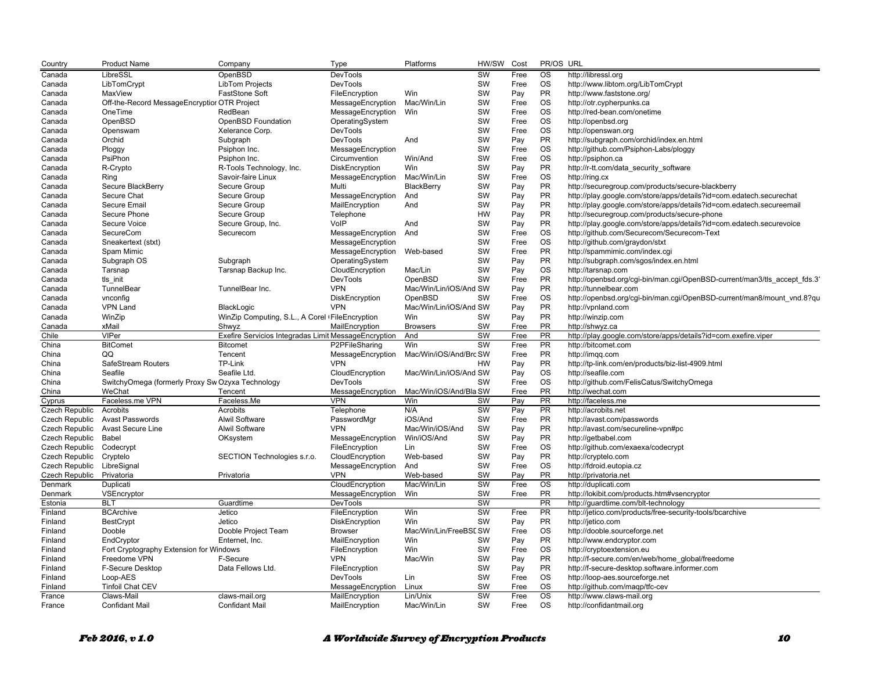| Country        | <b>Product Name</b>                              | Company                                              | Type              | Platforms              | HW/SW     | Cost | PR/OS URL |                                                                           |
|----------------|--------------------------------------------------|------------------------------------------------------|-------------------|------------------------|-----------|------|-----------|---------------------------------------------------------------------------|
| Canada         | LibreSSL                                         | OpenBSD                                              | DevTools          |                        | SW        | Free | <b>OS</b> | http://libressl.org                                                       |
| Canada         | LibTomCrypt                                      | <b>LibTom Projects</b>                               | DevTools          |                        | SW        | Free | <b>OS</b> | http://www.libtom.org/LibTomCrypt                                         |
| Canada         | <b>MaxView</b>                                   | FastStone Soft                                       | FileEncryption    | Win                    | SW        | Pay  | PR        | http://www.faststone.org/                                                 |
| Canada         | Off-the-Record MessageEncryptior OTR Project     |                                                      | MessageEncryption | Mac/Win/Lin            | SW        | Free | <b>OS</b> | http://otr.cypherpunks.ca                                                 |
| Canada         | OneTime                                          | RedBean                                              | MessageEncryption | Win                    | SW        | Free | <b>OS</b> | http://red-bean.com/onetime                                               |
| Canada         | OpenBSD                                          | OpenBSD Foundation                                   | OperatingSystem   |                        | SW        | Free | <b>OS</b> | http://openbsd.org                                                        |
| Canada         | Openswam                                         | Xelerance Corp.                                      | DevTools          |                        | SW        | Free | <b>OS</b> | http://openswan.org                                                       |
|                | Orchid                                           |                                                      | DevTools          |                        | SW        |      | PR        |                                                                           |
| Canada         |                                                  | Subgraph                                             |                   | And                    |           | Pay  |           | http://subgraph.com/orchid/index.en.html                                  |
| Canada         | Ploggy                                           | Psiphon Inc.                                         | MessageEncryption |                        | SW        | Free | OS        | http://github.com/Psiphon-Labs/ploggy                                     |
| Canada         | PsiPhon                                          | Psiphon Inc.                                         | Circumvention     | Win/And                | SW        | Free | <b>OS</b> | http://psiphon.ca                                                         |
| Canada         | R-Crypto                                         | R-Tools Technology, Inc.                             | DiskEncryption    | Win                    | SW        | Pay  | PR        | http://r-tt.com/data_security_software                                    |
| Canada         | Ring                                             | Savoir-faire Linux                                   | MessageEncryption | Mac/Win/Lin            | SW        | Free | <b>OS</b> | http://ring.cx                                                            |
| Canada         | Secure BlackBerry                                | Secure Group                                         | Multi             | BlackBerry             | SW        | Pay  | <b>PR</b> | http://securegroup.com/products/secure-blackberry                         |
| Canada         | Secure Chat                                      | Secure Group                                         | MessageEncryption | And                    | SW        | Pay  | PR        | http://play.google.com/store/apps/details?id=com.edatech.securechat       |
| Canada         | Secure Email                                     | Secure Group                                         | MailEncryption    | And                    | SW        | Pay  | PR        | http://play.google.com/store/apps/details?id=com.edatech.secureemail      |
| Canada         | Secure Phone                                     | Secure Group                                         | Telephone         |                        | HW        | Pay  | PR        | http://securegroup.com/products/secure-phone                              |
| Canada         | Secure Voice                                     | Secure Group, Inc.                                   | VoIP              | And                    | SW        | Pay  | PR        | http://play.google.com/store/apps/details?id=com.edatech.securevoice      |
| Canada         | SecureCom                                        | Securecom                                            | MessageEncryption | And                    | SW        | Free | <b>OS</b> | http://github.com/Securecom/Securecom-Text                                |
| Canada         | Sneakertext (stxt)                               |                                                      | MessageEncryption |                        | SW        | Free | <b>OS</b> | http://github.com/graydon/stxt                                            |
| Canada         | Spam Mimic                                       |                                                      | MessageEncryption | Web-based              | <b>SW</b> | Free | <b>PR</b> | http://spammimic.com/index.cgi                                            |
| Canada         | Subgraph OS                                      | Subgraph                                             | OperatingSystem   |                        | SW        | Pay  | PR        | http://subgraph.com/sgos/index.en.html                                    |
| Canada         | Tarsnap                                          | Tarsnap Backup Inc.                                  | CloudEncryption   | Mac/Lin                | SW        | Pay  | <b>OS</b> | http://tarsnap.com                                                        |
| Canada         | tls init                                         |                                                      | <b>DevTools</b>   | OpenBSD                | <b>SW</b> | Free | PR        | http://openbsd.org/cgi-bin/man.cgi/OpenBSD-current/man3/tls accept fds.3' |
|                | TunnelBear                                       |                                                      | <b>VPN</b>        | Mac/Win/Lin/iOS/And SW |           |      |           |                                                                           |
| Canada         |                                                  | TunnelBear Inc.                                      |                   |                        |           | Pay  | PR        | http://tunnelbear.com                                                     |
| Canada         | vnconfig                                         |                                                      | DiskEncryption    | OpenBSD                | SW        | Free | <b>OS</b> | http://openbsd.org/cgi-bin/man.cgi/OpenBSD-current/man8/mount_vnd.8?qu    |
| Canada         | <b>VPN Land</b>                                  | BlackLogic                                           | <b>VPN</b>        | Mac/Win/Lin/iOS/And SW |           | Pay  | PR        | http://vpnland.com                                                        |
| Canada         | WinZip                                           | WinZip Computing, S.L., A Corel (FileEncryption      |                   | Win                    | <b>SW</b> | Pay  | PR        | http://winzip.com                                                         |
| Canada         | xMail                                            | Shwyz                                                | MailEncryption    | <b>Browsers</b>        | SW        | Free | PR        | http://shwyz.ca                                                           |
| Chile          | VIPer                                            | Exefire Servicios Integradas Limit MessageEncryption |                   | And                    | SW        | Free | PR        | http://play.google.com/store/apps/details?id=com.exefire.viper            |
| China          | <b>BitComet</b>                                  | <b>Bitcomet</b>                                      | P2PFileSharing    | Win                    | SW        | Free | PR        | http://bitcomet.com                                                       |
| China          | QQ                                               | Tencent                                              | MessageEncryption | Mac/Win/iOS/And/Brc SW |           | Free | <b>PR</b> | http://imqq.com                                                           |
| China          | SafeStream Routers                               | TP-Link                                              | <b>VPN</b>        |                        | HW        | Pay  | <b>PR</b> | http://tp-link.com/en/products/biz-list-4909.html                         |
| China          | Seafile                                          | Seafile Ltd.                                         | CloudEncryption   | Mac/Win/Lin/iOS/And SW |           | Pay  | <b>OS</b> | http://seafile.com                                                        |
| China          | SwitchyOmega (formerly Proxy Sw Ozyxa Technology |                                                      | DevTools          |                        | SW        | Free | <b>OS</b> | http://github.com/FelisCatus/SwitchyOmega                                 |
| China          | WeChat                                           | Tencent                                              | MessageEncryption | Mac/Win/iOS/And/Bla SW |           | Free | PR        | http://wechat.com                                                         |
| Cyprus         | Faceless.me VPN                                  | Faceless.Me                                          | <b>VPN</b>        | Win                    | SW        | Pay  | PR        | http://faceless.me                                                        |
| Czech Republic | Acrobits                                         | Acrobits                                             | Telephone         | N/A                    | <b>SW</b> | Pay  | PR        | http://acrobits.net                                                       |
| Czech Republic | <b>Avast Passwords</b>                           | <b>Alwil Software</b>                                | PasswordMgr       | iOS/And                | SW        | Free | PR        | http://avast.com/passwords                                                |
| Czech Republic | <b>Avast Secure Line</b>                         | Alwil Software                                       | <b>VPN</b>        | Mac/Win/iOS/And        | SW        | Pay  | PR        | http://avast.com/secureline-vpn#pc                                        |
| Czech Republic | Babel                                            | OKsystem                                             | MessageEncryption | Win/iOS/And            | SW        | Pay  | PR        | http://getbabel.com                                                       |
| Czech Republic | Codecrypt                                        |                                                      | FileEncryption    | Lin                    | SW        | Free | <b>OS</b> | http://github.com/exaexa/codecrypt                                        |
| Czech Republic | Cryptelo                                         | SECTION Technologies s.r.o.                          | CloudEncryption   | Web-based              | SW        | Pay  | <b>PR</b> | http://cryptelo.com                                                       |
| Czech Republic | LibreSignal                                      |                                                      | MessageEncryption | And                    | SW        | Free | <b>OS</b> | http://fdroid.eutopia.cz                                                  |
|                |                                                  |                                                      |                   |                        |           |      |           |                                                                           |
| Czech Republic | Privatoria                                       | Privatoria                                           | <b>VPN</b>        | Web-based              | SW        | Pay  | PR        | http://privatoria.net                                                     |
| Denmark        | Duplicati                                        |                                                      | CloudEncryption   | Mac/Win/Lin            | SW        | Free | <b>OS</b> | http://duplicati.com                                                      |
| Denmark        | VSEncryptor                                      |                                                      | MessageEncryption | Win                    | SW        | Free | <b>PR</b> | http://lokibit.com/products.htm#vsencryptor                               |
| Estonia        | <b>BLT</b>                                       | Guardtime                                            | DevTools          |                        | SW        |      | <b>PR</b> | http://guardtime.com/blt-technology                                       |
| Finland        | <b>BCArchive</b>                                 | Jetico                                               | FileEncryption    | Win                    | <b>SW</b> | Free | PR        | http://jetico.com/products/free-security-tools/bcarchive                  |
| Finland        | BestCrypt                                        | Jetico                                               | DiskEncryption    | Win                    | SW        | Pay  | <b>PR</b> | http://jetico.com                                                         |
| Finland        | Dooble                                           | Dooble Project Team                                  | <b>Browser</b>    | Mac/Win/Lin/FreeBSE SW |           | Free | <b>OS</b> | http://dooble.sourceforge.net                                             |
| Finland        | EndCryptor                                       | Enternet, Inc.                                       | MailEncryption    | Win                    | SW        | Pay  | <b>PR</b> | http://www.endcryptor.com                                                 |
| Finland        | Fort Cryptography Extension for Windows          |                                                      | FileEncryption    | Win                    | SW        | Free | <b>OS</b> | http://cryptoextension.eu                                                 |
| Finland        | Freedome VPN                                     | F-Secure                                             | <b>VPN</b>        | Mac/Win                | <b>SW</b> | Pay  | PR        | http://f-secure.com/en/web/home_global/freedome                           |
| Finland        | F-Secure Desktop                                 | Data Fellows Ltd.                                    | FileEncryption    |                        | SW        | Pay  | PR        | http://f-secure-desktop.software.informer.com                             |
| Finland        | Loop-AES                                         |                                                      | DevTools          | Lin                    | SW        | Free | <b>OS</b> | http://loop-aes.sourceforge.net                                           |
| Finland        | <b>Tinfoil Chat CEV</b>                          |                                                      | MessageEncryption | Linux                  | SW        | Free | <b>OS</b> | http://github.com/magp/tfc-cev                                            |
| France         | Claws-Mail                                       | claws-mail.org                                       | MailEncryption    | Lin/Unix               | SW        | Free | <b>OS</b> | http://www.claws-mail.org                                                 |
| France         | <b>Confidant Mail</b>                            | <b>Confidant Mail</b>                                | MailEncryption    | Mac/Win/Lin            | SW        | Free | <b>OS</b> | http://confidantmail.org                                                  |
|                |                                                  |                                                      |                   |                        |           |      |           |                                                                           |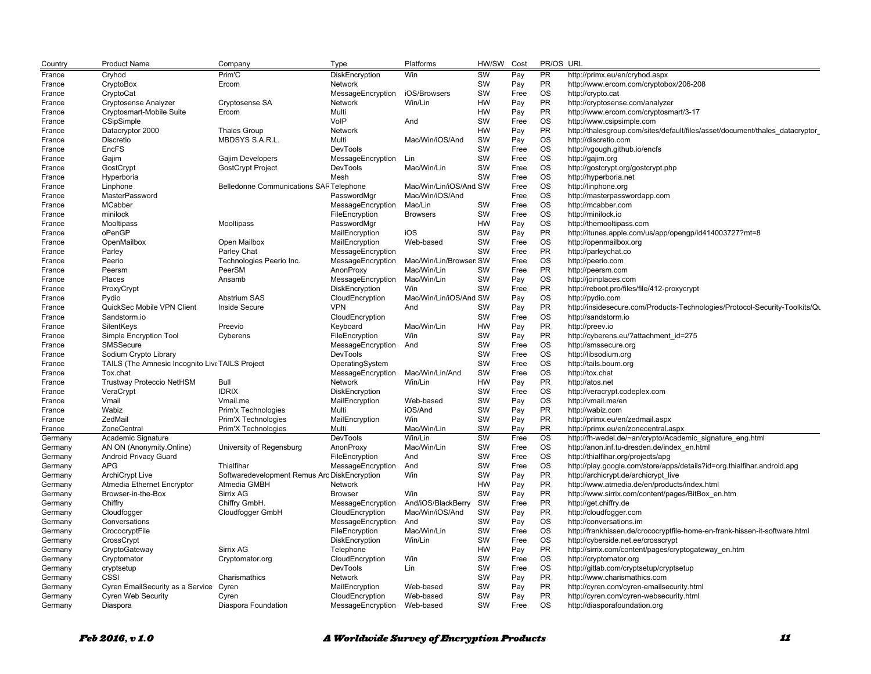| Country | <b>Product Name</b>                             | Company                                      | Type              | Platforms               | HW/SW     | Cost | PR/OS URL |                                                                              |
|---------|-------------------------------------------------|----------------------------------------------|-------------------|-------------------------|-----------|------|-----------|------------------------------------------------------------------------------|
| France  | Cryhod                                          | Prim'C                                       | DiskEncryption    | Win                     | SW        | Pay  | PR        | http://primx.eu/en/cryhod.aspx                                               |
| France  | CryptoBox                                       | Ercom                                        | Network           |                         | SW        | Pay  | PR        | http://www.ercom.com/cryptobox/206-208                                       |
| France  | CryptoCat                                       |                                              | MessageEncryption | iOS/Browsers            | SW        | Free | <b>OS</b> | http://crypto.cat                                                            |
| France  | Cryptosense Analyzer                            | Cryptosense SA                               | Network           | Win/Lin                 | HW        | Pay  | <b>PR</b> | http://cryptosense.com/analyzer                                              |
| France  | Cryptosmart-Mobile Suite                        | Ercom                                        | Multi             |                         | HW        | Pay  | <b>PR</b> | http://www.ercom.com/cryptosmart/3-17                                        |
| France  | CSipSimple                                      |                                              | VoIP              | And                     | SW        | Free | <b>OS</b> | http://www.csipsimple.com                                                    |
| France  | Datacryptor 2000                                | <b>Thales Group</b>                          | Network           |                         | HW        | Pay  | <b>PR</b> | http://thalesgroup.com/sites/default/files/asset/document/thales_datacryptor |
| France  | <b>Discretio</b>                                | MBDSYS S.A.R.L.                              | Multi             | Mac/Win/iOS/And         | SW        | Pay  | <b>OS</b> | http://discretio.com                                                         |
| France  | EncFS                                           |                                              | <b>DevTools</b>   |                         | SW        | Free | <b>OS</b> | http://vgough.github.io/encfs                                                |
| France  | Gajim                                           | Gajim Developers                             | MessageEncryption | Lin                     | SW        | Free | <b>OS</b> | http://gajim.org                                                             |
| France  | GostCrypt                                       | GostCrypt Project                            | <b>DevTools</b>   | Mac/Win/Lin             | SW        | Free | <b>OS</b> | http://gostcrypt.org/gostcrypt.php                                           |
| France  | Hyperboria                                      |                                              | Mesh              |                         | SW        | Free | <b>OS</b> | http://hyperboria.net                                                        |
| France  | Linphone                                        | Belledonne Communications SAF Telephone      |                   | Mac/Win/Lin/iOS/And SW  |           | Free | <b>OS</b> | http://linphone.org                                                          |
| France  | MasterPassword                                  |                                              | PasswordMgr       | Mac/Win/iOS/And         |           | Free | <b>OS</b> | http://masterpasswordapp.com                                                 |
| France  | <b>MCabber</b>                                  |                                              | MessageEncryption | Mac/Lin                 | SW        | Free | <b>OS</b> | http://mcabber.com                                                           |
| France  | minilock                                        |                                              | FileEncryption    | <b>Browsers</b>         | SW        | Free | <b>OS</b> | http://minilock.io                                                           |
| France  | Mooltipass                                      | Mooltipass                                   | PasswordMgr       |                         | HW        | Pay  | <b>OS</b> | http://themooltipass.com                                                     |
| France  | oPenGP                                          |                                              | MailEncryption    | iOS                     | SW        | Pay  | <b>PR</b> | http://itunes.apple.com/us/app/opengp/id414003727?mt=8                       |
|         | OpenMailbox                                     | Open Mailbox                                 |                   | Web-based               | SW        | Free | <b>OS</b> | http://openmailbox.org                                                       |
| France  |                                                 |                                              | MailEncryption    |                         |           |      | <b>PR</b> |                                                                              |
| France  | Parley                                          | Parley Chat                                  | MessageEncryption |                         | SW        | Free | <b>OS</b> | http://parleychat.co                                                         |
| France  | Peerio                                          | Technologies Peerio Inc.                     | MessageEncryption | Mac/Win/Lin/Browser: SW |           | Free |           | http://peerio.com                                                            |
| France  | Peersm                                          | PeerSM                                       | AnonProxy         | Mac/Win/Lin             | SW        | Free | <b>PR</b> | http://peersm.com                                                            |
| France  | Places                                          | Ansamb                                       | MessageEncryption | Mac/Win/Lin             | SW        | Pay  | <b>OS</b> | http://joinplaces.com                                                        |
| France  | ProxyCrypt                                      |                                              | DiskEncryption    | Win                     | SW        | Free | <b>PR</b> | http://reboot.pro/files/file/412-proxycrypt                                  |
| France  | Pydio                                           | Abstrium SAS                                 | CloudEncryption   | Mac/Win/Lin/iOS/And SW  |           | Pay  | <b>OS</b> | http://pydio.com                                                             |
| France  | QuickSec Mobile VPN Client                      | <b>Inside Secure</b>                         | <b>VPN</b>        | And                     | SW        | Pay  | <b>PR</b> | http://insidesecure.com/Products-Technologies/Protocol-Security-Toolkits/Qu  |
| France  | Sandstorm.io                                    |                                              | CloudEncryption   |                         | SW        | Free | <b>OS</b> | http://sandstorm.io                                                          |
| France  | SilentKeys                                      | Preevio                                      | Keyboard          | Mac/Win/Lin             | <b>HW</b> | Pay  | <b>PR</b> | http://preev.io                                                              |
| France  | Simple Encryption Tool                          | Cyberens                                     | FileEncryption    | Win                     | SW        | Pay  | <b>PR</b> | http://cyberens.eu/?attachment_id=275                                        |
| France  | SMSSecure                                       |                                              | MessageEncryption | And                     | SW        | Free | <b>OS</b> | http://smssecure.org                                                         |
| France  | Sodium Crypto Library                           |                                              | <b>DevTools</b>   |                         | SW        | Free | <b>OS</b> | http://libsodium.org                                                         |
| France  | TAILS (The Amnesic Incognito Live TAILS Project |                                              | OperatingSystem   |                         | SW        | Free | <b>OS</b> | http://tails.boum.org                                                        |
| France  | Tox.chat                                        |                                              | MessageEncryption | Mac/Win/Lin/And         | SW        | Free | <b>OS</b> | http://tox.chat                                                              |
| France  | Trustway Proteccio NetHSM                       | Bull                                         | Network           | Win/Lin                 | HW        | Pay  | <b>PR</b> | http://atos.net                                                              |
| France  | VeraCrypt                                       | <b>IDRIX</b>                                 | DiskEncryption    |                         | SW        | Free | <b>OS</b> | http://veracrypt.codeplex.com                                                |
| France  | Vmail                                           | Vmail.me                                     | MailEncryption    | Web-based               | SW        | Pay  | OS.       | http://vmail.me/en                                                           |
| France  | Wabiz                                           | Prim'x Technologies                          | Multi             | iOS/And                 | SW        | Pay  | <b>PR</b> | http://wabiz.com                                                             |
| France  | ZedMail                                         | Prim'X Technologies                          | MailEncryption    | Win                     | SW        | Pay  | <b>PR</b> | http://primx.eu/en/zedmail.aspx                                              |
| France  | ZoneCentral                                     | Prim'X Technologies                          | Multi             | Mac/Win/Lin             | SW        | Pay  | PR        | http://primx.eu/en/zonecentral.aspx                                          |
| Germany | Academic Signature                              |                                              | DevTools          | Win/Lin                 | SW        | Free | <b>OS</b> | http://fh-wedel.de/~an/crypto/Academic signature eng.html                    |
| Germany | AN ON (Anonymity.Online)                        | University of Regensburg                     | AnonProxy         | Mac/Win/Lin             | SW        | Free | <b>OS</b> | http://anon.inf.tu-dresden.de/index_en.html                                  |
| Germany | <b>Android Privacy Guard</b>                    |                                              | FileEncryption    | And                     | SW        | Free | <b>OS</b> | http://thialfihar.org/projects/apg                                           |
| Germany | APG                                             | Thialfihar                                   | MessageEncryption | And                     | SW        | Free | <b>OS</b> | http://play.google.com/store/apps/details?id=org.thialfihar.android.apg      |
| Germany | <b>ArchiCrypt Live</b>                          | Softwaredevelopment Remus Arc DiskEncryption |                   | Win                     | SW        | Pay  | <b>PR</b> | http://archicrypt.de/archicrypt_live                                         |
| Germany | Atmedia Ethernet Encryptor                      | Atmedia GMBH                                 | Network           |                         | HW        | Pay  | <b>PR</b> | http://www.atmedia.de/en/products/index.html                                 |
| Germany | Browser-in-the-Box                              | Sirrix AG                                    | <b>Browser</b>    | Win                     | SW        | Pay  | <b>PR</b> | http://www.sirrix.com/content/pages/BitBox en.htm                            |
| Germany | Chiffry                                         | Chiffry GmbH.                                | MessageEncryption | And/iOS/BlackBerry      | SW        | Free | <b>PR</b> | http://get.chiffry.de                                                        |
| Germany | Cloudfogger                                     | Cloudfogger GmbH                             | CloudEncryption   | Mac/Win/iOS/And         | SW        | Pay  | <b>PR</b> | http://cloudfogger.com                                                       |
| Germany | Conversations                                   |                                              | MessageEncryption | And                     | SW        | Pay  | <b>OS</b> | http://conversations.im                                                      |
| Germany | CrococryptFile                                  |                                              | FileEncryption    | Mac/Win/Lin             | SW        | Free | <b>OS</b> | http://frankhissen.de/crococryptfile-home-en-frank-hissen-it-software.html   |
| Germany | CrossCrypt                                      |                                              | DiskEncryption    | Win/Lin                 | SW        | Free | <b>OS</b> | http://cyberside.net.ee/crosscrypt                                           |
| Germany | CryptoGateway                                   | Sirrix AG                                    | Telephone         |                         | HW        | Pay  | <b>PR</b> | http://sirrix.com/content/pages/cryptogateway_en.htm                         |
| Germany | Cryptomator                                     | Cryptomator.org                              | CloudEncryption   | Win                     | SW        | Free | <b>OS</b> | http://cryptomator.org                                                       |
| Germany | cryptsetup                                      |                                              | DevTools          | Lin                     | SW        | Free | <b>OS</b> | http://gitlab.com/cryptsetup/cryptsetup                                      |
| Germany | CSSI                                            | Charismathics                                | Network           |                         | SW        | Pay  | <b>PR</b> | http://www.charismathics.com                                                 |
| Germany | Cyren EmailSecurity as a Service Cyren          |                                              | MailEncryption    | Web-based               | SW        | Pay  | <b>PR</b> | http://cyren.com/cyren-emailsecurity.html                                    |
| Germany | <b>Cyren Web Security</b>                       | Cyren                                        | CloudEncryption   | Web-based               | SW        | Pay  | <b>PR</b> | http://cyren.com/cyren-websecurity.html                                      |
| Germany | Diaspora                                        | Diaspora Foundation                          | MessageEncryption | Web-based               | SW        | Free | <b>OS</b> | http://diasporafoundation.org                                                |
|         |                                                 |                                              |                   |                         |           |      |           |                                                                              |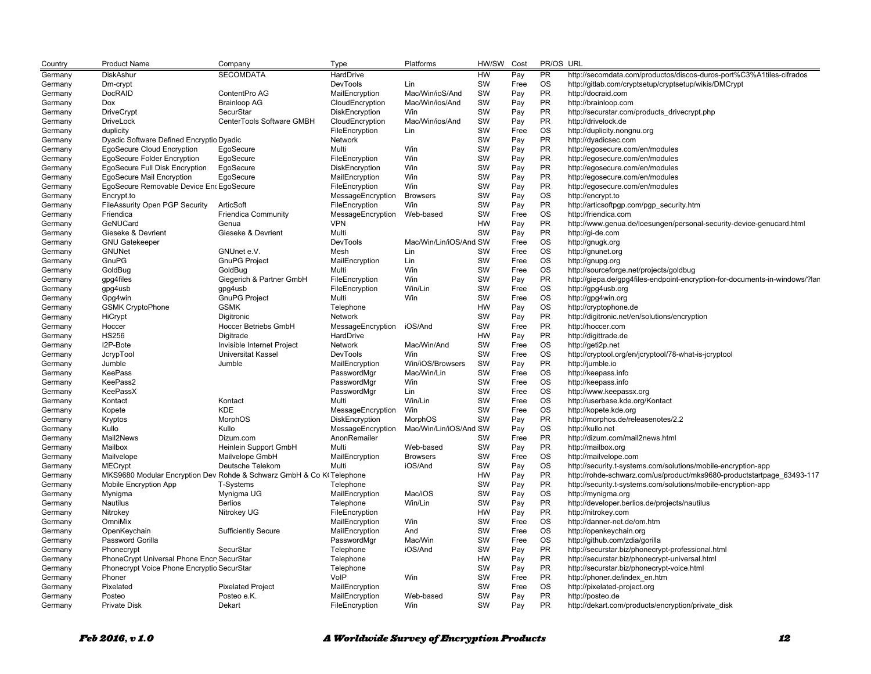| Country | <b>Product Name</b>                                                  | Company                    | Type              | Platforms              | HW/SW     | Cost | PR/OS URL |                                                                             |
|---------|----------------------------------------------------------------------|----------------------------|-------------------|------------------------|-----------|------|-----------|-----------------------------------------------------------------------------|
| Germany | DiskAshur                                                            | <b>SECOMDATA</b>           | HardDrive         |                        | HW        | Pay  | <b>PR</b> | http://secomdata.com/productos/discos-duros-port%C3%A1tiles-cifrados        |
| Germany | Dm-crypt                                                             |                            | DevTools          | Lin                    | SW        | Free | <b>OS</b> | http://gitlab.com/cryptsetup/cryptsetup/wikis/DMCrypt                       |
| Germany | DocRAID                                                              | ContentPro AG              | MailEncryption    | Mac/Win/ioS/And        | SW        | Pay  | <b>PR</b> | http://docraid.com                                                          |
| Germany | <b>Dox</b>                                                           | <b>Brainloop AG</b>        | CloudEncryption   | Mac/Win/ios/And        | SW        | Pay  | PR        | http://brainloop.com                                                        |
| Germany | <b>DriveCrypt</b>                                                    | SecurStar                  | DiskEncryption    | Win                    | <b>SW</b> | Pay  | <b>PR</b> | http://securstar.com/products_drivecrypt.php                                |
| Germany | <b>DriveLock</b>                                                     | CenterTools Software GMBH  | CloudEncryption   | Mac/Win/ios/And        | SW        | Pay  | PR        | http://drivelock.de                                                         |
| Germany | duplicity                                                            |                            | FileEncryption    | Lin                    | SW        | Free | <b>OS</b> | http://duplicity.nongnu.org                                                 |
| Germany | Dyadic Software Defined Encryptio Dyadic                             |                            | Network           |                        | SW        | Pay  | PR        | http://dyadicsec.com                                                        |
| Germany | EgoSecure Cloud Encryption                                           | EgoSecure                  | Multi             | Win                    | SW        | Pay  | <b>PR</b> | http://egosecure.com/en/modules                                             |
| Germany | EgoSecure Folder Encryption                                          | EgoSecure                  | FileEncryption    | Win                    | SW        | Pay  | PR        | http://egosecure.com/en/modules                                             |
| Germany | EgoSecure Full Disk Encryption                                       | EgoSecure                  | DiskEncryption    | Win                    | SW        | Pay  | <b>PR</b> | http://egosecure.com/en/modules                                             |
| Germany | EgoSecure Mail Encryption                                            | EgoSecure                  | MailEncryption    | Win                    | SW        | Pay  | PR        | http://egosecure.com/en/modules                                             |
|         | EgoSecure Removable Device EncEgoSecure                              |                            | FileEncryption    | Win                    | SW        | Pay  | <b>PR</b> | http://egosecure.com/en/modules                                             |
| Germany |                                                                      |                            | MessageEncryption | <b>Browsers</b>        | <b>SW</b> |      | <b>OS</b> |                                                                             |
| Germany | Encrypt.to                                                           |                            |                   |                        |           | Pay  | PR        | http://encrypt.to                                                           |
| Germany | FileAssurity Open PGP Security                                       | ArticSoft                  | FileEncryption    | Win                    | SW        | Pay  |           | http://articsoftpgp.com/pgp_security.htm                                    |
| Germany | Friendica                                                            | <b>Friendica Community</b> | MessageEncryption | Web-based              | SW        | Free | <b>OS</b> | http://friendica.com                                                        |
| Germany | GeNUCard                                                             | Genua                      | <b>VPN</b>        |                        | HW        | Pay  | <b>PR</b> | http://www.genua.de/loesungen/personal-security-device-genucard.html        |
| Germany | Gieseke & Devrient                                                   | Gieseke & Devrient         | Multi             |                        | SW        | Pay  | <b>PR</b> | http://gi-de.com                                                            |
| Germany | <b>GNU Gatekeeper</b>                                                |                            | <b>DevTools</b>   | Mac/Win/Lin/iOS/And SW |           | Free | <b>OS</b> | http://gnugk.org                                                            |
| Germany | <b>GNUNet</b>                                                        | GNUnet e.V.                | Mesh              | Lin                    | SW        | Free | <b>OS</b> | http://gnunet.org                                                           |
| Germany | GnuPG                                                                | <b>GnuPG Project</b>       | MailEncryption    | Lin                    | SW        | Free | <b>OS</b> | http://gnupg.org                                                            |
| Germany | GoldBug                                                              | GoldBug                    | Multi             | Win                    | SW        | Free | <b>OS</b> | http://sourceforge.net/projects/goldbug                                     |
| Germany | gpg4files                                                            | Giegerich & Partner GmbH   | FileEncryption    | Win                    | SW        | Pay  | PR        | http://giepa.de/gpg4files-endpoint-encryption-for-documents-in-windows/?lar |
| Germany | gpg4usb                                                              | gpg4usb                    | FileEncryption    | Win/Lin                | <b>SW</b> | Free | <b>OS</b> | http://gpg4usb.org                                                          |
| Germany | Gpg4win                                                              | <b>GnuPG Project</b>       | Multi             | Win                    | SW        | Free | <b>OS</b> | http://gpg4win.org                                                          |
| Germany | <b>GSMK CryptoPhone</b>                                              | <b>GSMK</b>                | Telephone         |                        | HW        | Pay  | <b>OS</b> | http://cryptophone.de                                                       |
| Germany | HiCrypt                                                              | Digitronic                 | Network           |                        | <b>SW</b> | Pay  | PR        | http://digitronic.net/en/solutions/encryption                               |
| Germany | Hoccer                                                               | Hoccer Betriebs GmbH       | MessageEncryption | iOS/And                | <b>SW</b> | Free | <b>PR</b> | http://hoccer.com                                                           |
| Germany | <b>HS256</b>                                                         | Digitrade                  | HardDrive         |                        | HW        | Pay  | PR        | http://digittrade.de                                                        |
| Germany | I2P-Bote                                                             | Invisible Internet Project | Network           | Mac/Win/And            | SW        | Free | <b>OS</b> | http://geti2p.net                                                           |
| Germany | JcrypTool                                                            | Universitat Kassel         | DevTools          | Win                    | SW        | Free | <b>OS</b> | http://cryptool.org/en/jcryptool/78-what-is-jcryptool                       |
| Germany | Jumble                                                               | Jumble                     | MailEncryption    | Win/iOS/Browsers       | SW        | Pay  | PR        | http://jumble.io                                                            |
| Germany | <b>KeePass</b>                                                       |                            | PasswordMgr       | Mac/Win/Lin            | SW        | Free | <b>OS</b> | http://keepass.info                                                         |
| Germany | KeePass2                                                             |                            | PasswordMgr       | Win                    | SW        | Free | <b>OS</b> | http://keepass.info                                                         |
| Germany | KeePassX                                                             |                            | PasswordMgr       | Lin                    | SW        | Free | <b>OS</b> | http://www.keepassx.org                                                     |
| Germany | Kontact                                                              | Kontact                    | Multi             | Win/Lin                | SW        | Free | <b>OS</b> | http://userbase.kde.org/Kontact                                             |
| Germany | Kopete                                                               | <b>KDE</b>                 | MessageEncryption | Win                    | SW        | Free | <b>OS</b> | http://kopete.kde.org                                                       |
| Germany | Kryptos                                                              | MorphOS                    | DiskEncryption    | MorphOS                | SW        | Pay  | PR        | http://morphos.de/releasenotes/2.2                                          |
| Germany | Kullo                                                                | Kullo                      | MessageEncryption | Mac/Win/Lin/iOS/And SW |           | Pay  | <b>OS</b> | http://kullo.net                                                            |
| Germany | Mail2News                                                            | Dizum.com                  | AnonRemailer      |                        | SW        | Free | PR        | http://dizum.com/mail2news.html                                             |
| Germany | Mailbox                                                              | Heinlein Support GmbH      | Multi             | Web-based              | <b>SW</b> | Pay  | <b>PR</b> | http://mailbox.org                                                          |
| Germany | Mailvelope                                                           | Mailvelope GmbH            | MailEncryption    | <b>Browsers</b>        | SW        | Free | <b>OS</b> | http://mailvelope.com                                                       |
| Germany | <b>MECrypt</b>                                                       | Deutsche Telekom           | Multi             | iOS/And                | SW        | Pay  | <b>OS</b> | http://security.t-systems.com/solutions/mobile-encryption-app               |
| Germany | MKS9680 Modular Encryption Dev Rohde & Schwarz GmbH & Co K(Telephone |                            |                   |                        | <b>HW</b> | Pay  | <b>PR</b> | http://rohde-schwarz.com/us/product/mks9680-productstartpage 63493-117      |
| Germany | Mobile Encryption App                                                | T-Systems                  | Telephone         |                        | SW        | Pay  | <b>PR</b> | http://security.t-systems.com/solutions/mobile-encryption-app               |
| Germany | Mynigma                                                              | Mynigma UG                 | MailEncryption    | Mac/iOS                | SW        | Pay  | <b>OS</b> | http://mynigma.org                                                          |
| Germany | <b>Nautilus</b>                                                      | <b>Berlios</b>             | Telephone         | Win/Lin                | SW        | Pay  | <b>PR</b> | http://developer.berlios.de/projects/nautilus                               |
| Germany | Nitrokey                                                             | Nitrokey UG                | FileEncryption    |                        | HW        | Pay  | PR        | http://nitrokey.com                                                         |
|         | OmniMix                                                              |                            | MailEncryption    | Win                    | SW        | Free | <b>OS</b> | http://danner-net.de/om.htm                                                 |
| Germany |                                                                      | <b>Sufficiently Secure</b> |                   | And                    | SW        | Free | <b>OS</b> |                                                                             |
| Germany | OpenKeychain                                                         |                            | MailEncryption    |                        |           |      |           | http://openkeychain.org                                                     |
| Germany | Password Gorilla                                                     |                            | PasswordMgr       | Mac/Win                | SW        | Free | <b>OS</b> | http://github.com/zdia/gorilla                                              |
| Germany | Phonecrypt                                                           | SecurStar                  | Telephone         | iOS/And                | SW        | Pay  | PR        | http://securstar.biz/phonecrypt-professional.html                           |
| Germany | PhoneCrypt Universal Phone EncrySecurStar                            |                            | Telephone         |                        | HW        | Pay  | <b>PR</b> | http://securstar.biz/phonecrypt-universal.html                              |
| Germany | Phonecrypt Voice Phone Encryptio SecurStar                           |                            | Telephone         |                        | SW        | Pay  | <b>PR</b> | http://securstar.biz/phonecrypt-voice.html                                  |
| Germany | Phoner                                                               |                            | VoIP              | Win                    | SW        | Free | PR        | http://phoner.de/index_en.htm                                               |
| Germany | Pixelated                                                            | <b>Pixelated Project</b>   | MailEncryption    |                        | SW        | Free | <b>OS</b> | http://pixelated-project.org                                                |
| Germany | Posteo                                                               | Posteo e.K.                | MailEncryption    | Web-based              | SW        | Pay  | <b>PR</b> | http://posteo.de                                                            |
| Germany | <b>Private Disk</b>                                                  | Dekart                     | FileEncryption    | Win                    | SW        | Pay  | <b>PR</b> | http://dekart.com/products/encryption/private_disk                          |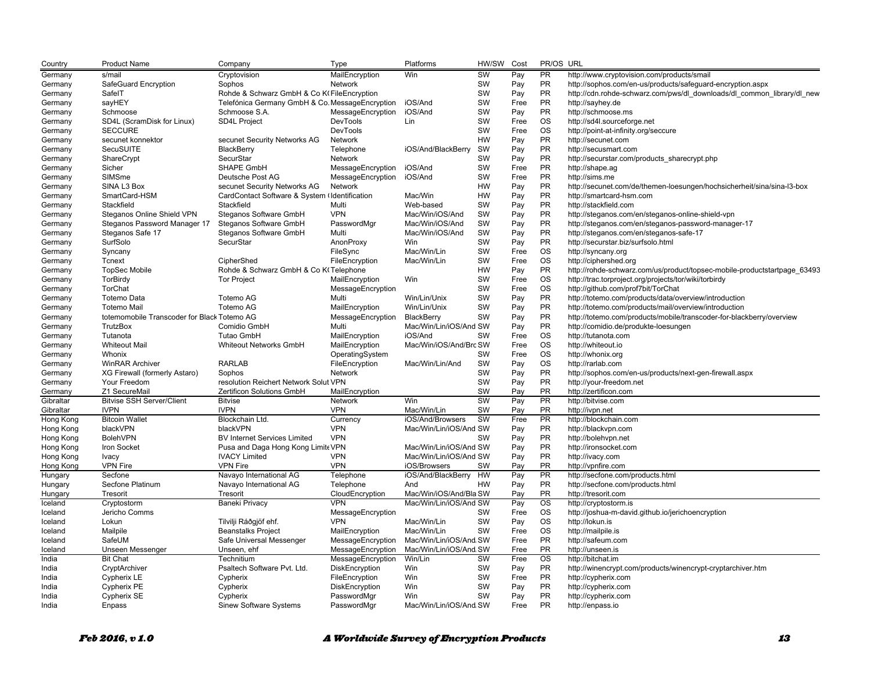| Country            | <b>Product Name</b>                         | Company                                         | Type                     | Platforms                              | HW/SW Cost |            | PR/OS URL       |                                                                          |
|--------------------|---------------------------------------------|-------------------------------------------------|--------------------------|----------------------------------------|------------|------------|-----------------|--------------------------------------------------------------------------|
| Germany            | s/mail                                      | Cryptovision                                    | MailEncryption           | Win                                    | SW         | Pay        | <b>PR</b>       | http://www.cryptovision.com/products/smail                               |
| Germany            | SafeGuard Encryption                        | Sophos                                          | Network                  |                                        | SW         | Pay        | <b>PR</b>       | http://sophos.com/en-us/products/safeguard-encryption.aspx               |
| Germany            | SafelT                                      | Rohde & Schwarz GmbH & Co K(FileEncryption      |                          |                                        | SW         | Pay        | <b>PR</b>       | http://cdn.rohde-schwarz.com/pws/dl_downloads/dl_common_library/dl_new   |
| Germany            | sayHEY                                      | Telefónica Germany GmbH & Co. MessageEncryption |                          | iOS/And                                | SW         | Free       | <b>PR</b>       | http://sayhey.de                                                         |
| Germany            | Schmoose                                    | Schmoose S.A.                                   | MessageEncryption        | iOS/And                                | SW         | Pay        | <b>PR</b>       | http://schmoose.ms                                                       |
| Germany            | SD4L (ScramDisk for Linux)                  | <b>SD4L Project</b>                             | <b>DevTools</b>          | Lin                                    | SW         | Free       | <b>OS</b>       | http://sd4l.sourceforge.net                                              |
| Germany            | <b>SECCURE</b>                              |                                                 | DevTools                 |                                        | SW         | Free       | <b>OS</b>       | http://point-at-infinity.org/seccure                                     |
| Germany            | secunet konnektor                           | secunet Security Networks AG                    | Network                  |                                        | HW         | Pay        | <b>PR</b>       | http://secunet.com                                                       |
| Germany            | SecuSUITE                                   | BlackBerry                                      | Telephone                | iOS/And/BlackBerry                     | <b>SW</b>  | Pay        | <b>PR</b>       | http://secusmart.com                                                     |
| Germany            | ShareCrypt                                  | SecurStar                                       | Network                  |                                        | SW         | Pay        | <b>PR</b>       | http://securstar.com/products_sharecrypt.php                             |
| Germany            | Sicher                                      | SHAPE GmbH                                      | MessageEncryption        | iOS/And                                | SW         | Free       | <b>PR</b>       | http://shape.ag                                                          |
| Germany            | SIMSme                                      | Deutsche Post AG                                | MessageEncryption        | iOS/And                                | SW         | Free       | <b>PR</b>       | http://sims.me                                                           |
| Germany            | SINA L3 Box                                 | secunet Security Networks AG                    | Network                  |                                        | <b>HW</b>  | Pay        | <b>PR</b>       | http://secunet.com/de/themen-loesungen/hochsicherheit/sina/sina-l3-box   |
| Germany            | SmartCard-HSM                               | CardContact Software & System (Identification   |                          | Mac/Win                                | <b>HW</b>  | Pay        | <b>PR</b>       | http://smartcard-hsm.com                                                 |
| Germany            | Stackfield                                  | Stackfield                                      | Multi                    | Web-based                              | SW         | Pay        | <b>PR</b>       | http://stackfield.com                                                    |
| Germany            | Steganos Online Shield VPN                  | Steganos Software GmbH                          | <b>VPN</b>               | Mac/Win/iOS/And                        | SW         | Pay        | PR              | http://steganos.com/en/steganos-online-shield-vpn                        |
| Germany            | Steganos Password Manager 17                | Steganos Software GmbH                          | PasswordMgr              | Mac/Win/iOS/And                        | SW         | Pay        | <b>PR</b>       | http://steganos.com/en/steganos-password-manager-17                      |
| Germany            | Steganos Safe 17                            | Steganos Software GmbH                          | Multi                    | Mac/Win/iOS/And                        | SW         | Pay        | <b>PR</b>       | http://steganos.com/en/steganos-safe-17                                  |
| Germany            | SurfSolo                                    | SecurStar                                       | AnonProxy                | Win                                    | SW         | Pay        | <b>PR</b>       | http://securstar.biz/surfsolo.html                                       |
|                    |                                             |                                                 |                          |                                        | SW         |            | <b>OS</b>       |                                                                          |
| Germany            | Syncany                                     |                                                 | FileSync                 | Mac/Win/Lin<br>Mac/Win/Lin             |            | Free       |                 | http://syncany.org                                                       |
| Germany            | Tcnext                                      | CipherShed                                      | FileEncryption           |                                        | SW         | Free       | <b>OS</b>       | http://ciphershed.org                                                    |
| Germany            | <b>TopSec Mobile</b>                        | Rohde & Schwarz GmbH & Co K(Telephone           |                          |                                        | HW         | Pay        | <b>PR</b>       | http://rohde-schwarz.com/us/product/topsec-mobile-productstartpage 63493 |
| Germany            | TorBirdy                                    | <b>Tor Project</b>                              | MailEncryption           | Win                                    | SW         | Free       | <b>OS</b>       | http://trac.torproject.org/projects/tor/wiki/torbirdy                    |
| Germany            | TorChat                                     |                                                 | MessageEncryption        |                                        | SW         | Free       | <b>OS</b>       | http://github.com/prof7bit/TorChat                                       |
| Germany            | Totemo Data                                 | Totemo AG                                       | Multi                    | Win/Lin/Unix                           | SW         | Pay        | <b>PR</b>       | http://totemo.com/products/data/overview/introduction                    |
| Germany            | <b>Totemo Mail</b>                          | Totemo AG                                       | MailEncryption           | Win/Lin/Unix                           | SW         | Pay        | <b>PR</b>       | http://totemo.com/products/mail/overview/introduction                    |
| Germany            | totemomobile Transcoder for Black Totemo AG |                                                 | MessageEncryption        | BlackBerry                             | SW         | Pay        | <b>PR</b>       | http://totemo.com/products/mobile/transcoder-for-blackberry/overview     |
| Germany            | TrutzBox                                    | Comidio GmbH                                    | Multi                    | Mac/Win/Lin/iOS/And SW                 |            | Pay        | <b>PR</b>       | http://comidio.de/produkte-loesungen                                     |
| Germany            | Tutanota                                    | Tutao GmbH                                      | MailEncryption           | iOS/And                                | SW         | Free       | <b>OS</b>       | http://tutanota.com                                                      |
| Germany            | <b>Whiteout Mail</b>                        | Whiteout Networks GmbH                          | MailEncryption           | Mac/Win/iOS/And/Brc SW                 |            | Free       | <b>OS</b>       | http://whiteout.io                                                       |
| Germany            | Whonix                                      |                                                 | OperatingSystem          |                                        | SW         | Free       | <b>OS</b>       | http://whonix.org                                                        |
| Germany            | <b>WinRAR Archiver</b>                      | <b>RARLAB</b>                                   | FileEncryption           | Mac/Win/Lin/And                        | SW         | Pay        | <b>OS</b>       | http://rarlab.com                                                        |
| Germany            | XG Firewall (formerly Astaro)               | Sophos                                          | Network                  |                                        | SW         | Pay        | <b>PR</b>       | http://sophos.com/en-us/products/next-gen-firewall.aspx                  |
| Germany            | Your Freedom                                | resolution Reichert Network Solut VPN           |                          |                                        | SW         | Pay        | <b>PR</b>       | http://your-freedom.net                                                  |
| Germany            | Z1 SecureMail                               | Zertificon Solutions GmbH                       | MailEncryption           |                                        | SW         | Pay        | PR              | http://zertificon.com                                                    |
| Gibraltar          | <b>Bitvise SSH Server/Client</b>            | <b>Bitvise</b>                                  | Network                  | Win                                    | SW         | Pay        | <b>PR</b>       | http://bitvise.com                                                       |
| Gibraltar          | <b>IVPN</b>                                 | <b>IVPN</b>                                     | <b>VPN</b>               | Mac/Win/Lin                            | SW         | Pay        | <b>PR</b>       | http://ivpn.net                                                          |
| Hong Kong          | <b>Bitcoin Wallet</b>                       | Blockchain Ltd.                                 | Currency                 | iOS/And/Browsers                       | SW         | Free       | <b>PR</b>       | http://blockchain.com                                                    |
| Hong Kong          | blackVPN                                    | blackVPN                                        | <b>VPN</b>               | Mac/Win/Lin/iOS/And SW                 |            | Pay        | <b>PR</b>       | http://blackvpn.com                                                      |
| Hong Kong          | BolehVPN                                    | <b>BV Internet Services Limited</b>             | <b>VPN</b>               |                                        | SW         | Pay        | <b>PR</b>       | http://bolehvpn.net                                                      |
| Hong Kong          | Iron Socket                                 | Pusa and Daga Hong Kong Limite VPN              |                          | Mac/Win/Lin/iOS/And SW                 |            | Pay        | <b>PR</b>       | http://ironsocket.com                                                    |
| Hong Kong          | Ivacy<br><b>VPN Fire</b>                    | <b>IVACY Limited</b><br><b>VPN Fire</b>         | <b>VPN</b><br><b>VPN</b> | Mac/Win/Lin/iOS/And SW<br>iOS/Browsers |            | Pay        | <b>PR</b><br>PR | http://ivacy.com                                                         |
| Hong Kong          | Secfone                                     | Navayo International AG                         | Telephone                | iOS/And/BlackBerry                     | SW<br>HW   | Pay        | $\overline{PR}$ | http://vpnfire.com                                                       |
| Hungary            | Secfone Platinum                            | Navayo International AG                         | Telephone                | And                                    | <b>HW</b>  | Pay        | <b>PR</b>       | http://secfone.com/products.html                                         |
| Hungary            | Tresorit                                    | Tresorit                                        | CloudEncryption          | Mac/Win/iOS/And/Bla SW                 |            | Pay<br>Pay | <b>PR</b>       | http://secfone.com/products.html<br>http://tresorit.com                  |
| Hungary<br>Iceland | Cryptostorm                                 | Baneki Privacy                                  | <b>VPN</b>               | Mac/Win/Lin/iOS/And SW                 |            | Pay        | <b>OS</b>       | http://cryptostorm.is                                                    |
| Iceland            | Jericho Comms                               |                                                 | MessageEncryption        |                                        | SW         | Free       | <b>OS</b>       | http://joshua-m-david.github.io/jerichoencryption                        |
| Iceland            | Lokun                                       | Tilvilji Ráðgjöf ehf.                           | <b>VPN</b>               | Mac/Win/Lin                            | SW         | Pay        | <b>OS</b>       | http://lokun.is                                                          |
| Iceland            | Mailpile                                    | <b>Beanstalks Project</b>                       | MailEncryption           | Mac/Win/Lin                            | SW         | Free       | <b>OS</b>       | http://mailpile.is                                                       |
| Iceland            | SafeUM                                      | Safe Universal Messenger                        | MessageEncryption        | Mac/Win/Lin/iOS/And SW                 |            | Free       | <b>PR</b>       | http://safeum.com                                                        |
| Iceland            | <b>Unseen Messenger</b>                     | Unseen, ehf                                     | MessageEncryption        | Mac/Win/Lin/iOS/And SW                 |            | Free       | <b>PR</b>       | http://unseen.is                                                         |
| India              | <b>Bit Chat</b>                             | Technitium                                      | MessageEncryption        | Win/Lin                                | SW         | Free       | <b>OS</b>       | http://bitchat.im                                                        |
| India              | CryptArchiver                               | Psaltech Software Pvt. Ltd.                     | DiskEncryption           | Win                                    | SW         | Pay        | <b>PR</b>       | http://winencrypt.com/products/winencrypt-cryptarchiver.htm              |
| India              | Cypherix LE                                 | Cypherix                                        | FileEncryption           | Win                                    | SW         | Free       | <b>PR</b>       | http://cypherix.com                                                      |
| India              | <b>Cypherix PE</b>                          | Cypherix                                        | DiskEncryption           | Win                                    | SW         | Pay        | <b>PR</b>       | http://cypherix.com                                                      |
| India              | Cypherix SE                                 | Cypherix                                        | PasswordMgr              | Win                                    | SW         | Pay        | <b>PR</b>       | http://cypherix.com                                                      |
| India              | Enpass                                      | <b>Sinew Software Systems</b>                   | PasswordMgr              | Mac/Win/Lin/iOS/And SW                 |            | Free       | <b>PR</b>       | http://enpass.io                                                         |
|                    |                                             |                                                 |                          |                                        |            |            |                 |                                                                          |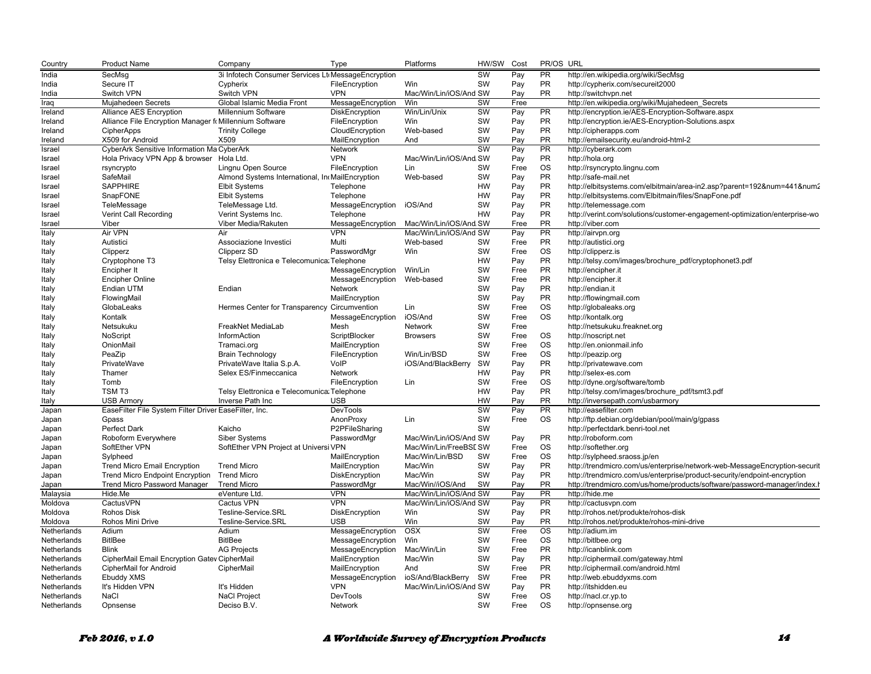| Country        | <b>Product Name</b>                                     | Company                                                | Type                             | Platforms                                        | HW/SW Cost |             | PR/OS URL              |                                                                                                           |
|----------------|---------------------------------------------------------|--------------------------------------------------------|----------------------------------|--------------------------------------------------|------------|-------------|------------------------|-----------------------------------------------------------------------------------------------------------|
| India          | SecMsq                                                  | 3i Infotech Consumer Services Lt MessageEncryption     |                                  |                                                  | SW         | Pay         | PR                     | http://en.wikipedia.org/wiki/SecMsg                                                                       |
| India          | Secure IT                                               | Cypherix                                               | FileEncryption                   | Win                                              | SW         | Pay         | PR                     | http://cypherix.com/secureit2000                                                                          |
| India          | Switch VPN                                              | Switch VPN                                             | <b>VPN</b>                       | Mac/Win/Lin/iOS/And SW                           |            | Pay         | PR.                    | http://switchvpn.net                                                                                      |
| Iraq           | Mujahedeen Secrets                                      | Global Islamic Media Front                             | MessageEncryption                | Win                                              | SW         | Free        |                        | http://en.wikipedia.org/wiki/Mujahedeen Secrets                                                           |
| Ireland        | Alliance AES Encryption                                 | Millennium Software                                    | DiskEncryption                   | Win/Lin/Unix                                     | SW         | Pay         | PR                     | http://encryption.ie/AES-Encryption-Software.aspx                                                         |
| Ireland        | Alliance File Encryption Manager fo Millennium Software |                                                        | FileEncryption                   | Win                                              | <b>SW</b>  | Pay         | PR                     | http://encryption.ie/AES-Encryption-Solutions.aspx                                                        |
| Ireland        | CipherApps                                              | <b>Trinity College</b>                                 | CloudEncryption                  | Web-based                                        | SW         | Pay         | PR                     | http://cipherapps.com                                                                                     |
| Ireland        | X509 for Android                                        | X509                                                   | MailEncryption                   | And                                              | SW         | Pay         | PR                     | http://emailsecurity.eu/android-html-2                                                                    |
| Israel         | CyberArk Sensitive Information Ma CyberArk              |                                                        | Network                          |                                                  | SW         | Pay         | PR                     | http://cyberark.com                                                                                       |
| Israel         | Hola Privacy VPN App & browser Hola Ltd.                |                                                        | <b>VPN</b>                       | Mac/Win/Lin/iOS/And SW                           |            | Pay         | <b>PR</b>              | http://hola.org                                                                                           |
| Israel         | rsyncrypto                                              | Lingnu Open Source                                     | FileEncryption                   | Lin                                              | <b>SW</b>  | Free        | <b>OS</b>              | http://rsyncrypto.lingnu.com                                                                              |
| Israel         | SafeMail                                                | Almond Systems International, IncMailEncryption        |                                  | Web-based                                        | SW         | Pay         | <b>PR</b>              | http://safe-mail.net                                                                                      |
| Israel         | <b>SAPPHIRE</b>                                         | <b>Elbit Systems</b>                                   | Telephone                        |                                                  | <b>HW</b>  | Pay         | <b>PR</b>              | http://elbitsystems.com/elbitmain/area-in2.asp?parent=192#=441&num2                                       |
| Israel         | SnapFONE                                                | <b>Elbit Systems</b>                                   | Telephone                        |                                                  | HW         | Pay         | PR                     | http://elbitsystems.com/Elbitmain/files/SnapFone.pdf                                                      |
| Israel         | TeleMessage                                             | TeleMessage Ltd.                                       | MessageEncryption                | iOS/And                                          | SW         | Pay         | <b>PR</b>              | http://telemessage.com                                                                                    |
| Israel         | Verint Call Recording                                   | Verint Systems Inc.                                    | Telephone                        |                                                  | HW         | Pay         | PR                     | http://verint.com/solutions/customer-engagement-optimization/enterprise-wo                                |
| Israel         | Viber                                                   | Viber Media/Rakuten                                    | MessageEncryption                | Mac/Win/Lin/iOS/And SW                           |            | Free        | PR                     | http://viber.com                                                                                          |
| Italy          | Air VPN                                                 | Air                                                    | <b>VPN</b>                       | Mac/Win/Lin/iOS/And SW                           |            | Pay         | PR                     | http://airvpn.org                                                                                         |
| Italy          | Autistici                                               | Associazione Investici                                 | Multi                            | Web-based                                        | SW         | Free        | <b>PR</b>              | http://autistici.org                                                                                      |
| Italy          | Clipperz                                                | Clipperz SD                                            | PasswordMgr                      | Win                                              | SW         | Free        | <b>OS</b>              | http://clipperz.is                                                                                        |
| Italy          | Cryptophone T3                                          | Telsy Elettronica e Telecomunica: Telephone            |                                  |                                                  | HW         | Pay         | <b>PR</b>              | http://telsy.com/images/brochure_pdf/cryptophonet3.pdf                                                    |
| Italy          | Encipher It                                             |                                                        | MessageEncryption                | Win/Lin                                          | SW         | Free        | PR.                    | http://encipher.it                                                                                        |
| Italy          | <b>Encipher Online</b>                                  |                                                        | MessageEncryption                | Web-based                                        | <b>SW</b>  | Free        | PR                     | http://encipher.it                                                                                        |
| Italy          | Endian UTM                                              | Endian                                                 | Network                          |                                                  | SW         | Pay         | PR                     | http://endian.it                                                                                          |
| Italy          | FlowingMail                                             |                                                        | MailEncryption                   |                                                  | <b>SW</b>  | Pay         | PR                     | http://flowingmail.com                                                                                    |
| Italy          | GlobaLeaks                                              | Hermes Center for Transparency Circumvention           |                                  | Lin                                              | SW         | Free        | <b>OS</b>              | http://globaleaks.org                                                                                     |
| Italy          | Kontalk                                                 |                                                        | MessageEncryption                | iOS/And                                          | SW         | Free        | <b>OS</b>              | http://kontalk.org                                                                                        |
| Italy          | Netsukuku                                               | FreakNet MediaLab                                      | Mesh                             | Network                                          | SW         | Free        |                        | http://netsukuku.freaknet.org                                                                             |
| Italy          | NoScript                                                | InformAction                                           | ScriptBlocker                    | <b>Browsers</b>                                  | SW         | Free        | <b>OS</b>              | http://noscript.net                                                                                       |
| Italy          | OnionMail                                               | Tramaci.org                                            | MailEncryption                   |                                                  | SW         | Free        | <b>OS</b>              | http://en.onionmail.info                                                                                  |
| Italy          | PeaZip                                                  | <b>Brain Technology</b>                                | FileEncryption                   | Win/Lin/BSD                                      | SW         | Free        | <b>OS</b>              | http://peazip.org                                                                                         |
| Italy          | PrivateWave                                             | PrivateWave Italia S.p.A.                              | VolP                             | iOS/And/BlackBerry                               | <b>SW</b>  | Pay         | PR                     | http://privatewave.com                                                                                    |
| Italy          | Thamer                                                  | Selex ES/Finmeccanica                                  | Network                          |                                                  | HW         | Pay         | PR                     | http://selex-es.com                                                                                       |
| Italy          | Tomb                                                    |                                                        | FileEncryption                   | Lin                                              | SW         | Free        | <b>OS</b>              | http://dyne.org/software/tomb                                                                             |
| Italy          | TSM T3                                                  | Telsy Elettronica e Telecomunica: Telephone            |                                  |                                                  | HW         | Pay         | PR                     | http://telsy.com/images/brochure_pdf/tsmt3.pdf                                                            |
| Italy          | <b>USB Armory</b>                                       | Inverse Path Inc                                       | <b>USB</b>                       |                                                  | HW         | Pay         | PR                     | http://inversepath.com/usbarmory                                                                          |
| Japan          | EaseFilter File System Filter Driver EaseFilter, Inc.   |                                                        | DevTools                         |                                                  | SW         | Pay         | PR                     | http://easefilter.com                                                                                     |
| Japan          | Gpass                                                   |                                                        | AnonProxy<br>P2PFileSharing      | Lin                                              | SW<br>SW   | Free        | <b>OS</b>              | http://ftp.debian.org/debian/pool/main/g/gpass                                                            |
| Japan          | Perfect Dark                                            | Kaicho                                                 |                                  |                                                  |            |             | <b>PR</b>              | http://perfectdark.benri-tool.net                                                                         |
| Japan          | Roboform Everywhere<br>SoftEther VPN                    | Siber Systems<br>SoftEther VPN Project at Universi VPN | PasswordMqr                      | Mac/Win/Lin/iOS/And SW<br>Mac/Win/Lin/FreeBSE SW |            | Pay<br>Free | <b>OS</b>              | http://roboform.com<br>http://softether.org                                                               |
| Japan          |                                                         |                                                        |                                  | Mac/Win/Lin/BSD                                  | <b>SW</b>  | Free        | <b>OS</b>              |                                                                                                           |
| Japan<br>Japan | Sylpheed<br><b>Trend Micro Email Encryption</b>         | <b>Trend Micro</b>                                     | MailEncryption<br>MailEncryption | Mac/Win                                          | SW         | Pay         | PR                     | http://sylpheed.sraoss.jp/en<br>http://trendmicro.com/us/enterprise/network-web-MessageEncryption-securit |
| Japan          | <b>Trend Micro Endpoint Encryption</b>                  | <b>Trend Micro</b>                                     | DiskEncryption                   | Mac/Win                                          | SW         | Pay         | PR                     | http://trendmicro.com/us/enterprise/product-security/endpoint-encryption                                  |
| Japan          | Trend Micro Password Manager                            | <b>Trend Micro</b>                                     | PasswordMgr                      | Mac/Win//iOS/And                                 | SW         | Pay         | PR                     | http://trendmicro.com/us/home/products/software/password-manager/index.l                                  |
| Malaysia       | Hide.Me                                                 | eVenture Ltd                                           | <b>VPN</b>                       | Mac/Win/Lin/iOS/And SW                           |            | Pay         | $\overline{PR}$        | http://hide.me                                                                                            |
| Moldova        | CactusVPN                                               | Cactus VPN                                             | <b>VPN</b>                       | Mac/Win/Lin/iOS/And SW                           |            | Pay         | PR                     | http://cactusvpn.com                                                                                      |
| Moldova        | <b>Rohos Disk</b>                                       | Tesline-Service.SRL                                    | DiskEncryption                   | Win                                              | SW         | Pay         | <b>PR</b>              | http://rohos.net/produkte/rohos-disk                                                                      |
| Moldova        | Rohos Mini Drive                                        | Tesline-Service.SRL                                    | <b>USB</b>                       | Win                                              | SW         | Pay         | PR.                    | http://rohos.net/produkte/rohos-mini-drive                                                                |
| Netherlands    | Adium                                                   | Adium                                                  | MessageEncryption                | OSX                                              | <b>SW</b>  | Free        | $\overline{\text{OS}}$ | http://adium.im                                                                                           |
| Netherlands    | <b>BitIBee</b>                                          | <b>BitIBee</b>                                         | MessageEncryption                | Win                                              | SW         | Free        | OS                     | http://bitlbee.org                                                                                        |
| Netherlands    | <b>Blink</b>                                            | <b>AG Projects</b>                                     | MessageEncryption                | Mac/Win/Lin                                      | SW         | Free        | PR                     | http://icanblink.com                                                                                      |
| Netherlands    | CipherMail Email Encryption Gatev CipherMail            |                                                        | MailEncryption                   | Mac/Win                                          | SW         | Pay         | PR                     | http://ciphermail.com/gateway.html                                                                        |
| Netherlands    | CipherMail for Android                                  | CipherMail                                             | MailEncryption                   | And                                              | <b>SW</b>  | Free        | <b>PR</b>              | http://ciphermail.com/android.html                                                                        |
| Netherlands    | Ebuddy XMS                                              |                                                        | MessageEncryption                | ioS/And/BlackBerry                               | SW         | Free        | PR                     | http://web.ebuddyxms.com                                                                                  |
| Netherlands    | It's Hidden VPN                                         | It's Hidden                                            | <b>VPN</b>                       | Mac/Win/Lin/iOS/And SW                           |            | Pay         | PR                     | http://itshidden.eu                                                                                       |
| Netherlands    | NaCl                                                    | <b>NaCl Project</b>                                    | DevTools                         |                                                  | SW         | Free        | <b>OS</b>              | http://nacl.cr.yp.to                                                                                      |
| Netherlands    | Opnsense                                                | Deciso B.V.                                            | Network                          |                                                  | SW         | Free        | <b>OS</b>              | http://opnsense.org                                                                                       |
|                |                                                         |                                                        |                                  |                                                  |            |             |                        |                                                                                                           |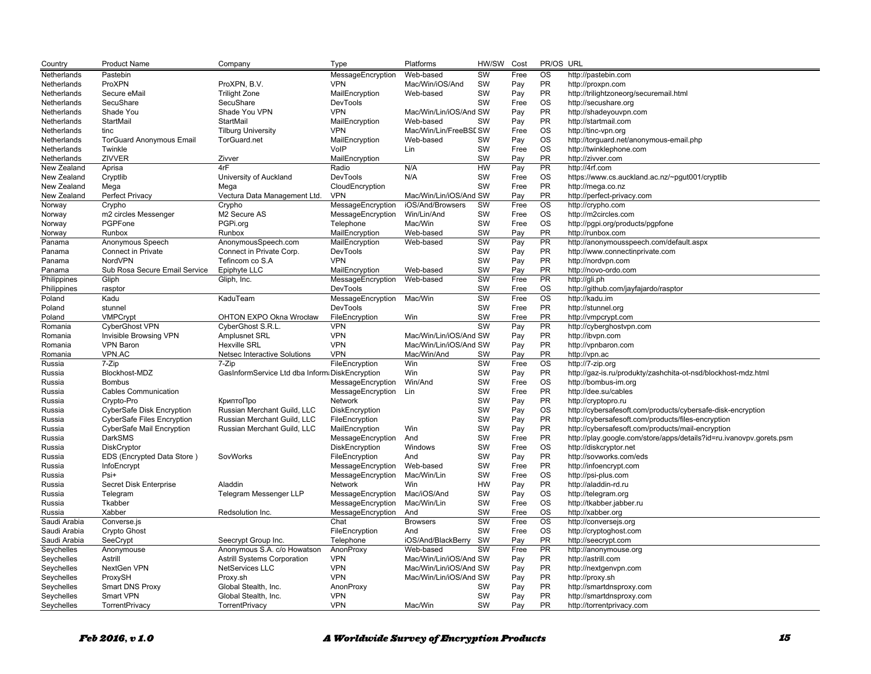| Country      | <b>Product Name</b>               | Company                                         | Type              | Platforms              | HW/SW     | Cost | PR/OS URL       |                                                                     |
|--------------|-----------------------------------|-------------------------------------------------|-------------------|------------------------|-----------|------|-----------------|---------------------------------------------------------------------|
| Netherlands  | Pastebin                          |                                                 | MessageEncryption | Web-based              | SW        | Free | <b>OS</b>       | http://pastebin.com                                                 |
| Netherlands  | ProXPN                            | ProXPN, B.V.                                    | <b>VPN</b>        | Mac/Win/iOS/And        | SW        | Pay  | PR              | http://proxpn.com                                                   |
| Netherlands  | Secure eMail                      | <b>Trilight Zone</b>                            | MailEncryption    | Web-based              | SW        | Pay  | <b>PR</b>       | http://trilightzoneorg/securemail.html                              |
| Netherlands  | SecuShare                         | SecuShare                                       | DevTools          |                        | SW        | Free | <b>OS</b>       | http://secushare.org                                                |
| Netherlands  | Shade You                         | Shade You VPN                                   | <b>VPN</b>        | Mac/Win/Lin/iOS/And SW |           | Pay  | <b>PR</b>       | http://shadeyouvpn.com                                              |
|              | StartMail                         | StartMail                                       |                   | Web-based              | SW        |      | <b>PR</b>       |                                                                     |
| Netherlands  |                                   |                                                 | MailEncryption    |                        |           | Pay  |                 | http://startmail.com                                                |
| Netherlands  | tinc                              | <b>Tilburg University</b>                       | <b>VPN</b>        | Mac/Win/Lin/FreeBSESW  |           | Free | <b>OS</b>       | http://tinc-vpn.org                                                 |
| Netherlands  | <b>TorGuard Anonymous Email</b>   | TorGuard.net                                    | MailEncryption    | Web-based              | SW        | Pay  | <b>OS</b>       | http://torguard.net/anonymous-email.php                             |
| Netherlands  | Twinkle                           |                                                 | VolP              | Lin                    | SW        | Free | <b>OS</b>       | http://twinklephone.com                                             |
| Netherlands  | <b>ZIVVER</b>                     | Zivver                                          | MailEncryption    |                        | SW        | Pay  | <b>PR</b>       | http://zivver.com                                                   |
| New Zealand  | Aprisa                            | 4rF                                             | Radio             | N/A                    | <b>HW</b> | Pay  | <b>PR</b>       | http://4rf.com                                                      |
| New Zealand  | Cryptlib                          | University of Auckland                          | DevTools          | N/A                    | SW        | Free | <b>OS</b>       | https://www.cs.auckland.ac.nz/~pgut001/cryptlib                     |
| New Zealand  | Mega                              | Mega                                            | CloudEncryption   |                        | SW        | Free | PR              | http://mega.co.nz                                                   |
| New Zealand  | Perfect Privacy                   | Vectura Data Management Ltd.                    | <b>VPN</b>        | Mac/Win/Lin/iOS/And SW |           | Pay  | <b>PR</b>       | http://perfect-privacy.com                                          |
| Norway       | Crypho                            | Crypho                                          | MessageEncryption | iOS/And/Browsers       | SW        | Free | <b>OS</b>       | http://crypho.com                                                   |
| Norway       | m2 circles Messenger              | M2 Secure AS                                    | MessageEncryption | Win/Lin/And            | SW        | Free | <b>OS</b>       | http://m2circles.com                                                |
| Norway       | PGPFone                           | PGPi.org                                        | Telephone         | Mac/Win                | SW        | Free | <b>OS</b>       | http://pgpi.org/products/pgpfone                                    |
| Norway       | Runbox                            | Runbox                                          | MailEncryption    | Web-based              | SW        | Pay  | PR              | http://runbox.com                                                   |
| Panama       | Anonymous Speech                  | AnonymousSpeech.com                             | MailEncryption    | Web-based              | SW        | Pay  | PR              | http://anonymousspeech.com/default.aspx                             |
| Panama       | <b>Connect in Private</b>         | Connect in Private Corp.                        | DevTools          |                        | SW        | Pay  | <b>PR</b>       | http://www.connectinprivate.com                                     |
| Panama       | NordVPN                           | Tefincom co S.A                                 | <b>VPN</b>        |                        | SW        | Pay  | <b>PR</b>       | http://nordvpn.com                                                  |
|              |                                   |                                                 |                   |                        | SW        |      | <b>PR</b>       |                                                                     |
| Panama       | Sub Rosa Secure Email Service     | Epiphyte LLC                                    | MailEncryption    | Web-based              |           | Pay  | $\overline{PR}$ | http://novo-ordo.com                                                |
| Philippines  | Gliph                             | Gliph, Inc.                                     | MessageEncryption | Web-based              | SW        | Free |                 | http://gli.ph                                                       |
| Philippines  | rasptor                           |                                                 | DevTools          |                        | SW        | Free | OS              | http://github.com/jayfajardo/rasptor                                |
| Poland       | Kadu                              | KaduTeam                                        | MessageEncryption | Mac/Win                | SW        | Free | <b>OS</b>       | http://kadu.im                                                      |
| Poland       | stunnel                           |                                                 | DevTools          |                        | SW        | Free | <b>PR</b>       | http://stunnel.org                                                  |
| Poland       | <b>VMPCrvpt</b>                   | OHTON EXPO Okna Wrocław                         | FileEncryption    | Win                    | SW        | Free | PR              | http://vmpcrypt.com                                                 |
| Romania      | <b>CyberGhost VPN</b>             | CyberGhost S.R.L.                               | <b>VPN</b>        |                        | <b>SW</b> | Pay  | PR              | http://cyberghostvpn.com                                            |
| Romania      | Invisible Browsing VPN            | Amplusnet SRL                                   | <b>VPN</b>        | Mac/Win/Lin/iOS/And SW |           | Pay  | <b>PR</b>       | http://ibvpn.com                                                    |
| Romania      | VPN Baron                         | <b>Hexville SRL</b>                             | <b>VPN</b>        | Mac/Win/Lin/iOS/And SW |           | Pay  | PR              | http://vpnbaron.com                                                 |
| Romania      | <b>VPN.AC</b>                     | <b>Netsec Interactive Solutions</b>             | <b>VPN</b>        | Mac/Win/And            | SW        | Pay  | <b>PR</b>       | http://vpn.ac                                                       |
| Russia       | 7-Zip                             | 7-Zip                                           | FileEncryption    | Win                    | SW        | Free | <b>OS</b>       | http://7-zip.org                                                    |
| Russia       | Blockhost-MDZ                     | GasInformService Ltd dba Inform: DiskEncryption |                   | Win                    | SW        | Pay  | <b>PR</b>       | http://gaz-is.ru/produkty/zashchita-ot-nsd/blockhost-mdz.html       |
| Russia       | <b>Bombus</b>                     |                                                 | MessageEncryption | Win/And                | SW        | Free | <b>OS</b>       | http://bombus-im.org                                                |
| Russia       | <b>Cables Communication</b>       |                                                 | MessageEncryption | Lin                    | SW        | Free | <b>PR</b>       | http://dee.su/cables                                                |
| Russia       | Crypto-Pro                        | КриптоПро                                       | Network           |                        | SW        | Pay  | <b>PR</b>       | http://cryptopro.ru                                                 |
| Russia       | CyberSafe Disk Encryption         | Russian Merchant Guild, LLC                     | DiskEncryption    |                        | SW        | Pay  | <b>OS</b>       | http://cybersafesoft.com/products/cybersafe-disk-encryption         |
|              | <b>CyberSafe Files Encryption</b> | Russian Merchant Guild, LLC                     | FileEncryption    |                        | SW        | Pay  | <b>PR</b>       | http://cybersafesoft.com/products/files-encryption                  |
| Russia       |                                   |                                                 |                   |                        |           |      | <b>PR</b>       |                                                                     |
| Russia       | CyberSafe Mail Encryption         | Russian Merchant Guild, LLC                     | MailEncryption    | Win                    | SW        | Pay  |                 | http://cybersafesoft.com/products/mail-encryption                   |
| Russia       | DarkSMS                           |                                                 | MessageEncryption | And                    | SW        | Free | PR              | http://play.google.com/store/apps/details?id=ru.ivanovpv.gorets.psm |
| Russia       | DiskCryptor                       |                                                 | DiskEncryption    | Windows                | SW        | Free | <b>OS</b>       | http://diskcryptor.net                                              |
| Russia       | EDS (Encrypted Data Store)        | SovWorks                                        | FileEncryption    | And                    | SW        | Pay  | PR              | http://sovworks.com/eds                                             |
| Russia       | InfoEncrypt                       |                                                 | MessageEncryption | Web-based              | SW        | Free | PR              | http://infoencrypt.com                                              |
| Russia       | Psi+                              |                                                 | MessageEncryption | Mac/Win/Lin            | SW        | Free | <b>OS</b>       | http://psi-plus.com                                                 |
| Russia       | Secret Disk Enterprise            | Aladdin                                         | Network           | Win                    | <b>HW</b> | Pay  | PR              | http://aladdin-rd.ru                                                |
| Russia       | Telegram                          | Telegram Messenger LLP                          | MessageEncryption | Mac/iOS/And            | SW        | Pay  | <b>OS</b>       | http://telegram.org                                                 |
| Russia       | Tkabber                           |                                                 | MessageEncryption | Mac/Win/Lin            | SW        | Free | <b>OS</b>       | http://tkabber.jabber.ru                                            |
| Russia       | Xabber                            | Redsolution Inc.                                | MessageEncryption | And                    | SW        | Free | <b>OS</b>       | http://xabber.org                                                   |
| Saudi Arabia | Converse.js                       |                                                 | Chat              | <b>Browsers</b>        | SW        | Free | <b>OS</b>       | http://conversejs.org                                               |
| Saudi Arabia | Crypto Ghost                      |                                                 | FileEncryption    | And                    | SW        | Free | <b>OS</b>       | http://cryptoghost.com                                              |
| Saudi Arabia | SeeCrypt                          | Seecrypt Group Inc.                             | Telephone         | iOS/And/BlackBerry     | SW        | Pay  | <b>PR</b>       | http://seecrypt.com                                                 |
| Seychelles   | Anonymouse                        | Anonymous S.A. c/o Howatson                     | AnonProxy         | Web-based              | <b>SW</b> | Free | $\overline{PR}$ | http://anonymouse.org                                               |
| Seychelles   | Astrill                           | <b>Astrill Systems Corporation</b>              | <b>VPN</b>        | Mac/Win/Lin/iOS/And SW |           | Pay  | <b>PR</b>       | http://astrill.com                                                  |
| Seychelles   | NextGen VPN                       | NetServices LLC                                 | <b>VPN</b>        | Mac/Win/Lin/iOS/And SW |           |      | <b>PR</b>       | http://nextgenvpn.com                                               |
|              |                                   |                                                 | <b>VPN</b>        |                        |           | Pay  | <b>PR</b>       |                                                                     |
| Seychelles   | ProxySH                           | Proxy.sh                                        |                   | Mac/Win/Lin/iOS/And SW |           | Pay  |                 | http://proxy.sh                                                     |
| Seychelles   | Smart DNS Proxy                   | Global Stealth, Inc.                            | AnonProxy         |                        | SW        | Pay  | PR              | http://smartdnsproxy.com                                            |
| Seychelles   | Smart VPN                         | Global Stealth, Inc.                            | <b>VPN</b>        |                        | SW        | Pay  | <b>PR</b>       | http://smartdnsproxy.com                                            |
| Seychelles   | <b>TorrentPrivacy</b>             | TorrentPrivacy                                  | <b>VPN</b>        | Mac/Win                | SW        | Pay  | PR              | http://torrentprivacy.com                                           |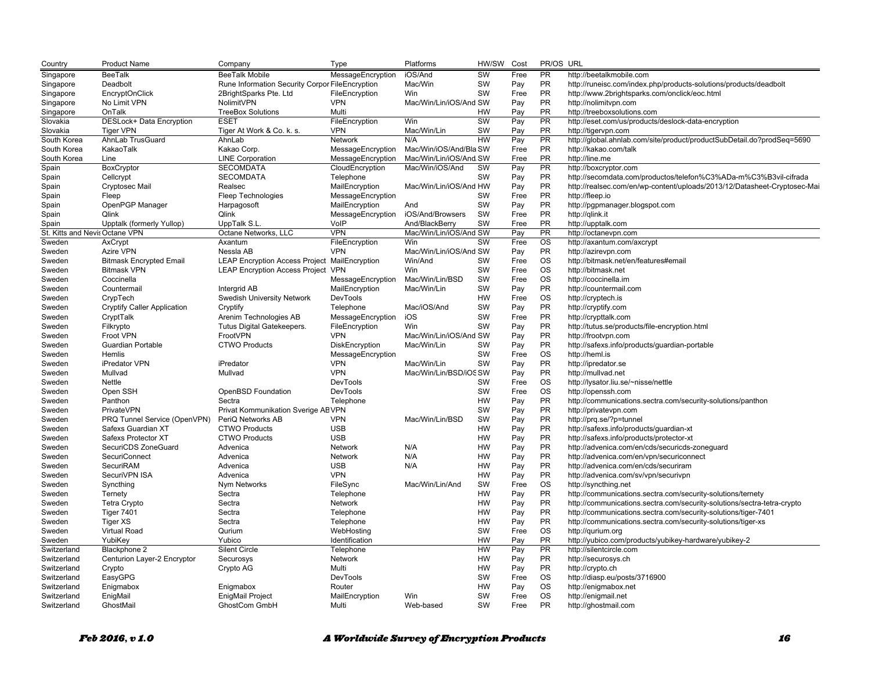| Country                        | <b>Product Name</b>                  | Company                                         | Type                     | Platforms              | HW/SW     | Cost        | PR/OS URL              |                                                                                     |
|--------------------------------|--------------------------------------|-------------------------------------------------|--------------------------|------------------------|-----------|-------------|------------------------|-------------------------------------------------------------------------------------|
| Singapore                      | <b>BeeTalk</b>                       | <b>BeeTalk Mobile</b>                           | MessageEncryption        | iOS/And                | SW        | Free        | <b>PR</b>              | http://beetalkmobile.com                                                            |
| Singapore                      | Deadbolt                             | Rune Information Security Corpor FileEncryption |                          | Mac/Win                | SW        | Pay         | <b>PR</b>              | http://runeisc.com/index.php/products-solutions/products/deadbolt                   |
| Singapore                      | EncryptOnClick                       | 2BrightSparks Pte. Ltd                          | FileEncryption           | Win                    | SW        | Free        | <b>PR</b>              | http://www.2brightsparks.com/onclick/eoc.html                                       |
| Singapore                      | No Limit VPN                         | NolimitVPN                                      | <b>VPN</b>               | Mac/Win/Lin/iOS/And SW |           | Pay         | <b>PR</b>              | http://nolimitypn.com                                                               |
| Singapore                      | OnTalk                               | <b>TreeBox Solutions</b>                        | Multi                    |                        | HW        | Pay         | <b>PR</b>              | http://treeboxsolutions.com                                                         |
| Slovakia                       | DESLock+ Data Encryption             | <b>ESET</b>                                     | FileEncryption           | Win                    | SW        | Pay         | <b>PR</b>              | http://eset.com/us/products/deslock-data-encryption                                 |
| Slovakia                       | <b>Tiger VPN</b>                     | Tiger At Work & Co. k. s.                       | <b>VPN</b>               | Mac/Win/Lin            | SW        | Pay         | <b>PR</b>              | http://tigervpn.com                                                                 |
| South Korea                    | AhnLab TrusGuard                     | AhnLab                                          | Network                  | N/A                    | HW        | Pay         | <b>PR</b>              | http://global.ahnlab.com/site/product/productSubDetail.do?prodSeq=5690              |
| South Korea                    | KakaoTalk                            | Kakao Corp.                                     | MessageEncryption        | Mac/Win/iOS/And/Bla SW |           | Free        | <b>PR</b>              | http://kakao.com/talk                                                               |
| South Korea                    | Line                                 | <b>LINE Corporation</b>                         | MessageEncryption        | Mac/Win/Lin/iOS/And SW |           | Free        | <b>PR</b>              | http://line.me                                                                      |
| Spain                          | BoxCryptor                           | <b>SECOMDATA</b>                                | CloudEncryption          | Mac/Win/iOS/And        | SW        | Pay         | <b>PR</b>              | http://boxcryptor.com                                                               |
| Spain                          | Cellcrypt                            | <b>SECOMDATA</b>                                | Telephone                |                        | SW        | Pay         | <b>PR</b>              | http://secomdata.com/productos/telefon%C3%ADa-m%C3%B3vil-cifrada                    |
| Spain                          | Cryptosec Mail                       | Realsec                                         | MailEncryption           | Mac/Win/Lin/iOS/And HW |           | Pay         | <b>PR</b>              | http://realsec.com/en/wp-content/uploads/2013/12/Datasheet-Cryptosec-Mai            |
| Spain                          | Fleep                                | <b>Fleep Technologies</b>                       | MessageEncryption        |                        | SW        | Free        | <b>PR</b>              | http://fleep.io                                                                     |
| Spain                          | OpenPGP Manager                      | Harpagosoft                                     | MailEncryption           | And                    | <b>SW</b> | Pay         | <b>PR</b>              | http://pgpmanager.blogspot.com                                                      |
| Spain                          | Qlink                                | Qlink                                           | MessageEncryption        | iOS/And/Browsers       | SW        | Free        | <b>PR</b>              | http://qlink.it                                                                     |
| Spain                          | Upptalk (formerly Yullop)            | UppTalk S.L                                     | VolP                     | And/BlackBerry         | SW        | Free        | <b>PR</b>              | http://upptalk.com                                                                  |
| St. Kitts and Nevis Octane VPN |                                      | Octane Networks, LLC                            | <b>VPN</b>               | Mac/Win/Lin/iOS/And SW |           | Pay         | PR                     | http://octanevpn.com                                                                |
| Sweden                         | AxCrypt                              | Axantum                                         | FileEncryption           | Win                    | SW        | Free        | <b>OS</b>              | http://axantum.com/axcrypt                                                          |
| Sweden                         | Azire VPN                            | Nessla AB                                       | <b>VPN</b>               | Mac/Win/Lin/iOS/And SW |           | Pay         | <b>PR</b>              | http://azirevpn.com                                                                 |
| Sweden                         | <b>Bitmask Encrypted Email</b>       | LEAP Encryption Access Project MailEncryption   |                          | Win/And                | SW        | Free        | <b>OS</b>              | http://bitmask.net/en/features#email                                                |
| Sweden                         | <b>Bitmask VPN</b>                   | <b>LEAP Encryption Access Project VPN</b>       |                          | Win                    | SW        | Free        | <b>OS</b>              | http://bitmask.net                                                                  |
| Sweden                         | Coccinella                           |                                                 | MessageEncryption        | Mac/Win/Lin/BSD        | SW        | Free        | <b>OS</b>              | http://coccinella.im                                                                |
| Sweden                         | Countermail                          | Intergrid AB                                    | MailEncryption           | Mac/Win/Lin            | SW        | Pay         | <b>PR</b>              | http://countermail.com                                                              |
| Sweden                         | CrypTech                             | Swedish University Network                      | DevTools                 |                        | HW        | Free        | <b>OS</b>              | http://cryptech.is                                                                  |
| Sweden                         | <b>Cryptify Caller Application</b>   | Cryptify                                        | Telephone                | Mac/iOS/And            | SW        | Pay         | <b>PR</b>              | http://cryptify.com                                                                 |
| Sweden                         | CryptTalk                            | Arenim Technologies AB                          | MessageEncryption        | iOS                    | SW        | Free        | <b>PR</b>              | http://crypttalk.com                                                                |
| Sweden                         | Filkrypto                            | Tutus Digital Gatekeepers.                      | FileEncryption           | Win                    | SW        | Pay         | <b>PR</b>              | http://tutus.se/products/file-encryption.html                                       |
| Sweden                         | Froot VPN                            | FrootVPN                                        | <b>VPN</b>               | Mac/Win/Lin/iOS/And SW |           | Pay         | <b>PR</b>              | http://frootvpn.com                                                                 |
| Sweden                         | Guardian Portable                    | <b>CTWO Products</b>                            | DiskEncryption           | Mac/Win/Lin            | SW        | Pay         | <b>PR</b>              | http://safexs.info/products/guardian-portable                                       |
| Sweden                         | Hemlis                               |                                                 | MessageEncryption        |                        | SW        | Free        | <b>OS</b>              | http://heml.is                                                                      |
| Sweden                         | iPredator VPN                        | iPredator                                       | <b>VPN</b>               | Mac/Win/Lin            | SW        | Pay         | <b>PR</b>              | http://ipredator.se                                                                 |
| Sweden                         | Mullvad                              | Mullvad                                         | <b>VPN</b>               | Mac/Win/Lin/BSD/iOSSW  |           | Pay         | <b>PR</b>              | http://mullvad.net                                                                  |
| Sweden                         | Nettle                               |                                                 | <b>DevTools</b>          |                        | SW        | Free        | <b>OS</b>              | http://lysator.liu.se/~nisse/nettle                                                 |
| Sweden                         | Open SSH                             | OpenBSD Foundation                              | <b>DevTools</b>          |                        | SW        | Free        | <b>OS</b>              | http://openssh.com                                                                  |
| Sweden                         | Panthon                              | Sectra                                          | Telephone                |                        | HW        | Pay         | <b>PR</b>              | http://communications.sectra.com/security-solutions/panthon                         |
| Sweden                         | PrivateVPN                           | Privat Kommunikation Sverige AEVPN              |                          |                        | SW        | Pay         | <b>PR</b>              | http://privatevpn.com                                                               |
| Sweden                         | PRQ Tunnel Service (OpenVPN)         | PeriQ Networks AB                               | <b>VPN</b><br><b>USB</b> | Mac/Win/Lin/BSD        | SW        | Pay         | <b>PR</b>              | http://prg.se/?p=tunnel                                                             |
| Sweden                         | Safexs Guardian XT                   | <b>CTWO Products</b>                            | <b>USB</b>               |                        | HW        | Pay         | <b>PR</b><br><b>PR</b> | http://safexs.info/products/guardian-xt                                             |
| Sweden                         | Safexs Protector XT                  | <b>CTWO Products</b><br>Advenica                |                          |                        | HW        | Pay         | <b>PR</b>              | http://safexs.info/products/protector-xt                                            |
| Sweden                         | SecuriCDS ZoneGuard<br>SecuriConnect |                                                 | Network                  | N/A<br>N/A             | HW        | Pay         | <b>PR</b>              | http://advenica.com/en/cds/securicds-zoneguard                                      |
| Sweden                         | SecuriRAM                            | Advenica<br>Advenica                            | Network<br><b>USB</b>    | N/A                    | HW<br>HW  | Pay<br>Pay  | <b>PR</b>              | http://advenica.com/en/vpn/securiconnect<br>http://advenica.com/en/cds/securiram    |
| Sweden                         |                                      | Advenica                                        | <b>VPN</b>               |                        | HW        |             | <b>PR</b>              |                                                                                     |
| Sweden                         | SecuriVPN ISA                        |                                                 |                          | Mac/Win/Lin/And        | SW        | Pay<br>Free | <b>OS</b>              | http://advenica.com/sv/vpn/securivpn                                                |
| Sweden<br>Sweden               | Syncthing                            | Nym Networks<br>Sectra                          | FileSync<br>Telephone    |                        | HW        | Pay         | <b>PR</b>              | http://syncthing.net<br>http://communications.sectra.com/security-solutions/ternety |
| Sweden                         | Ternety<br><b>Tetra Crypto</b>       | Sectra                                          | Network                  |                        | HW        | Pay         | <b>PR</b>              | http://communications.sectra.com/security-solutions/sectra-tetra-crypto             |
| Sweden                         | <b>Tiger 7401</b>                    | Sectra                                          | Telephone                |                        | HW        | Pay         | <b>PR</b>              | http://communications.sectra.com/security-solutions/tiger-7401                      |
| Sweden                         | <b>Tiger XS</b>                      | Sectra                                          | Telephone                |                        | HW        | Pay         | <b>PR</b>              | http://communications.sectra.com/security-solutions/tiger-xs                        |
| Sweden                         | Virtual Road                         | Qurium                                          | WebHosting               |                        | SW        | Free        | <b>OS</b>              | http://qurium.org                                                                   |
| Sweden                         | YubiKey                              | Yubico                                          | Identification           |                        | HW        | Pay         | <b>PR</b>              | http://yubico.com/products/yubikey-hardware/yubikey-2                               |
| Switzerland                    | Blackphone 2                         | Silent Circle                                   | Telephone                |                        | HW        | Pay         | <b>PR</b>              | http://silentcircle.com                                                             |
| Switzerland                    | Centurion Layer-2 Encryptor          | Securosys                                       | Network                  |                        | HW        | Pay         | <b>PR</b>              | http://securosys.ch                                                                 |
| Switzerland                    | Crypto                               | Crypto AG                                       | Multi                    |                        | HW        | Pay         | <b>PR</b>              | http://crypto.ch                                                                    |
| Switzerland                    | EasyGPG                              |                                                 | <b>DevTools</b>          |                        | SW        | Free        | <b>OS</b>              | http://diasp.eu/posts/3716900                                                       |
| Switzerland                    | Enigmabox                            | Enigmabox                                       | Router                   |                        | HW        | Pay         | <b>OS</b>              | http://enigmabox.net                                                                |
| Switzerland                    | EnigMail                             | EnigMail Project                                | MailEncryption           | Win                    | SW        | Free        | <b>OS</b>              | http://enigmail.net                                                                 |
| Switzerland                    | GhostMail                            | GhostCom GmbH                                   | Multi                    | Web-based              | SW        | Free        | <b>PR</b>              | http://ghostmail.com                                                                |
|                                |                                      |                                                 |                          |                        |           |             |                        |                                                                                     |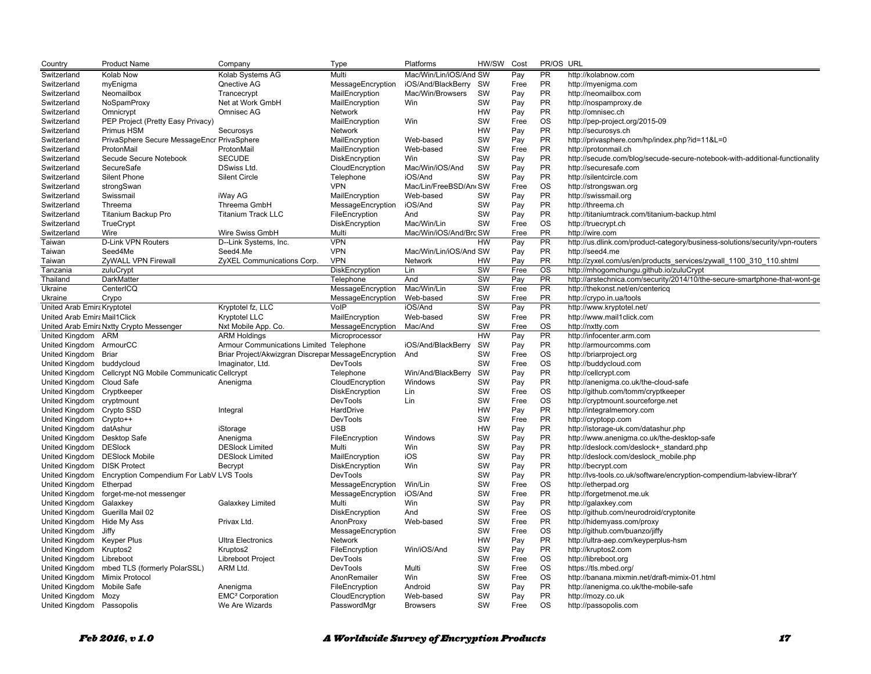| Country                         | <b>Product Name</b>                                       | Company                                             | Type              | Platforms              | HW/SW     | Cost | PR/OS URL |                                                                              |
|---------------------------------|-----------------------------------------------------------|-----------------------------------------------------|-------------------|------------------------|-----------|------|-----------|------------------------------------------------------------------------------|
| Switzerland                     | Kolab Now                                                 | Kolab Systems AG                                    | Multi             | Mac/Win/Lin/iOS/And SW |           | Pay  | PR        | http://kolabnow.com                                                          |
| Switzerland                     | myEnigma                                                  | Qnective AG                                         | MessageEncryption | iOS/And/BlackBerry SW  |           | Free | <b>PR</b> | http://myenigma.com                                                          |
| Switzerland                     | Neomailbox                                                | Trancecrypt                                         | MailEncryption    | Mac/Win/Browsers       | SW        | Pay  | <b>PR</b> | http://neomailbox.com                                                        |
| Switzerland                     | NoSpamProxy                                               | Net at Work GmbH                                    | MailEncryption    | Win                    | SW        | Pay  | <b>PR</b> | http://nospamproxy.de                                                        |
| Switzerland                     | Omnicrypt                                                 | Omnisec AG                                          | Network           |                        | HW        | Pay  | <b>PR</b> | http://omnisec.ch                                                            |
| Switzerland                     | PEP Project (Pretty Easy Privacy)                         |                                                     | MailEncryption    | Win                    | SW        | Free | <b>OS</b> | http://pep-project.org/2015-09                                               |
| Switzerland                     | Primus HSM                                                | Securosys                                           | Network           |                        | HW        | Pay  | <b>PR</b> | http://securosys.ch                                                          |
|                                 | PrivaSphere Secure MessageEncr PrivaSphere                |                                                     | MailEncryption    | Web-based              | SW        | Pay  | <b>PR</b> |                                                                              |
| Switzerland                     | ProtonMail                                                | ProtonMail                                          |                   | Web-based              | SW        | Free | <b>PR</b> | http://privasphere.com/hp/index.php?id=11&L=0<br>http://protonmail.ch        |
| Switzerland                     |                                                           |                                                     | MailEncryption    |                        |           |      |           |                                                                              |
| Switzerland                     | Secude Secure Notebook                                    | <b>SECUDE</b>                                       | DiskEncryption    | Win                    | <b>SW</b> | Pay  | <b>PR</b> | http://secude.com/blog/secude-secure-notebook-with-additional-functionality  |
| Switzerland                     | SecureSafe                                                | DSwiss Ltd.                                         | CloudEncryption   | Mac/Win/iOS/And        | SW        | Pay  | <b>PR</b> | http://securesafe.com                                                        |
| Switzerland                     | Silent Phone                                              | Silent Circle                                       | Telephone         | iOS/And                | SW        | Pay  | <b>PR</b> | http://silentcircle.com                                                      |
| Switzerland                     | strongSwan                                                |                                                     | <b>VPN</b>        | Mac/Lin/FreeBSD/An(SW  |           | Free | <b>OS</b> | http://strongswan.org                                                        |
| Switzerland                     | Swissmail                                                 | iWay AG                                             | MailEncryption    | Web-based              | <b>SW</b> | Pay  | <b>PR</b> | http://swissmail.org                                                         |
| Switzerland                     | Threema                                                   | Threema GmbH                                        | MessageEncryption | iOS/And                | <b>SW</b> | Pay  | PR        | http://threema.ch                                                            |
| Switzerland                     | Titanium Backup Pro                                       | <b>Titanium Track LLC</b>                           | FileEncryption    | And                    | SW        | Pay  | <b>PR</b> | http://titaniumtrack.com/titanium-backup.html                                |
| Switzerland                     | TrueCrypt                                                 |                                                     | DiskEncryption    | Mac/Win/Lin            | SW        | Free | <b>OS</b> | http://truecrypt.ch                                                          |
| Switzerland                     | Wire                                                      | Wire Swiss GmbH                                     | Multi             | Mac/Win/iOS/And/Brc SW |           | Free | <b>PR</b> | http://wire.com                                                              |
| Taiwan                          | <b>D-Link VPN Routers</b>                                 | D--Link Systems, Inc.                               | <b>VPN</b>        |                        | HW        | Pay  | PR        | http://us.dlink.com/product-category/business-solutions/security/vpn-routers |
| Taiwan                          | Seed4Me                                                   | Seed4.Me                                            | <b>VPN</b>        | Mac/Win/Lin/iOS/And SW |           | Pay  | PR        | http://seed4.me                                                              |
| Taiwan                          | ZyWALL VPN Firewall                                       | ZyXEL Communications Corp.                          | <b>VPN</b>        | Network                | <b>HW</b> | Pay  | PR        | http://zyxel.com/us/en/products services/zywall 1100 310 110.shtml           |
| Tanzania                        | zuluCrypt                                                 |                                                     | DiskEncryption    | Lin                    | SW        | Free | <b>OS</b> | http://mhogomchungu.github.io/zuluCrypt                                      |
| Thailand                        | DarkMatter                                                |                                                     | Telephone         | And                    | <b>SW</b> | Pay  | <b>PR</b> | http://arstechnica.com/security/2014/10/the-secure-smartphone-that-wont-ge   |
| Ukraine                         | CenterICQ                                                 |                                                     | MessageEncryption | Mac/Win/Lin            | SW        | Free | <b>PR</b> | http://thekonst.net/en/centericq                                             |
| Ukraine                         | Crypo                                                     |                                                     | MessageEncryption | Web-based              | SW        | Free | PR        | http://crypo.in.ua/tools                                                     |
| United Arab Emira Kryptotel     |                                                           | Kryptotel fz, LLC                                   | VolP              | iOS/And                | SW        | Pay  | <b>PR</b> | http://www.kryptotel.net/                                                    |
| United Arab Emira Mail1Click    |                                                           | Kryptotel LLC                                       |                   | Web-based              | <b>SW</b> | Free | <b>PR</b> |                                                                              |
|                                 |                                                           |                                                     | MailEncryption    |                        |           |      |           | http://www.mail1click.com                                                    |
|                                 | United Arab Emira Nxtty Crypto Messenger                  | Nxt Mobile App. Co.                                 | MessageEncryption | Mac/And                | SW        | Free | <b>OS</b> | http://nxtty.com                                                             |
| United Kingdom ARM              |                                                           | <b>ARM Holdings</b>                                 | Microprocessor    |                        | <b>HW</b> | Pay  | <b>PR</b> | http://infocenter.arm.com                                                    |
| United Kingdom ArmourCC         |                                                           | Armour Communications Limited Telephone             |                   | iOS/And/BlackBerry     | SW        | Pay  | <b>PR</b> | http://armourcomms.com                                                       |
| United Kingdom Briar            |                                                           | Briar Project/Akwizgran Discrepar MessageEncryption |                   | And                    | SW        | Free | <b>OS</b> | http://briarproject.org                                                      |
| United Kingdom buddycloud       |                                                           | Imaginator, Ltd.                                    | <b>DevTools</b>   |                        | SW        | Free | <b>OS</b> | http://buddycloud.com                                                        |
|                                 | United Kingdom Cellcrypt NG Mobile Communicatic Cellcrypt |                                                     | Telephone         | Win/And/BlackBerry     | SW        | Pay  | <b>PR</b> | http://cellcrypt.com                                                         |
| United Kingdom Cloud Safe       |                                                           | Anenigma                                            | CloudEncryption   | Windows                | SW        | Pay  | <b>PR</b> | http://anenigma.co.uk/the-cloud-safe                                         |
| United Kingdom Cryptkeeper      |                                                           |                                                     | DiskEncryption    | Lin                    | <b>SW</b> | Free | <b>OS</b> | http://github.com/tomm/cryptkeeper                                           |
| United Kingdom cryptmount       |                                                           |                                                     | DevTools          | Lin                    | SW        | Free | <b>OS</b> | http://cryptmount.sourceforge.net                                            |
| United Kingdom Crypto SSD       |                                                           | Integral                                            | HardDrive         |                        | <b>HW</b> | Pay  | <b>PR</b> | http://integralmemory.com                                                    |
| United Kingdom Crypto++         |                                                           |                                                     | <b>DevTools</b>   |                        | <b>SW</b> | Free | <b>PR</b> | http://cryptopp.com                                                          |
| United Kingdom datAshur         |                                                           | iStorage                                            | <b>USB</b>        |                        | HW        | Pay  | <b>PR</b> | http://istorage-uk.com/datashur.php                                          |
| United Kingdom Desktop Safe     |                                                           | Anenigma                                            | FileEncryption    | Windows                | SW        | Pay  | <b>PR</b> | http://www.anenigma.co.uk/the-desktop-safe                                   |
| United Kingdom DESlock          |                                                           | <b>DESlock Limited</b>                              | Multi             | Win                    | <b>SW</b> | Pay  | <b>PR</b> | http://deslock.com/deslock+_standard.php                                     |
| United Kingdom DESlock Mobile   |                                                           | <b>DESlock Limited</b>                              | MailEncryption    | iOS                    | SW        | Pay  | PR        | http://deslock.com/deslock_mobile.php                                        |
| United Kingdom DISK Protect     |                                                           | Becrypt                                             | DiskEncryption    | Win                    | SW        | Pay  | <b>PR</b> | http://becrypt.com                                                           |
|                                 | United Kingdom Encryption Compendium For LabV LVS Tools   |                                                     | DevTools          |                        | SW        | Pay  | PR        | http://lvs-tools.co.uk/software/encryption-compendium-labview-librarY        |
| United Kingdom Etherpad         |                                                           |                                                     | MessageEncryption | Win/Lin                | SW        | Free | <b>OS</b> | http://etherpad.org                                                          |
|                                 | United Kingdom forget-me-not messenger                    |                                                     | MessageEncryption | iOS/And                | <b>SW</b> | Free | <b>PR</b> | http://forgetmenot.me.uk                                                     |
|                                 |                                                           |                                                     |                   |                        |           |      | <b>PR</b> |                                                                              |
| United Kingdom Galaxkey         |                                                           | Galaxkey Limited                                    | Multi             | Win                    | SW        | Pay  |           | http://galaxkey.com                                                          |
| United Kingdom Guerilla Mail 02 |                                                           |                                                     | DiskEncryption    | And                    | SW        | Free | <b>OS</b> | http://github.com/neurodroid/cryptonite                                      |
| United Kingdom Hide My Ass      |                                                           | Privax Ltd.                                         | AnonProxy         | Web-based              | SW        | Free | <b>PR</b> | http://hidemyass.com/proxy                                                   |
| United Kingdom                  | Jiffy                                                     |                                                     | MessageEncryption |                        | SW        | Free | <b>OS</b> | http://github.com/buanzo/jiffy                                               |
| United Kingdom Keyper Plus      |                                                           | <b>Ultra Electronics</b>                            | Network           |                        | HW        | Pay  | <b>PR</b> | http://ultra-aep.com/keyperplus-hsm                                          |
| United Kingdom Kruptos2         |                                                           | Kruptos2                                            | FileEncryption    | Win/iOS/And            | SW        | Pay  | <b>PR</b> | http://kruptos2.com                                                          |
| United Kingdom Libreboot        |                                                           | Libreboot Project                                   | DevTools          |                        | SW        | Free | <b>OS</b> | http://libreboot.org                                                         |
|                                 | United Kingdom mbed TLS (formerly PolarSSL)               | ARM Ltd.                                            | <b>DevTools</b>   | Multi                  | SW        | Free | <b>OS</b> | https://tls.mbed.org/                                                        |
| United Kingdom Mimix Protocol   |                                                           |                                                     | AnonRemailer      | Win                    | SW        | Free | <b>OS</b> | http://banana.mixmin.net/draft-mimix-01.html                                 |
| United Kingdom Mobile Safe      |                                                           | Anenigma                                            | FileEncryption    | Android                | SW        | Pay  | <b>PR</b> | http://anenigma.co.uk/the-mobile-safe                                        |
| United Kingdom Mozy             |                                                           | EMC <sup>2</sup> Corporation                        | CloudEncryption   | Web-based              | <b>SW</b> | Pay  | <b>PR</b> | http://mozy.co.uk                                                            |
| United Kingdom Passopolis       |                                                           | We Are Wizards                                      | PasswordMgr       | <b>Browsers</b>        | SW        | Free | <b>OS</b> | http://passopolis.com                                                        |
|                                 |                                                           |                                                     |                   |                        |           |      |           |                                                                              |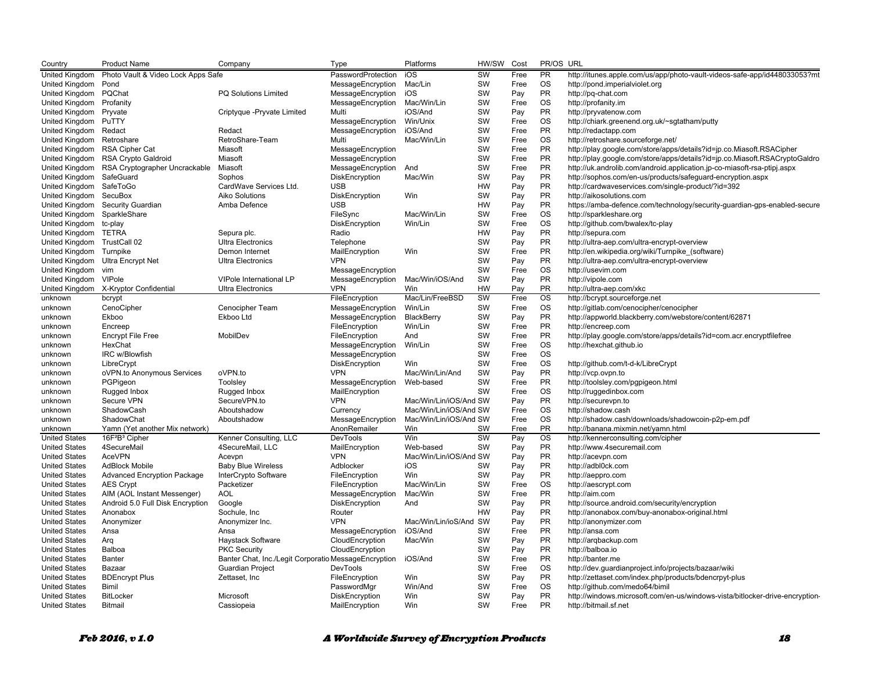| Country                     | <b>Product Name</b>                    | Company                                              | Type               | Platforms              | HW/SW     | Cost | PR/OS URL |                                                                              |
|-----------------------------|----------------------------------------|------------------------------------------------------|--------------------|------------------------|-----------|------|-----------|------------------------------------------------------------------------------|
| United Kingdom              | Photo Vault & Video Lock Apps Safe     |                                                      | PasswordProtection | iOS                    | SW        | Free | PR        | http://itunes.apple.com/us/app/photo-vault-videos-safe-app/id448033053?mt    |
| United Kingdom              | Pond                                   |                                                      | MessageEncryption  | Mac/Lin                | SW        | Free | <b>OS</b> | http://pond.imperialviolet.org                                               |
| United Kingdom              | PQChat                                 | <b>PQ Solutions Limited</b>                          | MessageEncryption  | iOS                    | SW        | Pay  | <b>PR</b> | http://pq-chat.com                                                           |
| United Kingdom              | Profanity                              |                                                      | MessageEncryption  | Mac/Win/Lin            | SW        | Free | <b>OS</b> | http://profanity.im                                                          |
| United Kingdom              | Pryvate                                | Criptyque - Pryvate Limited                          | Multi              | iOS/And                | SW        | Pay  | PR        | http://pryvatenow.com                                                        |
| United Kingdom              | PuTTY                                  |                                                      | MessageEncryption  | Win/Unix               | SW        | Free | <b>OS</b> | http://chiark.greenend.org.uk/~sgtatham/putty                                |
|                             |                                        |                                                      |                    | iOS/And                | <b>SW</b> | Free | PR        |                                                                              |
| United Kingdom              | Redact                                 | Redact                                               | MessageEncryption  |                        |           |      |           | http://redactapp.com                                                         |
| United Kingdom              | Retroshare                             | RetroShare-Team                                      | Multi              | Mac/Win/Lin            | SW        | Free | <b>OS</b> | http://retroshare.sourceforge.net/                                           |
| United Kingdom              | RSA Cipher Cat                         | Miasoft                                              | MessageEncryption  |                        | SW        | Free | PR        | http://play.google.com/store/apps/details?id=jp.co.Miasoft.RSACipher         |
| United Kingdom              | <b>RSA Crypto Galdroid</b>             | Miasoft                                              | MessageEncryption  |                        | SW        | Free | PR        | http://play.google.com/store/apps/details?id=jp.co.Miasoft.RSACryptoGaldro   |
| United Kingdom              | RSA Cryptographer Uncrackable          | Miasoft                                              | MessageEncryption  | And                    | SW        | Free | PR        | http://uk.androlib.com/android.application.jp-co-miasoft-rsa-ptipj.aspx      |
| United Kingdom              | SafeGuard                              | Sophos                                               | DiskEncryption     | Mac/Win                | SW        | Pay  | PR        | http://sophos.com/en-us/products/safeguard-encryption.aspx                   |
| United Kingdom              | SafeToGo                               | CardWave Services Ltd.                               | <b>USB</b>         |                        | HW        | Pay  | PR        | http://cardwaveservices.com/single-product/?id=392                           |
| United Kingdom              | SecuBox                                | <b>Aiko Solutions</b>                                | DiskEncryption     | Win                    | SW        | Pay  | PR        | http://aikosolutions.com                                                     |
| United Kingdom              | Security Guardian                      | Amba Defence                                         | <b>USB</b>         |                        | HW        | Pay  | PR        | https://amba-defence.com/technology/security-guardian-gps-enabled-secure     |
| United Kingdom              | SparkleShare                           |                                                      | FileSync           | Mac/Win/Lin            | SW        | Free | <b>OS</b> | http://sparkleshare.org                                                      |
| United Kingdom              | tc-play                                |                                                      | DiskEncryption     | Win/Lin                | SW        | Free | <b>OS</b> | http://github.com/bwalex/tc-play                                             |
| United Kingdom              | TETRA                                  | Sepura plc.                                          | Radio              |                        | <b>HW</b> | Pay  | <b>PR</b> | http://sepura.com                                                            |
| United Kingdom TrustCall 02 |                                        | <b>Ultra Electronics</b>                             | Telephone          |                        | SW        | Pay  | PR        | http://ultra-aep.com/ultra-encrypt-overview                                  |
| United Kingdom Turnpike     |                                        | Demon Internet                                       | MailEncryption     | Win                    | SW        | Free | PR.       | http://en.wikipedia.org/wiki/Turnpike (software)                             |
|                             | United Kingdom Ultra Encrypt Net       | <b>Ultra Electronics</b>                             | <b>VPN</b>         |                        | SW        | Pay  | PR        | http://ultra-aep.com/ultra-encrypt-overview                                  |
| United Kingdom vim          |                                        |                                                      | MessageEncryption  |                        | SW        | Free | <b>OS</b> | http://usevim.com                                                            |
| United Kingdom              | VIPole                                 | VIPole International LP                              | MessageEncryption  | Mac/Win/iOS/And        | SW        | Pay  | PR        | http://vipole.com                                                            |
|                             |                                        |                                                      | <b>VPN</b>         |                        |           |      |           |                                                                              |
| United Kingdom              | X-Kryptor Confidential                 | <b>Ultra Electronics</b>                             |                    | Win                    | HW        | Pay  | PR        | http://ultra-aep.com/xkc                                                     |
| unknown                     | bcrypt                                 |                                                      | FileEncryption     | Mac/Lin/FreeBSD        | SW        | Free | <b>OS</b> | http://bcrypt.sourceforge.net                                                |
| unknown                     | CenoCipher                             | Cenocipher Team                                      | MessageEncryption  | Win/Lin                | SW        | Free | <b>OS</b> | http://gitlab.com/cenocipher/cenocipher                                      |
| unknown                     | Ekboo                                  | Ekboo Ltd                                            | MessageEncryption  | BlackBerry             | SW        | Pay  | PR        | http://appworld.blackberry.com/webstore/content/62871                        |
| unknown                     | Encreep                                |                                                      | FileEncryption     | Win/Lin                | SW        | Free | PR        | http://encreep.com                                                           |
| unknown                     | <b>Encrypt File Free</b>               | MobilDev                                             | FileEncryption     | And                    | SW        | Free | PR        | http://play.google.com/store/apps/details?id=com.acr.encryptfilefree         |
| unknown                     | HexChat                                |                                                      | MessageEncryption  | Win/Lin                | SW        | Free | <b>OS</b> | http://hexchat.github.io                                                     |
| unknown                     | <b>IRC w/Blowfish</b>                  |                                                      | MessageEncryption  |                        | SW        | Free | <b>OS</b> |                                                                              |
| unknown                     | LibreCrypt                             |                                                      | DiskEncryption     | Win                    | SW        | Free | <b>OS</b> | http://github.com/t-d-k/LibreCrypt                                           |
| unknown                     | oVPN.to Anonymous Services             | oVPN.to                                              | <b>VPN</b>         | Mac/Win/Lin/And        | SW        | Pay  | PR        | http://vcp.ovpn.to                                                           |
| unknown                     | PGPigeon                               | Toolsley                                             | MessageEncryption  | Web-based              | SW        | Free | <b>PR</b> | http://toolsley.com/pgpigeon.html                                            |
| unknown                     | Rugged Inbox                           | Rugged Inbox                                         | MailEncryption     |                        | SW        | Free | OS        | http://ruggedinbox.com                                                       |
| unknown                     | Secure VPN                             | SecureVPN.to                                         | <b>VPN</b>         | Mac/Win/Lin/iOS/And SW |           | Pay  | PR        | http://securevpn.to                                                          |
| unknown                     | ShadowCash                             | Aboutshadow                                          | Currency           | Mac/Win/Lin/iOS/And SW |           | Free | <b>OS</b> | http://shadow.cash                                                           |
| unknown                     | ShadowChat                             | Aboutshadow                                          | MessageEncryption  | Mac/Win/Lin/iOS/And SW |           | Free | <b>OS</b> | http://shadow.cash/downloads/shadowcoin-p2p-em.pdf                           |
| unknown                     | Yamn (Yet another Mix network)         |                                                      | AnonRemailer       | Win                    | SW        | Free | PR        | http://banana.mixmin.net/yamn.html                                           |
| <b>United States</b>        | 16F <sup>2</sup> B <sup>3</sup> Cipher | Kenner Consulting, LLC                               | DevTools           | Win                    | SW        | Pay  | <b>OS</b> | http://kennerconsulting.com/cipher                                           |
| <b>United States</b>        | 4SecureMail                            | 4SecureMail, LLC                                     | MailEncryption     | Web-based              | SW        | Pay  | PR        | http://www.4securemail.com                                                   |
| <b>United States</b>        | <b>AceVPN</b>                          | Acevpn                                               | <b>VPN</b>         | Mac/Win/Lin/iOS/And SW |           | Pay  | PR        | http://acevpn.com                                                            |
| <b>United States</b>        | <b>AdBlock Mobile</b>                  | <b>Baby Blue Wireless</b>                            | Adblocker          | iOS                    | SW        | Pay  | PR        | http://adbl0ck.com                                                           |
| <b>United States</b>        |                                        |                                                      |                    | Win                    | SW        | Pay  | PR        |                                                                              |
|                             | <b>Advanced Encryption Package</b>     | InterCrypto Software                                 | FileEncryption     |                        |           |      |           | http://aeppro.com                                                            |
| <b>United States</b>        | <b>AES Crypt</b>                       | Packetizer                                           | FileEncryption     | Mac/Win/Lin            | SW        | Free | <b>OS</b> | http://aescrypt.com                                                          |
| <b>United States</b>        | AIM (AOL Instant Messenger)            | <b>AOL</b>                                           | MessageEncryption  | Mac/Win                | SW        | Free | <b>PR</b> | http://aim.com                                                               |
| <b>United States</b>        | Android 5.0 Full Disk Encryption       | Google                                               | DiskEncryption     | And                    | SW        | Pay  | PR        | http://source.android.com/security/encryption                                |
| <b>United States</b>        | Anonabox                               | Sochule, Inc.                                        | Router             |                        | <b>HW</b> | Pay  | PR        | http://anonabox.com/buy-anonabox-original.html                               |
| <b>United States</b>        | Anonymizer                             | Anonymizer Inc.                                      | <b>VPN</b>         | Mac/Win/Lin/ioS/And    | <b>SW</b> | Pay  | PR        | http://anonymizer.com                                                        |
| <b>United States</b>        | Ansa                                   | Ansa                                                 | MessageEncryption  | iOS/And                | <b>SW</b> | Free | PR        | http://ansa.com                                                              |
| <b>United States</b>        | Arq                                    | <b>Haystack Software</b>                             | CloudEncryption    | Mac/Win                | SW        | Pay  | PR        | http://arqbackup.com                                                         |
| <b>United States</b>        | Balboa                                 | <b>PKC Security</b>                                  | CloudEncryption    |                        | SW        | Pay  | PR.       | http://balboa.io                                                             |
| <b>United States</b>        | <b>Banter</b>                          | Banter Chat, Inc./Legit Corporatio MessageEncryption |                    | iOS/And                | SW        | Free | PR        | http://banter.me                                                             |
| <b>United States</b>        | Bazaar                                 | <b>Guardian Project</b>                              | DevTools           |                        | SW        | Free | <b>OS</b> | http://dev.guardianproject.info/projects/bazaar/wiki                         |
| <b>United States</b>        | <b>BDEncrypt Plus</b>                  | Zettaset, Inc                                        | FileEncryption     | Win                    | SW        | Pay  | PR        | http://zettaset.com/index.php/products/bdencrpyt-plus                        |
| <b>United States</b>        | Bimil                                  |                                                      | PasswordMgr        | Win/And                | SW        | Free | <b>OS</b> | http://github.com/medo64/bimil                                               |
| <b>United States</b>        | BitLocker                              | Microsoft                                            | DiskEncryption     | Win                    | SW        | Pay  | PR        | http://windows.microsoft.com/en-us/windows-vista/bitlocker-drive-encryption- |
| <b>United States</b>        | <b>Bitmail</b>                         | Cassiopeia                                           | MailEncryption     | Win                    | SW        | Free | PR        | http://bitmail.sf.net                                                        |
|                             |                                        |                                                      |                    |                        |           |      |           |                                                                              |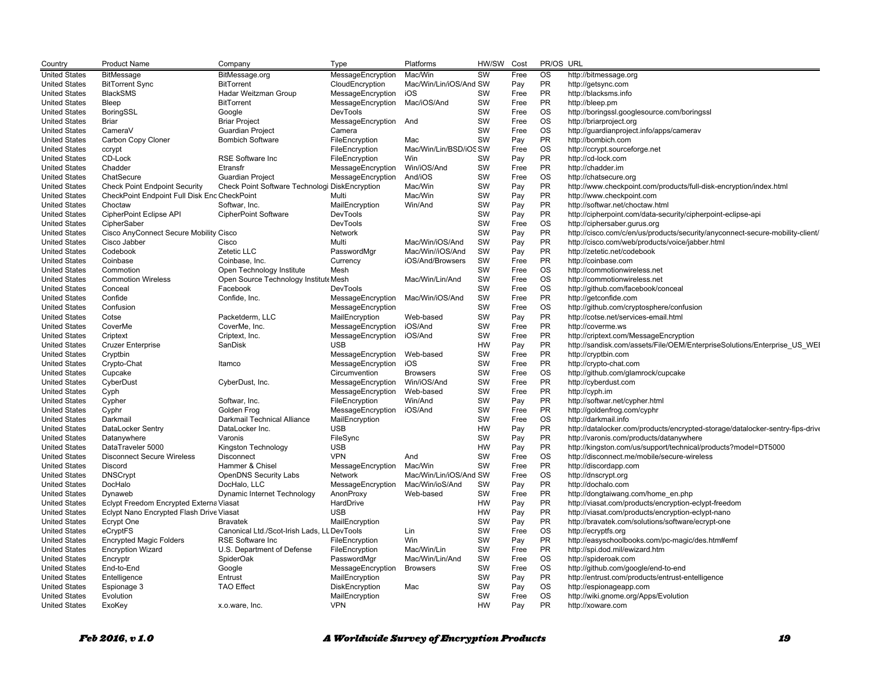| Country              | <b>Product Name</b>                          | Company                                        | Type              | Platforms              | HW/SW | Cost | PR/OS URL |                                                                               |
|----------------------|----------------------------------------------|------------------------------------------------|-------------------|------------------------|-------|------|-----------|-------------------------------------------------------------------------------|
| <b>United States</b> | <b>BitMessage</b>                            | BitMessage.org                                 | MessageEncryption | Mac/Win                | SW    | Free | <b>OS</b> | http://bitmessage.org                                                         |
| <b>United States</b> | <b>BitTorrent Sync</b>                       | <b>BitTorrent</b>                              | CloudEncryption   | Mac/Win/Lin/iOS/And SW |       | Pay  | <b>PR</b> | http://getsync.com                                                            |
| <b>United States</b> | <b>BlackSMS</b>                              | Hadar Weitzman Group                           | MessageEncryption | iOS                    | SW    | Free | <b>PR</b> | http://blacksms.info                                                          |
| <b>United States</b> | Bleep                                        | <b>BitTorrent</b>                              | MessageEncryption | Mac/iOS/And            | SW    | Free | <b>PR</b> | http://bleep.pm                                                               |
| <b>United States</b> | BoringSSL                                    | Google                                         | <b>DevTools</b>   |                        | SW    | Free | <b>OS</b> | http://boringssl.googlesource.com/boringssl                                   |
| <b>United States</b> | Briar                                        | <b>Briar Project</b>                           | MessageEncryption | And                    | SW    | Free | <b>OS</b> | http://briarproject.org                                                       |
| <b>United States</b> | CameraV                                      | <b>Guardian Project</b>                        | Camera            |                        | SW    | Free | <b>OS</b> | http://guardianproject.info/apps/camerav                                      |
| <b>United States</b> |                                              |                                                |                   |                        | SW    |      | <b>PR</b> |                                                                               |
|                      | Carbon Copy Cloner                           | <b>Bombich Software</b>                        | FileEncryption    | Mac                    |       | Pay  |           | http://bombich.com                                                            |
| <b>United States</b> | ccrypt                                       |                                                | FileEncryption    | Mac/Win/Lin/BSD/iOSSW  |       | Free | <b>OS</b> | http://ccrypt.sourceforge.net                                                 |
| <b>United States</b> | CD-Lock                                      | <b>RSE Software Inc</b>                        | FileEncryption    | Win                    | SW    | Pay  | <b>PR</b> | http://cd-lock.com                                                            |
| <b>United States</b> | Chadder                                      | Etransfr                                       | MessageEncryption | Win/iOS/And            | SW    | Free | <b>PR</b> | http://chadder.im                                                             |
| <b>United States</b> | ChatSecure                                   | Guardian Project                               | MessageEncryption | And/iOS                | SW    | Free | <b>OS</b> | http://chatsecure.org                                                         |
| <b>United States</b> | <b>Check Point Endpoint Security</b>         | Check Point Software Technologi DiskEncryption |                   | Mac/Win                | SW    | Pay  | <b>PR</b> | http://www.checkpoint.com/products/full-disk-encryption/index.html            |
| <b>United States</b> | CheckPoint Endpoint Full Disk Enc CheckPoint |                                                | Multi             | Mac/Win                | SW    | Pay  | <b>PR</b> | http://www.checkpoint.com                                                     |
| <b>United States</b> | Choctaw                                      | Softwar, Inc.                                  | MailEncryption    | Win/And                | SW    | Pay  | <b>PR</b> | http://softwar.net/choctaw.html                                               |
| <b>United States</b> | CipherPoint Eclipse API                      | <b>CipherPoint Software</b>                    | DevTools          |                        | SW    | Pay  | <b>PR</b> | http://cipherpoint.com/data-security/cipherpoint-eclipse-api                  |
| <b>United States</b> | CipherSaber                                  |                                                | DevTools          |                        | SW    | Free | <b>OS</b> | http://ciphersaber.gurus.org                                                  |
| <b>United States</b> | Cisco AnyConnect Secure Mobility Cisco       |                                                | <b>Network</b>    |                        | SW    | Pay  | <b>PR</b> | http://cisco.com/c/en/us/products/security/anyconnect-secure-mobility-client/ |
| <b>United States</b> | Cisco Jabber                                 | Cisco                                          | Multi             | Mac/Win/iOS/And        | SW    | Pay  | <b>PR</b> | http://cisco.com/web/products/voice/jabber.html                               |
| <b>United States</b> | Codebook                                     | Zetetic LLC                                    | PasswordMgr       | Mac/Win//iOS/And       | SW    | Pay  | <b>PR</b> | http://zetetic.net/codebook                                                   |
| <b>United States</b> | Coinbase                                     | Coinbase, Inc.                                 | Currency          | iOS/And/Browsers       | SW    | Free | <b>PR</b> | http://coinbase.com                                                           |
| <b>United States</b> | Commotion                                    | Open Technology Institute                      | Mesh              |                        | SW    | Free | <b>OS</b> | http://commotionwireless.net                                                  |
| <b>United States</b> | <b>Commotion Wireless</b>                    | Open Source Technology Institute Mesh          |                   | Mac/Win/Lin/And        | SW    | Free | <b>OS</b> | http://commotionwireless.net                                                  |
| <b>United States</b> | Conceal                                      | Facebook                                       | <b>DevTools</b>   |                        | SW    | Free | <b>OS</b> | http://github.com/facebook/conceal                                            |
| <b>United States</b> | Confide                                      | Confide, Inc.                                  | MessageEncryption | Mac/Win/iOS/And        | SW    | Free | <b>PR</b> | http://getconfide.com                                                         |
| <b>United States</b> | Confusion                                    |                                                | MessageEncryption |                        | SW    | Free | <b>OS</b> | http://github.com/cryptosphere/confusion                                      |
| <b>United States</b> | Cotse                                        | Packetderm, LLC                                | MailEncryption    | Web-based              | SW    | Pay  | <b>PR</b> | http://cotse.net/services-email.html                                          |
| <b>United States</b> | CoverMe                                      | CoverMe, Inc.                                  | MessageEncryption | iOS/And                | SW    | Free | <b>PR</b> | http://coverme.ws                                                             |
| <b>United States</b> | Criptext                                     | Criptext, Inc.                                 | MessageEncryption | iOS/And                | SW    | Free | <b>PR</b> |                                                                               |
|                      |                                              | SanDisk                                        | <b>USB</b>        |                        | HW    |      | <b>PR</b> | http://criptext.com/MessageEncryption                                         |
| <b>United States</b> | <b>Cruzer Enterprise</b>                     |                                                |                   |                        |       | Pay  |           | http://sandisk.com/assets/File/OEM/EnterpriseSolutions/Enterprise US WEI      |
| <b>United States</b> | Cryptbin                                     |                                                | MessageEncryption | Web-based              | SW    | Free | <b>PR</b> | http://cryptbin.com                                                           |
| <b>United States</b> | Crypto-Chat                                  | Itamco                                         | MessageEncryption | iOS                    | SW    | Free | <b>PR</b> | http://crypto-chat.com                                                        |
| <b>United States</b> | Cupcake                                      |                                                | Circumvention     | <b>Browsers</b>        | SW    | Free | <b>OS</b> | http://github.com/glamrock/cupcake                                            |
| <b>United States</b> | CyberDust                                    | CyberDust, Inc.                                | MessageEncryption | Win/iOS/And            | SW    | Free | <b>PR</b> | http://cyberdust.com                                                          |
| <b>United States</b> | Cyph                                         |                                                | MessageEncryption | Web-based              | SW    | Free | <b>PR</b> | http://cyph.im                                                                |
| <b>United States</b> | Cypher                                       | Softwar, Inc.                                  | FileEncryption    | Win/And                | SW    | Pay  | <b>PR</b> | http://softwar.net/cypher.html                                                |
| <b>United States</b> | Cyphr                                        | Golden Frog                                    | MessageEncryption | iOS/And                | SW    | Free | <b>PR</b> | http://goldenfrog.com/cyphr                                                   |
| <b>United States</b> | Darkmail                                     | Darkmail Technical Alliance                    | MailEncryption    |                        | SW    | Free | <b>OS</b> | http://darkmail.info                                                          |
| <b>United States</b> | DataLocker Sentry                            | DataLocker Inc.                                | <b>USB</b>        |                        | HW    | Pay  | <b>PR</b> | http://datalocker.com/products/encrypted-storage/datalocker-sentry-fips-drive |
| <b>United States</b> | Datanywhere                                  | Varonis                                        | FileSync          |                        | SW    | Pay  | <b>PR</b> | http://varonis.com/products/datanywhere                                       |
| <b>United States</b> | DataTraveler 5000                            | Kingston Technology                            | <b>USB</b>        |                        | HW    | Pay  | <b>PR</b> | http://kingston.com/us/support/technical/products?model=DT5000                |
| <b>United States</b> | <b>Disconnect Secure Wireless</b>            | Disconnect                                     | <b>VPN</b>        | And                    | SW    | Free | <b>OS</b> | http://disconnect.me/mobile/secure-wireless                                   |
| <b>United States</b> | Discord                                      | Hammer & Chisel                                | MessageEncryption | Mac/Win                | SW    | Free | <b>PR</b> | http://discordapp.com                                                         |
| <b>United States</b> | <b>DNSCrypt</b>                              | OpenDNS Security Labs                          | Network           | Mac/Win/Lin/iOS/And SW |       | Free | <b>OS</b> | http://dnscrypt.org                                                           |
| <b>United States</b> | DocHalo                                      | DocHalo, LLC                                   | MessageEncryption | Mac/Win/ioS/And        | SW    | Pay  | <b>PR</b> | http://dochalo.com                                                            |
| <b>United States</b> | Dynaweb                                      | Dynamic Internet Technology                    | AnonProxy         | Web-based              | SW    | Free | <b>PR</b> | http://dongtaiwang.com/home_en.php                                            |
| <b>United States</b> | Eclypt Freedom Encrypted Externa Viasat      |                                                | HardDrive         |                        | HW    | Pay  | <b>PR</b> | http://viasat.com/products/encryption-eclypt-freedom                          |
| <b>United States</b> | Eclypt Nano Encrypted Flash Drive Viasat     |                                                | <b>USB</b>        |                        | HW    | Pay  | <b>PR</b> | http://viasat.com/products/encryption-eclypt-nano                             |
| <b>United States</b> | Ecrypt One                                   | <b>Bravatek</b>                                | MailEncryption    |                        | SW    | Pay  | <b>PR</b> | http://bravatek.com/solutions/software/ecrypt-one                             |
| <b>United States</b> | eCryptFS                                     | Canonical Ltd./Scot-Irish Lads, LL DevTools    |                   | Lin                    | SW    | Free | <b>OS</b> | http://ecryptfs.org                                                           |
| <b>United States</b> | <b>Encrypted Magic Folders</b>               | <b>RSE Software Inc</b>                        | FileEncryption    | Win                    | SW    | Pay  | <b>PR</b> | http://easyschoolbooks.com/pc-magic/des.htm#emf                               |
| <b>United States</b> | <b>Encryption Wizard</b>                     | U.S. Department of Defense                     | FileEncryption    | Mac/Win/Lin            | SW    | Free | <b>PR</b> | http://spi.dod.mil/ewizard.htm                                                |
|                      |                                              |                                                | PasswordMgr       | Mac/Win/Lin/And        | SW    | Free | <b>OS</b> |                                                                               |
| <b>United States</b> | Encryptr                                     | SpiderOak                                      |                   |                        |       |      |           | http://spideroak.com                                                          |
| <b>United States</b> | End-to-End                                   | Google                                         | MessageEncryption | <b>Browsers</b>        | SW    | Free | <b>OS</b> | http://github.com/google/end-to-end                                           |
| <b>United States</b> | Entelligence                                 | Entrust                                        | MailEncryption    |                        | SW    | Pay  | PR        | http://entrust.com/products/entrust-entelligence                              |
| <b>United States</b> | Espionage 3                                  | <b>TAO Effect</b>                              | DiskEncryption    | Mac                    | SW    | Pay  | <b>OS</b> | http://espionageapp.com                                                       |
| <b>United States</b> | Evolution                                    |                                                | MailEncryption    |                        | SW    | Free | <b>OS</b> | http://wiki.gnome.org/Apps/Evolution                                          |
| <b>United States</b> | ExoKey                                       | x.o.ware, Inc.                                 | <b>VPN</b>        |                        | HW    | Pay  | <b>PR</b> | http://xoware.com                                                             |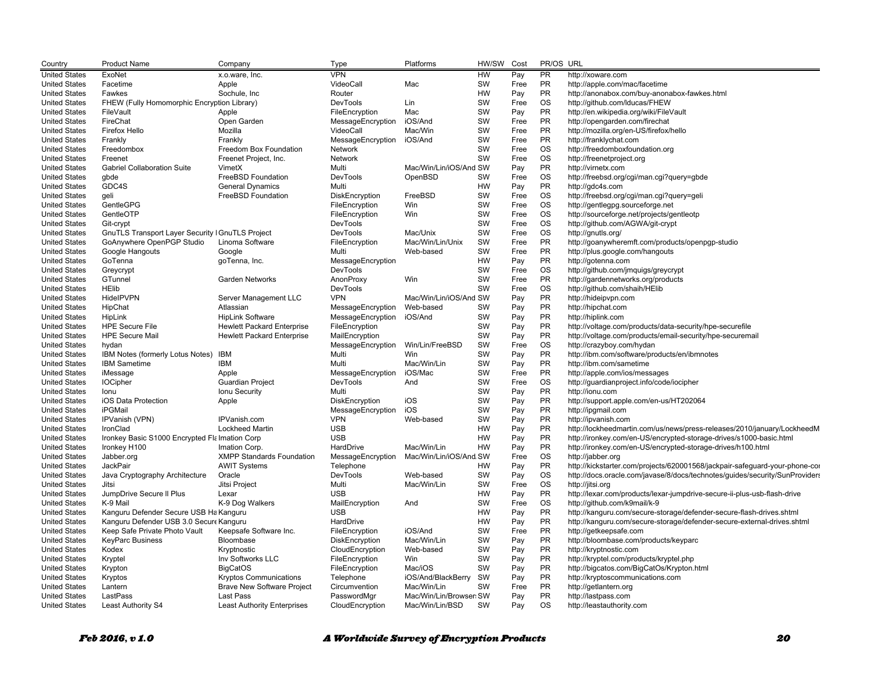| Country              | <b>Product Name</b>                                     | Company                            | Type              | Platforms               | HW/SW | Cost | PR/OS URL |                                                                             |
|----------------------|---------------------------------------------------------|------------------------------------|-------------------|-------------------------|-------|------|-----------|-----------------------------------------------------------------------------|
| <b>United States</b> | ExoNet                                                  | x.o.ware, Inc.                     | <b>VPN</b>        |                         | HW    | Pay  | PR        | http://xoware.com                                                           |
| <b>United States</b> | Facetime                                                | Apple                              | VideoCall         | Mac                     | SW    | Free | PR        | http://apple.com/mac/facetime                                               |
| <b>United States</b> | Fawkes                                                  | Sochule, Inc                       | Router            |                         | HW    | Pay  | PR        | http://anonabox.com/buy-anonabox-fawkes.html                                |
|                      |                                                         |                                    | DevTools          | Lin                     | SW    |      | <b>OS</b> | http://github.com/Iducas/FHEW                                               |
| <b>United States</b> | FHEW (Fully Homomorphic Encryption Library)             |                                    |                   |                         |       | Free |           |                                                                             |
| <b>United States</b> | FileVault                                               | Apple                              | FileEncryption    | Mac                     | SW    | Pay  | PR        | http://en.wikipedia.org/wiki/FileVault                                      |
| <b>United States</b> | FireChat                                                | Open Garden                        | MessageEncryption | iOS/And                 | SW    | Free | PR        | http://opengarden.com/firechat                                              |
| <b>United States</b> | Firefox Hello                                           | Mozilla                            | VideoCall         | Mac/Win                 | SW    | Free | PR        | http://mozilla.org/en-US/firefox/hello                                      |
| <b>United States</b> | Frankly                                                 | Frankly                            | MessageEncryption | iOS/And                 | SW    | Free | <b>PR</b> | http://franklychat.com                                                      |
| <b>United States</b> | Freedombox                                              | Freedom Box Foundation             | Network           |                         | SW    | Free | <b>OS</b> | http://freedomboxfoundation.org                                             |
| <b>United States</b> | Freenet                                                 | Freenet Project, Inc.              | Network           |                         | SW    | Free | <b>OS</b> | http://freenetproject.org                                                   |
| <b>United States</b> | <b>Gabriel Collaboration Suite</b>                      | VimetX                             | Multi             | Mac/Win/Lin/iOS/And SW  |       | Pay  | <b>PR</b> | http://virnetx.com                                                          |
| <b>United States</b> | qbde                                                    | FreeBSD Foundation                 | <b>DevTools</b>   | OpenBSD                 | SW    | Free | <b>OS</b> | http://freebsd.org/cgi/man.cgi?query=gbde                                   |
| <b>United States</b> | GDC4S                                                   | <b>General Dynamics</b>            | Multi             |                         | HW    |      | PR        | http://gdc4s.com                                                            |
|                      |                                                         |                                    |                   |                         |       | Pay  |           |                                                                             |
| <b>United States</b> | geli                                                    | FreeBSD Foundation                 | DiskEncryption    | FreeBSD                 | SW    | Free | <b>OS</b> | http://freebsd.org/cgi/man.cgi?query=geli                                   |
| <b>United States</b> | GentleGPG                                               |                                    | FileEncryption    | Win                     | SW    | Free | <b>OS</b> | http://gentlegpg.sourceforge.net                                            |
| <b>United States</b> | GentleOTP                                               |                                    | FileEncryption    | Win                     | SW    | Free | <b>OS</b> | http://sourceforge.net/projects/gentleotp                                   |
| <b>United States</b> | Git-crypt                                               |                                    | DevTools          |                         | SW    | Free | <b>OS</b> | http://github.com/AGWA/git-crypt                                            |
| <b>United States</b> | <b>GnuTLS Transport Layer Security I GnuTLS Project</b> |                                    | <b>DevTools</b>   | Mac/Unix                | SW    | Free | OS        | http://gnutls.org/                                                          |
| <b>United States</b> | GoAnywhere OpenPGP Studio                               | Linoma Software                    | FileEncryption    | Mac/Win/Lin/Unix        | SW    | Free | PR        | http://goanywheremft.com/products/openpgp-studio                            |
| <b>United States</b> | Google Hangouts                                         | Google                             | Multi             | Web-based               | SW    | Free | PR        | http://plus.google.com/hangouts                                             |
| <b>United States</b> | GoTenna                                                 | goTenna, Inc.                      | MessageEncryption |                         | HW    | Pay  | PR        | http://gotenna.com                                                          |
| <b>United States</b> | Greycrypt                                               |                                    | DevTools          |                         | SW    | Free | <b>OS</b> |                                                                             |
|                      |                                                         |                                    |                   |                         |       |      | PR        | http://github.com/jmquigs/greycrypt                                         |
| <b>United States</b> | GTunnel                                                 | Garden Networks                    | AnonProxy         | Win                     | SW    | Free |           | http://gardennetworks.org/products                                          |
| <b>United States</b> | <b>HElib</b>                                            |                                    | DevTools          |                         | SW    | Free | <b>OS</b> | http://github.com/shaih/HElib                                               |
| <b>United States</b> | HidelPVPN                                               | Server Management LLC              | <b>VPN</b>        | Mac/Win/Lin/iOS/And SW  |       | Pay  | PR        | http://hideipvpn.com                                                        |
| <b>United States</b> | HipChat                                                 | Atlassian                          | MessageEncryption | Web-based               | SW    | Pay  | <b>PR</b> | http://hipchat.com                                                          |
| <b>United States</b> | HipLink                                                 | <b>HipLink Software</b>            | MessageEncryption | iOS/And                 | SW    | Pay  | <b>PR</b> | http://hiplink.com                                                          |
| <b>United States</b> | <b>HPE Secure File</b>                                  | <b>Hewlett Packard Enterprise</b>  | FileEncryption    |                         | SW    | Pay  | PR        | http://voltage.com/products/data-security/hpe-securefile                    |
| <b>United States</b> | <b>HPE Secure Mail</b>                                  | <b>Hewlett Packard Enterprise</b>  | MailEncryption    |                         | SW    | Pay  | <b>PR</b> | http://voltage.com/products/email-security/hpe-securemail                   |
| <b>United States</b> | hydan                                                   |                                    | MessageEncryption | Win/Lin/FreeBSD         | SW    | Free | <b>OS</b> | http://crazyboy.com/hydan                                                   |
| <b>United States</b> | IBM Notes (formerly Lotus Notes) IBM                    |                                    | Multi             | Win                     | SW    | Pay  | PR        | http://ibm.com/software/products/en/ibmnotes                                |
| <b>United States</b> | <b>IBM Sametime</b>                                     | <b>IBM</b>                         | Multi             | Mac/Win/Lin             | SW    |      | PR        | http://ibm.com/sametime                                                     |
|                      |                                                         |                                    |                   |                         |       | Pay  |           |                                                                             |
| <b>United States</b> | iMessage                                                | Apple                              | MessageEncryption | iOS/Mac                 | SW    | Free | PR        | http://apple.com/ios/messages                                               |
| <b>United States</b> | <b>IOCipher</b>                                         | <b>Guardian Project</b>            | <b>DevTools</b>   | And                     | SW    | Free | <b>OS</b> | http://guardianproject.info/code/iocipher                                   |
| <b>United States</b> | lonu                                                    | Ionu Security                      | Multi             |                         | SW    | Pay  | PR        | http://ionu.com                                                             |
| <b>United States</b> | iOS Data Protection                                     | Apple                              | DiskEncryption    | iOS                     | SW    | Pay  | PR        | http://support.apple.com/en-us/HT202064                                     |
| <b>United States</b> | iPGMail                                                 |                                    | MessageEncryption | iOS                     | SW    | Pay  | PR        | http://ipgmail.com                                                          |
| <b>United States</b> | IPVanish (VPN)                                          | IPVanish.com                       | <b>VPN</b>        | Web-based               | SW    | Pay  | PR        | http://ipvanish.com                                                         |
| <b>United States</b> | IronClad                                                | <b>Lockheed Martin</b>             | <b>USB</b>        |                         | HW    | Pay  | PR        | http://lockheedmartin.com/us/news/press-releases/2010/january/LockheedM     |
| <b>United States</b> | Ironkey Basic S1000 Encrypted Fla Imation Corp          |                                    | <b>USB</b>        |                         | HW    | Pay  | PR        | http://ironkey.com/en-US/encrypted-storage-drives/s1000-basic.html          |
| <b>United States</b> | Ironkey H100                                            | Imation Corp.                      | HardDrive         | Mac/Win/Lin             | HW    | Pay  | PR        | http://ironkey.com/en-US/encrypted-storage-drives/h100.html                 |
| <b>United States</b> | Jabber.org                                              | <b>XMPP Standards Foundation</b>   | MessageEncryption | Mac/Win/Lin/iOS/And SW  |       | Free | <b>OS</b> | http://jabber.org                                                           |
|                      |                                                         |                                    |                   |                         |       |      |           |                                                                             |
| <b>United States</b> | JackPair                                                | <b>AWIT Systems</b>                | Telephone         |                         | HW    | Pay  | PR        | http://kickstarter.com/projects/620001568/jackpair-safeguard-your-phone-col |
| <b>United States</b> | Java Cryptography Architecture                          | Oracle                             | DevTools          | Web-based               | SW    | Pay  | <b>OS</b> | http://docs.oracle.com/javase/8/docs/technotes/guides/security/SunProviders |
| <b>United States</b> | Jitsi                                                   | Jitsi Project                      | Multi             | Mac/Win/Lin             | SW    | Free | <b>OS</b> | http://jitsi.org                                                            |
| <b>United States</b> | JumpDrive Secure II Plus                                | Lexar                              | <b>USB</b>        |                         | HW    | Pay  | PR        | http://lexar.com/products/lexar-jumpdrive-secure-ii-plus-usb-flash-drive    |
| <b>United States</b> | K-9 Mail                                                | K-9 Dog Walkers                    | MailEncryption    | And                     | SW    | Free | <b>OS</b> | http://github.com/k9mail/k-9                                                |
| <b>United States</b> | Kanguru Defender Secure USB Ha Kanguru                  |                                    | <b>USB</b>        |                         | HW    | Pay  | PR        | http://kanguru.com/secure-storage/defender-secure-flash-drives.shtml        |
| <b>United States</b> | Kanguru Defender USB 3.0 Secure Kanguru                 |                                    | HardDrive         |                         | HW    | Pay  | PR        | http://kanguru.com/secure-storage/defender-secure-external-drives.shtml     |
| <b>United States</b> | Keep Safe Private Photo Vault                           | Keepsafe Software Inc.             | FileEncryption    | iOS/And                 | SW    | Free | <b>PR</b> | http://getkeepsafe.com                                                      |
| <b>United States</b> | <b>KeyParc Business</b>                                 | Bloombase                          | DiskEncryption    | Mac/Win/Lin             | SW    | Pay  | PR        | http://bloombase.com/products/keyparc                                       |
|                      |                                                         |                                    |                   |                         | SW    |      | <b>PR</b> |                                                                             |
| <b>United States</b> | Kodex                                                   | Kryptnostic                        | CloudEncryption   | Web-based               |       | Pay  |           | http://kryptnostic.com                                                      |
| <b>United States</b> | Kryptel                                                 | Inv Softworks LLC                  | FileEncryption    | Win                     | SW    | Pay  | <b>PR</b> | http://kryptel.com/products/kryptel.php                                     |
| <b>United States</b> | Krypton                                                 | <b>BigCatOS</b>                    | FileEncryption    | Mac/iOS                 | SW    | Pay  | PR        | http://bigcatos.com/BigCatOs/Krypton.html                                   |
| <b>United States</b> | Kryptos                                                 | Kryptos Communications             | Telephone         | iOS/And/BlackBerry      | SW    | Pay  | <b>PR</b> | http://kryptoscommunications.com                                            |
| <b>United States</b> | Lantern                                                 | <b>Brave New Software Project</b>  | Circumvention     | Mac/Win/Lin             | SW    | Free | <b>PR</b> | http://getlantern.org                                                       |
| <b>United States</b> | LastPass                                                | Last Pass                          | PasswordMgr       | Mac/Win/Lin/Browser: SW |       | Pay  | PR        | http://lastpass.com                                                         |
| <b>United States</b> | <b>Least Authority S4</b>                               | <b>Least Authority Enterprises</b> | CloudEncryption   | Mac/Win/Lin/BSD         | SW    | Pay  | <b>OS</b> | http://leastauthority.com                                                   |
|                      |                                                         |                                    |                   |                         |       |      |           |                                                                             |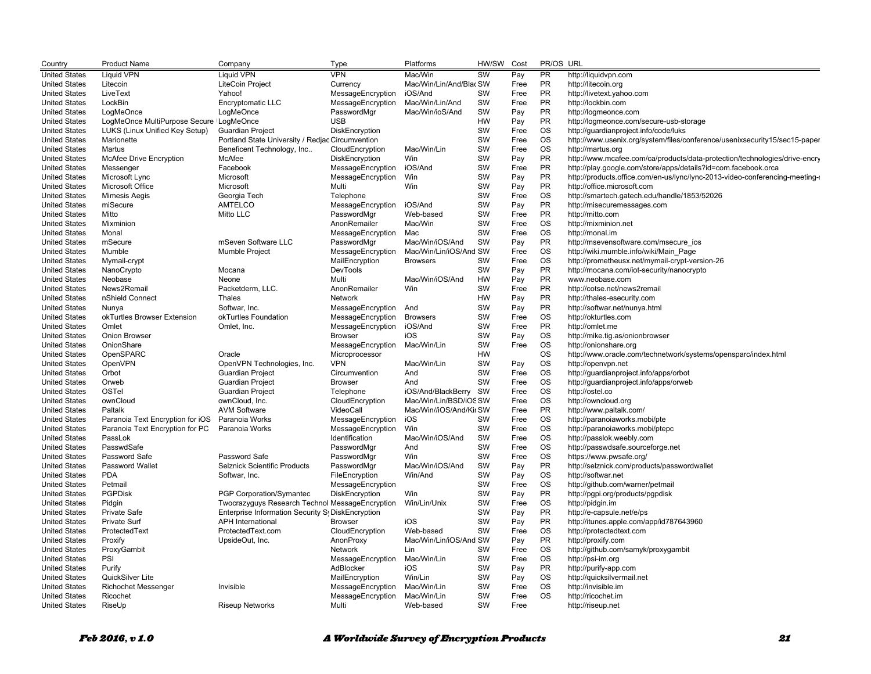| Country              | <b>Product Name</b>                       | Company                                          | Type                                | Platforms               | HW/SW     | Cost | PR/OS URL |                                                                             |
|----------------------|-------------------------------------------|--------------------------------------------------|-------------------------------------|-------------------------|-----------|------|-----------|-----------------------------------------------------------------------------|
| <b>United States</b> | Liquid VPN                                | Liquid VPN                                       | <b>VPN</b>                          | Mac/Win                 | SW        | Pay  | <b>PR</b> | http://liquidvpn.com                                                        |
| <b>United States</b> | Litecoin                                  | LiteCoin Project                                 | Currency                            | Mac/Win/Lin/And/Blac SW |           | Free | <b>PR</b> | http://litecoin.org                                                         |
| <b>United States</b> | LiveText                                  | Yahoo!                                           | MessageEncryption                   | iOS/And                 | SW        | Free | PR        | http://livetext.yahoo.com                                                   |
| <b>United States</b> | LockBin                                   | Encryptomatic LLC                                | MessageEncryption                   | Mac/Win/Lin/And         | SW        | Free | PR        | http://lockbin.com                                                          |
| <b>United States</b> | LogMeOnce                                 | LogMeOnce                                        | PasswordMgr                         | Mac/Win/ioS/And         | SW        | Pay  | PR        | http://logmeonce.com                                                        |
| <b>United States</b> | LogMeOnce MultiPurpose Secure I LogMeOnce |                                                  | <b>USB</b>                          |                         | HW        | Pay  | PR        | http://logmeonce.com/secure-usb-storage                                     |
| <b>United States</b> | LUKS (Linux Unified Key Setup)            | <b>Guardian Project</b>                          | DiskEncryption                      |                         | SW        | Free | <b>OS</b> | http://guardianproject.info/code/luks                                       |
| <b>United States</b> | Marionette                                | Portland State University / Redjac Circumvention |                                     |                         | SW        | Free | <b>OS</b> | http://www.usenix.org/system/files/conference/usenixsecurity15/sec15-paper  |
| <b>United States</b> | Martus                                    | Beneficent Technology, Inc                       | CloudEncryption                     | Mac/Win/Lin             | SW        | Free | <b>OS</b> | http://martus.org                                                           |
| <b>United States</b> | <b>McAfee Drive Encryption</b>            | McAfee                                           | DiskEncryption                      | Win                     | SW        | Pay  | PR        | http://www.mcafee.com/ca/products/data-protection/technologies/drive-encry  |
| <b>United States</b> | Messenger                                 |                                                  | MessageEncryption                   | iOS/And                 | SW        | Free | <b>PR</b> | http://play.google.com/store/apps/details?id=com.facebook.orca              |
| <b>United States</b> | Microsoft Lync                            | Facebook                                         |                                     | Win                     | SW        |      | PR        |                                                                             |
|                      |                                           | Microsoft                                        | MessageEncryption                   |                         |           | Pay  | <b>PR</b> | http://products.office.com/en-us/lync/lync-2013-video-conferencing-meeting- |
| <b>United States</b> | Microsoft Office                          | Microsoft                                        | Multi                               | Win                     | SW        | Pay  |           | http://office.microsoft.com                                                 |
| <b>United States</b> | <b>Mimesis Aegis</b>                      | Georgia Tech                                     | Telephone                           |                         | SW        | Free | <b>OS</b> | http://smartech.gatech.edu/handle/1853/52026                                |
| <b>United States</b> | miSecure                                  | <b>AMTELCO</b>                                   | MessageEncryption                   | iOS/And                 | SW        | Pay  | PR        | http://misecuremessages.com                                                 |
| <b>United States</b> | Mitto                                     | Mitto LLC                                        | PasswordMgr                         | Web-based               | SW        | Free | <b>PR</b> | http://mitto.com                                                            |
| <b>United States</b> | Mixminion                                 |                                                  | AnonRemailer                        | Mac/Win                 | SW        | Free | <b>OS</b> | http://mixminion.net                                                        |
| <b>United States</b> | Monal                                     |                                                  | MessageEncryption                   | Mac                     | SW        | Free | <b>OS</b> | http://monal.im                                                             |
| <b>United States</b> | mSecure                                   | mSeven Software LLC                              | PasswordMgr                         | Mac/Win/iOS/And         | SW        | Pay  | PR        | http://msevensoftware.com/msecure_ios                                       |
| <b>United States</b> | Mumble                                    | Mumble Project                                   | MessageEncryption                   | Mac/Win/Lin/iOS/And SW  |           | Free | <b>OS</b> | http://wiki.mumble.info/wiki/Main Page                                      |
| <b>United States</b> | Mymail-crypt                              |                                                  | MailEncryption                      | <b>Browsers</b>         | SW        | Free | <b>OS</b> | http://prometheusx.net/mymail-crypt-version-26                              |
| <b>United States</b> | NanoCrypto                                | Mocana                                           | DevTools                            |                         | SW        | Pay  | PR        | http://mocana.com/iot-security/nanocrypto                                   |
| <b>United States</b> | Neobase                                   | Neone                                            | Multi                               | Mac/Win/iOS/And         | HW        | Pay  | PR        | www.neobase.com                                                             |
| <b>United States</b> | News2Remail                               | Packetderm, LLC.                                 | AnonRemailer                        | Win                     | SW        | Free | <b>PR</b> | http://cotse.net/news2remail                                                |
| <b>United States</b> | nShield Connect                           | <b>Thales</b>                                    | Network                             |                         | HW        | Pay  | PR        | http://thales-esecurity.com                                                 |
| <b>United States</b> | Nunya                                     | Softwar, Inc.                                    | MessageEncryption                   | And                     | SW        | Pay  | PR        | http://softwar.net/nunya.html                                               |
| <b>United States</b> | okTurtles Browser Extension               | okTurtles Foundation                             | MessageEncryption                   | <b>Browsers</b>         | SW        | Free | <b>OS</b> | http://okturtles.com                                                        |
| <b>United States</b> | Omlet                                     | Omlet. Inc.                                      | MessageEncryption                   | iOS/And                 | SW        | Free | <b>PR</b> | http://omlet.me                                                             |
| <b>United States</b> | Onion Browser                             |                                                  | <b>Browser</b>                      | iOS                     | SW        | Pay  | <b>OS</b> | http://mike.tig.as/onionbrowser                                             |
| <b>United States</b> | OnionShare                                |                                                  | MessageEncryption                   | Mac/Win/Lin             | SW        | Free | <b>OS</b> | http://onionshare.org                                                       |
| <b>United States</b> | OpenSPARC                                 | Oracle                                           | Microprocessor                      |                         | <b>HW</b> |      | <b>OS</b> | http://www.oracle.com/technetwork/systems/opensparc/index.html              |
| <b>United States</b> | OpenVPN                                   | OpenVPN Technologies, Inc.                       | <b>VPN</b>                          | Mac/Win/Lin             | SW        | Pay  | <b>OS</b> | http://openvpn.net                                                          |
| <b>United States</b> | Orbot                                     | <b>Guardian Project</b>                          | Circumvention                       | And                     | SW        | Free | <b>OS</b> | http://guardianproject.info/apps/orbot                                      |
| <b>United States</b> | Orweb                                     | <b>Guardian Project</b>                          | <b>Browser</b>                      | And                     | <b>SW</b> | Free | <b>OS</b> | http://guardianproject.info/apps/orweb                                      |
| <b>United States</b> | OSTel                                     | <b>Guardian Project</b>                          | Telephone                           | iOS/And/BlackBerry SW   |           | Free | <b>OS</b> | http://ostel.co                                                             |
| <b>United States</b> | ownCloud                                  | ownCloud, Inc.                                   | CloudEncryption                     | Mac/Win/Lin/BSD/iOSSW   |           | Free | <b>OS</b> | http://owncloud.org                                                         |
| <b>United States</b> | Paltalk                                   | <b>AVM Software</b>                              | VideoCall                           | Mac/Win//iOS/And/Kir SW |           | Free | PR        | http://www.paltalk.com/                                                     |
| <b>United States</b> | Paranoia Text Encryption for iOS          | Paranoia Works                                   | MessageEncryption                   | iOS                     | SW        | Free | <b>OS</b> | http://paranoiaworks.mobi/pte                                               |
| <b>United States</b> | Paranoia Text Encryption for PC           | Paranoia Works                                   | MessageEncryption                   | Win                     | SW        | Free | <b>OS</b> | http://paranoiaworks.mobi/ptepc                                             |
| <b>United States</b> | PassLok                                   |                                                  | Identification                      | Mac/Win/iOS/And         | SW        | Free | <b>OS</b> | http://passlok.weebly.com                                                   |
| <b>United States</b> | PasswdSafe                                |                                                  | PasswordMqr                         | And                     | SW        | Free | <b>OS</b> | http://passwdsafe.sourceforge.net                                           |
| <b>United States</b> | Password Safe                             | Password Safe                                    | PasswordMgr                         | Win                     | SW        | Free | <b>OS</b> | https://www.pwsafe.org/                                                     |
| <b>United States</b> | Password Wallet                           | Selznick Scientific Products                     | PasswordMgr                         | Mac/Win/iOS/And         | SW        | Pay  | PR        | http://selznick.com/products/passwordwallet                                 |
| <b>United States</b> | <b>PDA</b>                                | Softwar, Inc.                                    | FileEncryption                      | Win/And                 | SW        |      | <b>OS</b> | http://softwar.net                                                          |
|                      | Petmail                                   |                                                  |                                     |                         |           | Pay  | <b>OS</b> |                                                                             |
| <b>United States</b> | <b>PGPDisk</b>                            |                                                  | MessageEncryption<br>DiskEncryption |                         | SW<br>SW  | Free | PR        | http://github.com/warner/petmail                                            |
| <b>United States</b> |                                           | PGP Corporation/Symantec                         |                                     | Win                     |           | Pay  | <b>OS</b> | http://pgpi.org/products/pgpdisk                                            |
| <b>United States</b> | Pidgin                                    | Twocrazyguys Research Technol MessageEncryption  |                                     | Win/Lin/Unix            | SW        | Free |           | http://pidgin.im                                                            |
| <b>United States</b> | <b>Private Safe</b>                       | Enterprise Information Security SyDiskEncryption |                                     |                         | SW        | Pay  | <b>PR</b> | http://e-capsule.net/e/ps                                                   |
| <b>United States</b> | Private Surf                              | <b>APH International</b>                         | <b>Browser</b>                      | iOS                     | SW        | Pay  | <b>PR</b> | http://itunes.apple.com/app/id787643960                                     |
| <b>United States</b> | ProtectedText                             | ProtectedText.com                                | CloudEncryption                     | Web-based               | SW        | Free | <b>OS</b> | http://protectedtext.com                                                    |
| <b>United States</b> | Proxify                                   | UpsideOut, Inc.                                  | AnonProxy                           | Mac/Win/Lin/iOS/And SW  |           | Pay  | <b>PR</b> | http://proxify.com                                                          |
| <b>United States</b> | ProxyGambit                               |                                                  | Network                             | Lin                     | SW        | Free | <b>OS</b> | http://github.com/samyk/proxygambit                                         |
| <b>United States</b> | PSI                                       |                                                  | MessageEncryption                   | Mac/Win/Lin             | SW        | Free | <b>OS</b> | http://psi-im.org                                                           |
| <b>United States</b> | Purify                                    |                                                  | AdBlocker                           | iOS                     | SW        | Pay  | PR        | http://purify-app.com                                                       |
| <b>United States</b> | QuickSilver Lite                          |                                                  | MailEncryption                      | Win/Lin                 | SW        | Pay  | <b>OS</b> | http://quicksilvermail.net                                                  |
| <b>United States</b> | <b>Richochet Messenger</b>                | Invisible                                        | MessageEncryption                   | Mac/Win/Lin             | SW        | Free | <b>OS</b> | http://invisible.im                                                         |
| <b>United States</b> | Ricochet                                  |                                                  | MessageEncryption                   | Mac/Win/Lin             | SW        | Free | <b>OS</b> | http://ricochet.im                                                          |
| <b>United States</b> | RiseUp                                    | <b>Riseup Networks</b>                           | Multi                               | Web-based               | SW        | Free |           | http://riseup.net                                                           |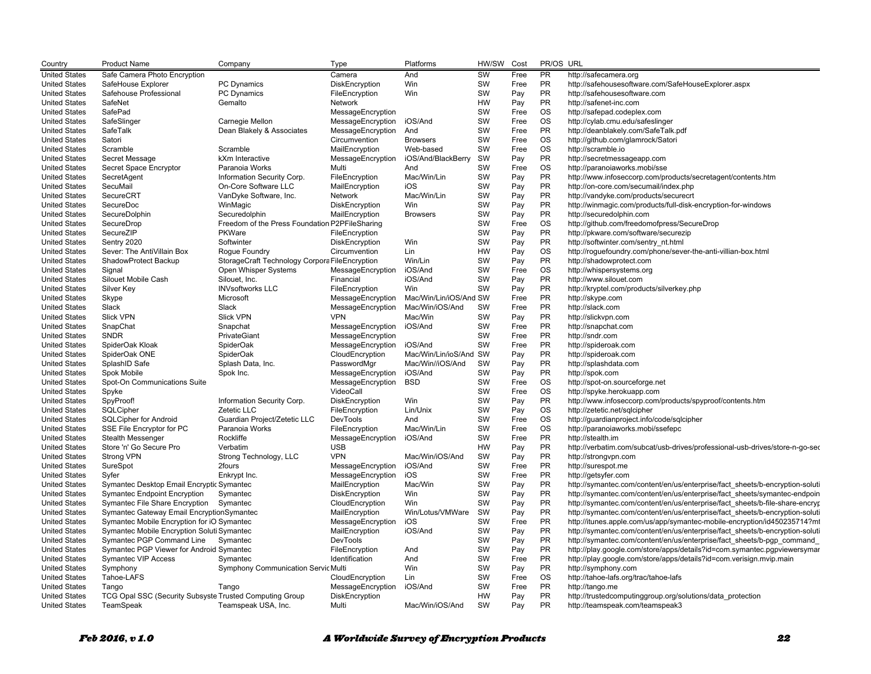| Country              | <b>Product Name</b>                                     | Company                                        | Type              | Platforms              | HW/SW     | Cost | PR/OS URL |                                                                              |
|----------------------|---------------------------------------------------------|------------------------------------------------|-------------------|------------------------|-----------|------|-----------|------------------------------------------------------------------------------|
| <b>United States</b> | Safe Camera Photo Encryption                            |                                                | Camera            | And                    | SW        | Free | <b>PR</b> | http://safecamera.org                                                        |
| <b>United States</b> | SafeHouse Explorer                                      | <b>PC Dynamics</b>                             | DiskEncryption    | Win                    | SW        | Free | PR        | http://safehousesoftware.com/SafeHouseExplorer.aspx                          |
| <b>United States</b> | Safehouse Professional                                  | PC Dynamics                                    | FileEncryption    | Win                    | SW        | Pay  | <b>PR</b> | http://safehousesoftware.com                                                 |
| <b>United States</b> | SafeNet                                                 | Gemalto                                        | Network           |                        | HW        | Pay  | PR        | http://safenet-inc.com                                                       |
| <b>United States</b> | SafePad                                                 |                                                | MessageEncryption |                        | <b>SW</b> | Free | <b>OS</b> | http://safepad.codeplex.com                                                  |
| <b>United States</b> | SafeSlinger                                             | Carnegie Mellon                                | MessageEncryption | iOS/And                | SW        | Free | <b>OS</b> | http://cylab.cmu.edu/safeslinger                                             |
| <b>United States</b> | SafeTalk                                                | Dean Blakely & Associates                      | MessageEncryption | And                    | SW        | Free | <b>PR</b> | http://deanblakely.com/SafeTalk.pdf                                          |
| <b>United States</b> | Satori                                                  |                                                | Circumvention     | <b>Browsers</b>        | <b>SW</b> | Free | <b>OS</b> | http://github.com/glamrock/Satori                                            |
| <b>United States</b> | Scramble                                                | Scramble                                       | MailEncryption    | Web-based              | SW        | Free | <b>OS</b> | http://scramble.io                                                           |
| <b>United States</b> |                                                         | kXm Interactive                                | MessageEncryption | iOS/And/BlackBerry     | SW        | Pay  | PR        |                                                                              |
| <b>United States</b> | Secret Message<br>Secret Space Encryptor                | Paranoia Works                                 | Multi             | And                    | SW        |      | <b>OS</b> | http://secretmessageapp.com<br>http://paranoiaworks.mobi/sse                 |
|                      |                                                         |                                                |                   |                        |           | Free |           |                                                                              |
| <b>United States</b> | SecretAgent                                             | Information Security Corp.                     | FileEncryption    | Mac/Win/Lin            | <b>SW</b> | Pay  | PR        | http://www.infoseccorp.com/products/secretagent/contents.htm                 |
| <b>United States</b> | SecuMail                                                | On-Core Software LLC                           | MailEncryption    | iOS                    | SW        | Pay  | PR        | http://on-core.com/secumail/index.php                                        |
| <b>United States</b> | SecureCRT                                               | VanDyke Software, Inc.                         | Network           | Mac/Win/Lin            | <b>SW</b> | Pay  | PR        | http://vandyke.com/products/securecrt                                        |
| <b>United States</b> | SecureDoc                                               | WinMagic                                       | DiskEncryption    | Win                    | SW        | Pay  | <b>PR</b> | http://winmagic.com/products/full-disk-encryption-for-windows                |
| <b>United States</b> | SecureDolphin                                           | Securedolphin                                  | MailEncryption    | <b>Browsers</b>        | SW        | Pay  | PR        | http://securedolphin.com                                                     |
| <b>United States</b> | SecureDrop                                              | Freedom of the Press Foundation P2PFileSharing |                   |                        | SW        | Free | <b>OS</b> | http://github.com/freedomofpress/SecureDrop                                  |
| <b>United States</b> | SecureZIP                                               | PKWare                                         | FileEncryption    |                        | SW        | Pay  | <b>PR</b> | http://pkware.com/software/securezip                                         |
| <b>United States</b> | Sentry 2020                                             | Softwinter                                     | DiskEncryption    | Win                    | SW        | Pay  | PR        | http://softwinter.com/sentry_nt.html                                         |
| <b>United States</b> | Sever: The AntiVillain Box                              | Rogue Foundry                                  | Circumvention     | Lin                    | HW        | Pay  | <b>OS</b> | http://roguefoundry.com/phone/sever-the-anti-villian-box.html                |
| <b>United States</b> | ShadowProtect Backup                                    | StorageCraft Technology Corpora FileEncryption |                   | Win/Lin                | SW        | Pay  | PR        | http://shadowprotect.com                                                     |
| <b>United States</b> | Signal                                                  | Open Whisper Systems                           | MessageEncryption | iOS/And                | SW        | Free | <b>OS</b> | http://whispersystems.org                                                    |
| <b>United States</b> | Silouet Mobile Cash                                     | Silouet, Inc.                                  | Financial         | iOS/And                | SW        | Pay  | PR        | http://www.silouet.com                                                       |
| <b>United States</b> | Silver Key                                              | <b>INVsoftworks LLC</b>                        | FileEncryption    | Win                    | <b>SW</b> | Pay  | <b>PR</b> | http://kryptel.com/products/silverkey.php                                    |
| <b>United States</b> | Skype                                                   | Microsoft                                      | MessageEncryption | Mac/Win/Lin/iOS/And SW |           | Free | PR        | http://skype.com                                                             |
| <b>United States</b> | Slack                                                   | Slack                                          | MessageEncryption | Mac/Win/iOS/And        | SW        | Free | <b>PR</b> | http://slack.com                                                             |
| <b>United States</b> | <b>Slick VPN</b>                                        | <b>Slick VPN</b>                               | <b>VPN</b>        | Mac/Win                | <b>SW</b> | Pay  | <b>PR</b> | http://slickvpn.com                                                          |
| <b>United States</b> | SnapChat                                                | Snapchat                                       | MessageEncryption | iOS/And                | SW        | Free | PR        | http://snapchat.com                                                          |
| <b>United States</b> | SNDR                                                    | PrivateGiant                                   | MessageEncryption |                        | SW        | Free | PR        | http://sndr.com                                                              |
| <b>United States</b> | SpiderOak Kloak                                         | <b>SpiderOak</b>                               | MessageEncryption | iOS/And                | <b>SW</b> | Free | <b>PR</b> | http://spideroak.com                                                         |
| <b>United States</b> | SpiderOak ONE                                           | SpiderOak                                      | CloudEncryption   | Mac/Win/Lin/ioS/And SW |           | Pay  | PR        | http://spideroak.com                                                         |
| <b>United States</b> | SplashID Safe                                           | Splash Data, Inc.                              | PasswordMgr       | Mac/Win//iOS/And       | SW        | Pay  | PR        | http://splashdata.com                                                        |
| <b>United States</b> | Spok Mobile                                             | Spok Inc.                                      | MessageEncryption | iOS/And                | SW        | Pay  | <b>PR</b> | http://spok.com                                                              |
| <b>United States</b> | Spot-On Communications Suite                            |                                                | MessageEncryption | <b>BSD</b>             | SW        | Free | <b>OS</b> | http://spot-on.sourceforge.net                                               |
| <b>United States</b> | Spyke                                                   |                                                | VideoCall         |                        | SW        | Free | <b>OS</b> | http://spyke.herokuapp.com                                                   |
| <b>United States</b> | SpyProof!                                               | Information Security Corp.                     | DiskEncryption    | Win                    | SW        | Pay  | <b>PR</b> | http://www.infoseccorp.com/products/spyproof/contents.htm                    |
|                      | SQLCipher                                               | Zetetic LLC                                    | FileEncryption    | Lin/Unix               | SW        | Pay  | <b>OS</b> |                                                                              |
| <b>United States</b> |                                                         |                                                |                   | And                    | SW        |      | <b>OS</b> | http://zetetic.net/sqlcipher                                                 |
| <b>United States</b> | <b>SQLCipher for Android</b>                            | Guardian Project/Zetetic LLC                   | DevTools          |                        |           | Free | <b>OS</b> | http://guardianproject.info/code/sqlcipher                                   |
| <b>United States</b> | SSE File Encryptor for PC                               | Paranoia Works                                 | FileEncryption    | Mac/Win/Lin            | <b>SW</b> | Free |           | http://paranoiaworks.mobi/ssefepc                                            |
| <b>United States</b> | Stealth Messenger                                       | Rockliffe                                      | MessageEncryption | iOS/And                | SW        | Free | PR        | http://stealth.im                                                            |
| <b>United States</b> | Store 'n' Go Secure Pro                                 | Verbatim                                       | <b>USB</b>        |                        | HW        | Pay  | PR        | http://verbatim.com/subcat/usb-drives/professional-usb-drives/store-n-go-sec |
| <b>United States</b> | Strong VPN                                              | Strong Technology, LLC                         | <b>VPN</b>        | Mac/Win/iOS/And        | <b>SW</b> | Pay  | <b>PR</b> | http://strongvpn.com                                                         |
| <b>United States</b> | SureSpot                                                | 2fours                                         | MessageEncryption | iOS/And                | SW        | Free | <b>PR</b> | http://surespot.me                                                           |
| <b>United States</b> | Syfer                                                   | Enkrypt Inc.                                   | MessageEncryption | iOS                    | SW        | Free | PR        | http://getsyfer.com                                                          |
| <b>United States</b> | Symantec Desktop Email Encryptic Symantec               |                                                | MailEncryption    | Mac/Win                | SW        | Pay  | PR        | http://symantec.com/content/en/us/enterprise/fact sheets/b-encryption-soluti |
| <b>United States</b> | <b>Symantec Endpoint Encryption</b>                     | Symantec                                       | DiskEncryption    | Win                    | SW        | Pay  | PR        | http://symantec.com/content/en/us/enterprise/fact_sheets/symantec-endpoin    |
| <b>United States</b> | Symantec File Share Encryption                          | Symantec                                       | CloudEncryption   | Win                    | SW        | Pay  | PR        | http://symantec.com/content/en/us/enterprise/fact sheets/b-file-share-encryp |
| <b>United States</b> | Symantec Gateway Email EncryptionSymantec               |                                                | MailEncryption    | Win/Lotus/VMWare       | SW        | Pay  | <b>PR</b> | http://symantec.com/content/en/us/enterprise/fact sheets/b-encryption-soluti |
| <b>United States</b> | Symantec Mobile Encryption for iO Symantec              |                                                | MessageEncryption | iOS                    | SW        | Free | <b>PR</b> | http://itunes.apple.com/us/app/symantec-mobile-encryption/id450235714?mt     |
| <b>United States</b> | Symantec Mobile Encryption Soluti Symantec              |                                                | MailEncryption    | iOS/And                | SW        | Pay  | <b>PR</b> | http://symantec.com/content/en/us/enterprise/fact_sheets/b-encryption-soluti |
| <b>United States</b> | Symantec PGP Command Line                               | Symantec                                       | <b>DevTools</b>   |                        | SW        | Pay  | <b>PR</b> | http://symantec.com/content/en/us/enterprise/fact sheets/b-pqp command       |
| <b>United States</b> | Symantec PGP Viewer for Android Symantec                |                                                | FileEncryption    | And                    | SW        | Pay  | PR        | http://play.google.com/store/apps/details?id=com.symantec.pgpviewersymar     |
| <b>United States</b> | Symantec VIP Access                                     | Symantec                                       | Identification    | And                    | SW        | Free | PR        | http://play.google.com/store/apps/details?id=com.verisign.mvip.main          |
| <b>United States</b> | Symphony                                                | Symphony Communication Servic Multi            |                   | Win                    | <b>SW</b> | Pay  | <b>PR</b> | http://symphony.com                                                          |
| <b>United States</b> | Tahoe-LAFS                                              |                                                | CloudEncryption   | Lin                    | SW        | Free | <b>OS</b> | http://tahoe-lafs.org/trac/tahoe-lafs                                        |
| <b>United States</b> | Tango                                                   | Tango                                          | MessageEncryption | iOS/And                | SW        | Free | <b>PR</b> | http://tango.me                                                              |
| <b>United States</b> | TCG Opal SSC (Security Subsyste Trusted Computing Group |                                                | DiskEncryption    |                        | <b>HW</b> | Pay  | <b>PR</b> | http://trustedcomputinggroup.org/solutions/data_protection                   |
| <b>United States</b> | TeamSpeak                                               | Teamspeak USA, Inc.                            | Multi             | Mac/Win/iOS/And        | SW        | Pay  | <b>PR</b> | http://teamspeak.com/teamspeak3                                              |
|                      |                                                         |                                                |                   |                        |           |      |           |                                                                              |